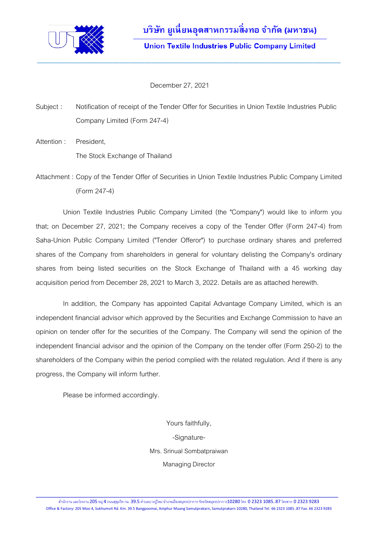

December 27, 2021

Subject : Notification of receipt of the Tender Offer for Securities in Union Textile Industries Public Company Limited (Form 247-4)

\_\_\_\_\_\_\_\_\_\_\_\_\_\_\_\_\_\_\_\_\_\_\_\_\_\_\_\_\_\_\_\_\_\_\_\_\_\_\_\_\_\_\_\_\_\_\_\_\_\_\_\_\_\_\_\_\_\_\_\_\_\_\_\_\_\_\_\_\_\_\_\_\_\_\_\_\_\_\_\_\_\_\_\_\_\_\_\_\_\_\_\_\_\_\_\_

Attention : President,

The Stock Exchange of Thailand

Attachment : Copy of the Tender Offer of Securities in Union Textile Industries Public Company Limited (Form 247-4)

Union Textile Industries Public Company Limited (the "Company") would like to inform you that; on December 27, 2021; the Company receives a copy of the Tender Offer (Form 247-4) from Saha-Union Public Company Limited ("Tender Offeror") to purchase ordinary shares and preferred shares of the Company from shareholders in general for voluntary delisting the Company's ordinary shares from being listed securities on the Stock Exchange of Thailand with a 45 working day acquisition period from December 28, 2021 to March 3, 2022. Details are as attached herewith.

In addition, the Company has appointed Capital Advantage Company Limited, which is an independent financial advisor which approved by the Securities and Exchange Commission to have an opinion on tender offer for the securities of the Company. The Company will send the opinion of the independent financial advisor and the opinion of the Company on the tender offer (Form 250-2) to the shareholders of the Company within the period complied with the related regulation. And if there is any progress, the Company will inform further.

Please be informed accordingly.

Yours faithfully, -Signature-Mrs. Srinual Sombatpraiwan Managing Director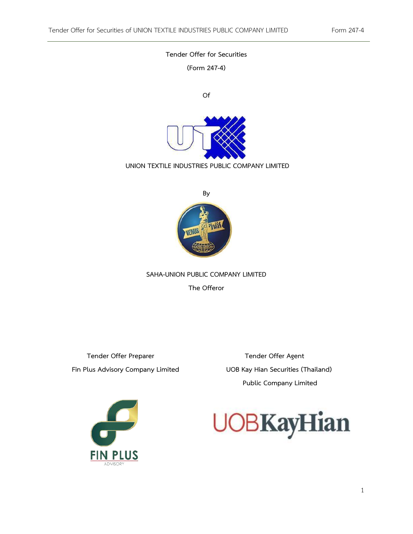# **Tender Offer for Securities (Form 247-4) Of UNION TEXTILE INDUSTRIES PUBLIC COMPANY LIMITED By VENUS**

**SAHA-UNION PUBLIC COMPANY LIMITED**

**The Offeror**

 **Tender Offer Preparer Community Community Community Tender Offer Agent Fin Plus Advisory Company Limited UOB Kay Hian Securities (Thailand)** 

**Public Company Limited**



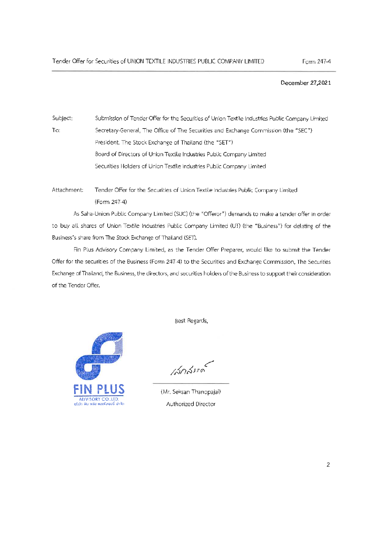## December 27,2021

Subject: Submission of Tender Offer for the Securities of Union Textile Industries Public Company Limited To: Secretary-General, The Office of The Securities and Exchange Commission (the "SEC") President, The Stock Exchange of Thailand (the "SET") Board of Directors of Union Textile Industries Public Company Limited Securities Holders of Union Textile Industries Public Company Limited

Attachment: Tender Offer for the Securities of Union Textile Industries Public Company Limited (Form 247-4)

As Saha-Union Public Company Limited (SUC) (the "Offeror") demands to make a tender offer in order to buy all shares of Union Textile Industries Public Company Limited (UT) (the "Business") for delisting of the Business's share from The Stock Exchange of Thailand (SET).

Fin Plus Advisory Company Limited, as the Tender Offer Preparer, would like to submit the Tender Offer for the securities of the Business (Form 247-4) to the Securities and Exchange Commission, The Securities Exchange of Thailand, the Business, the directors, and securities holders of the Business to support their consideration of the Tender Offer.



Best Regards,

1202000

(Mr. Seksan Thanopajai) Authorized Director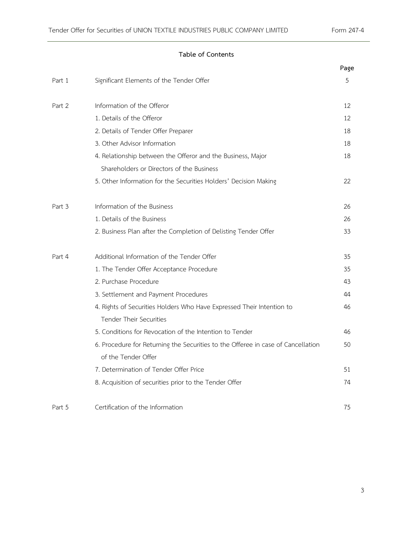#### **Table of Contents**

|        |                                                                                  | Page |
|--------|----------------------------------------------------------------------------------|------|
| Part 1 | Significant Elements of the Tender Offer                                         | 5    |
| Part 2 | Information of the Offeror                                                       | 12   |
|        | 1. Details of the Offeror                                                        | 12   |
|        | 2. Details of Tender Offer Preparer                                              | 18   |
|        | 3. Other Advisor Information                                                     | 18   |
|        | 4. Relationship between the Offeror and the Business, Major                      | 18   |
|        | Shareholders or Directors of the Business                                        |      |
|        | 5. Other Information for the Securities Holders' Decision Making                 | 22   |
| Part 3 | Information of the Business                                                      | 26   |
|        | 1. Details of the Business                                                       | 26   |
|        | 2. Business Plan after the Completion of Delisting Tender Offer                  | 33   |
| Part 4 | Additional Information of the Tender Offer                                       | 35   |
|        | 1. The Tender Offer Acceptance Procedure                                         | 35   |
|        | 2. Purchase Procedure                                                            | 43   |
|        | 3. Settlement and Payment Procedures                                             | 44   |
|        | 4. Rights of Securities Holders Who Have Expressed Their Intention to            | 46   |
|        | <b>Tender Their Securities</b>                                                   |      |
|        | 5. Conditions for Revocation of the Intention to Tender                          | 46   |
|        | 6. Procedure for Returning the Securities to the Offeree in case of Cancellation | 50   |
|        | of the Tender Offer                                                              |      |
|        | 7. Determination of Tender Offer Price                                           | 51   |
|        | 8. Acquisition of securities prior to the Tender Offer                           | 74   |
| Part 5 | Certification of the Information                                                 | 75   |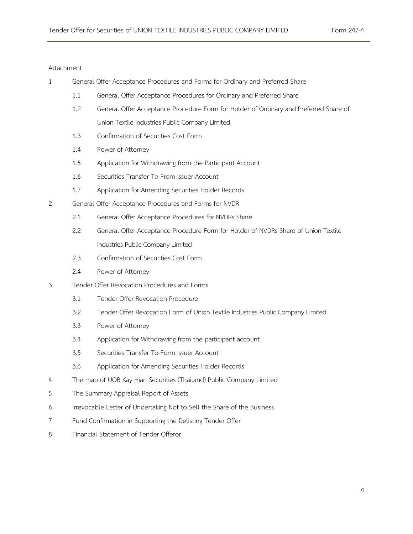#### Attachment

- 1 General Offer Acceptance Procedures and Forms for Ordinary and Preferred Share
	- 1.1 General Offer Acceptance Procedures for Ordinary and Preferred Share
	- 1.2 General Offer Acceptance Procedure Form for Holder of Ordinary and Preferred Share of Union Textile Industries Public Company Limited
	- 1.3 Confirmation of Securities Cost Form
	- 1.4 Power of Attorney
	- 1.5 Application for Withdrawing from the Participant Account
	- 1.6 Securities Transfer To-From Issuer Account
	- 1.7 Application for Amending Securities Holder Records
- 2 General Offer Acceptance Procedures and Forms for NVDR
	- 2.1 General Offer Acceptance Procedures for NVDRs Share
	- 2.2 General Offer Acceptance Procedure Form for Holder of NVDRs Share of Union Textile Industries Public Company Limited
	- 2.3 Confirmation of Securities Cost Form
	- 2.4 Power of Attorney
- 3 Tender Offer Revocation Procedures and Forms
	- 3.1 Tender Offer Revocation Procedure
	- 3.2 Tender Offer Revocation Form of Union Textile Industries Public Company Limited
	- 3.3 Power of Attorney
	- 3.4 Application for Withdrawing from the participant account
	- 3.5 Securities Transfer To-Form Issuer Account
	- 3.6 Application for Amending Securities Holder Records
- 4 The map of UOB Kay Hian Securities (Thailand) Public Company Limited
- 5 The Summary Appraisal Report of Assets
- 6 Irrevocable Letter of Undertaking Not to Sell the Share of the Business
- 7 Fund Confirmation in Supporting the Delisting Tender Offer
- 8 Financial Statement of Tender Offeror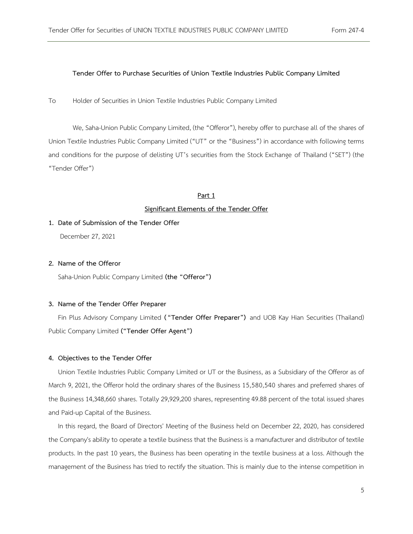#### **Tender Offer to Purchase Securities of Union Textile Industries Public Company Limited**

To Holder of Securities in Union Textile Industries Public Company Limited

We, Saha-Union Public Company Limited, (the "Offeror"), hereby offer to purchase all of the shares of Union Textile Industries Public Company Limited ("UT" or the "Business") in accordance with following terms and conditions for the purpose of delisting UT's securities from the Stock Exchange of Thailand ("SET") (the "Tender Offer")

#### **Part 1**

#### **Significant Elements of the Tender Offer**

**1. Date of Submission of the Tender Offer** December 27, 2021

#### **2. Name of the Offeror**

Saha-Union Public Company Limited **(the "Offeror")**

#### **3. Name of the Tender Offer Preparer**

Fin Plus Advisory Company Limited **("Tender Offer Preparer")** and UOB Kay Hian Securities (Thailand) Public Company Limited **("Tender Offer Agent")**

#### **4. Objectives to the Tender Offer**

Union Textile Industries Public Company Limited or UT or the Business, as a Subsidiary of the Offeror as of March 9, 2021, the Offeror hold the ordinary shares of the Business 15,580,540 shares and preferred shares of the Business 14,348,660 shares. Totally 29,929,200 shares, representing 49.88 percent of the total issued shares and Paid-up Capital of the Business.

In this regard, the Board of Directors' Meeting of the Business held on December 22, 2020, has considered the Company's ability to operate a textile business that the Business is a manufacturer and distributor of textile products. In the past 10 years, the Business has been operating in the textile business at a loss. Although the management of the Business has tried to rectify the situation. This is mainly due to the intense competition in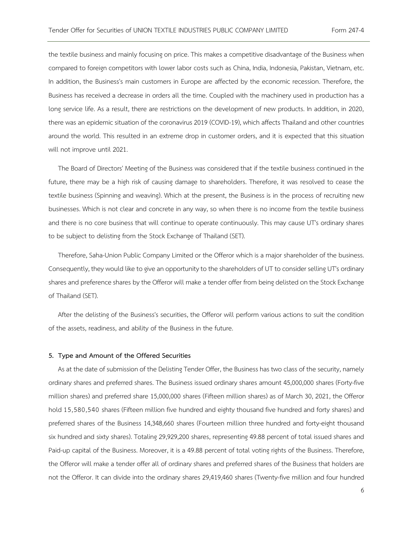the textile business and mainly focusing on price. This makes a competitive disadvantage of the Business when compared to foreign competitors with lower labor costs such as China, India, Indonesia, Pakistan, Vietnam, etc. In addition, the Business's main customers in Europe are affected by the economic recession. Therefore, the Business has received a decrease in orders all the time. Coupled with the machinery used in production has a long service life. As a result, there are restrictions on the development of new products. In addition, in 2020, there was an epidemic situation of the coronavirus 2019 (COVID-19), which affects Thailand and other countries around the world. This resulted in an extreme drop in customer orders, and it is expected that this situation will not improve until 2021.

The Board of Directors' Meeting of the Business was considered that if the textile business continued in the future, there may be a high risk of causing damage to shareholders. Therefore, it was resolved to cease the textile business (Spinning and weaving). Which at the present, the Business is in the process of recruiting new businesses. Which is not clear and concrete in any way, so when there is no income from the textile business and there is no core business that will continue to operate continuously. This may cause UT's ordinary shares to be subject to delisting from the Stock Exchange of Thailand (SET).

Therefore, Saha-Union Public Company Limited or the Offeror which is a major shareholder of the business. Consequently, they would like to give an opportunity to the shareholders of UT to consider selling UT's ordinary shares and preference shares by the Offeror will make a tender offer from being delisted on the Stock Exchange of Thailand (SET).

After the delisting of the Business's securities, the Offeror will perform various actions to suit the condition of the assets, readiness, and ability of the Business in the future.

#### **5. Type and Amount of the Offered Securities**

As at the date of submission of the Delisting Tender Offer, the Business has two class of the security, namely ordinary shares and preferred shares. The Business issued ordinary shares amount 45,000,000 shares (Forty-five million shares) and preferred share 15,000,000 shares (Fifteen million shares) as of March 30, 2021, the Offeror hold 15,580,540 shares (Fifteen million five hundred and eighty thousand five hundred and forty shares) and preferred shares of the Business 14,348,660 shares (Fourteen million three hundred and forty-eight thousand six hundred and sixty shares). Totaling 29,929,200 shares, representing 49.88 percent of total issued shares and Paid-up capital of the Business. Moreover, it is a 49.88 percent of total voting rights of the Business. Therefore, the Offeror will make a tender offer all of ordinary shares and preferred shares of the Business that holders are not the Offeror. It can divide into the ordinary shares 29,419,460 shares (Twenty-five million and four hundred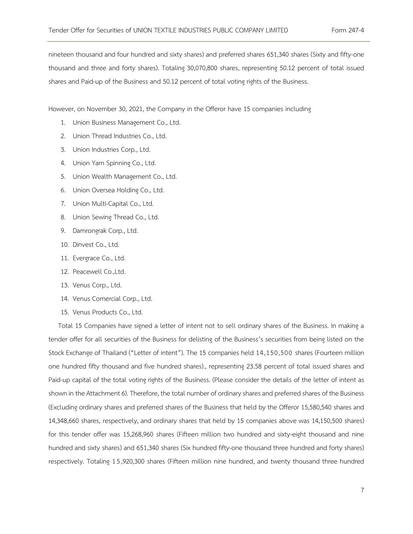nineteen thousand and four hundred and sixty shares) and preferred shares 651,340 shares (Sixty and fifty-one thousand and three and forty shares). Totaling 30,070,800 shares, representing 50.12 percent of total issued shares and Paid-up of the Business and 50.12 percent of total voting rights of the Business.

However, on November 30, 2021, the Company in the Offeror have 15 companies including

- 1. Union Business Management Co., Ltd.
- 2. Union Thread Industries Co., Ltd.
- 3. Union Industries Corp., Ltd.
- 4. Union Yarn Spinning Co., Ltd.
- 5. Union Wealth Management Co., Ltd.
- 6. Union Oversea Holding Co., Ltd.
- 7. Union Multi-Capital Co., Ltd.
- 8. Union Sewing Thread Co., Ltd.
- 9. Damrongrak Corp., Ltd.
- 10. Dinvest Co., Ltd.
- 11. Evergrace Co., Ltd.
- 12. Peacewell Co.,Ltd.
- 13. Venus Corp., Ltd.
- 14. Venus Comercial Corp., Ltd.
- 15. Venus Products Co., Ltd.

Total 15 Companies have signed a letter of intent not to sell ordinary shares of the Business. In making a tender offer for all securities of the Business for delisting of the Business's securities from being listed on the Stock Exchange of Thailand ("Letter of intent"). The 15 companies held 14,150,500 shares (Fourteen million one hundred fifty thousand and five hundred shares)., representing 23.58 percent of total issued shares and Paid-up capital of the total voting rights of the Business. (Please consider the details of the letter of intent as shown in the Attachment 6). Therefore, the total number of ordinary shares and preferred shares of the Business (Excluding ordinary shares and preferred shares of the Business that held by the Offeror 15,580,540 shares and 14,348,660 shares, respectively, and ordinary shares that held by 15 companies above was 14,150,500 shares) for this tender offer was 15,268,960 shares (Fifteen million two hundred and sixty-eight thousand and nine hundred and sixty shares) and 651,340 shares (Six hundred fifty-one thousand three hundred and forty shares) respectively. Totaling 1 5,920,300 shares (Fifteen million nine hundred, and twenty thousand three hundred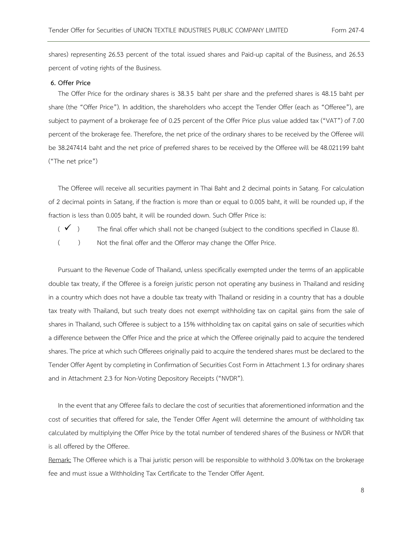shares) representing 26.53 percent of the total issued shares and Paid-up capital of the Business, and 26.53 percent of voting rights of the Business.

#### **6. Offer Price**

The Offer Price for the ordinary shares is 38.35 baht per share and the preferred shares is 48.15 baht per share (the "Offer Price"). In addition, the shareholders who accept the Tender Offer (each as "Offeree"), are subject to payment of a brokerage fee of 0.25 percent of the Offer Price plus value added tax ("VAT") of 7.00 percent of the brokerage fee. Therefore, the net price of the ordinary shares to be received by the Offeree will be 38.247414 baht and the net price of preferred shares to be received by the Offeree will be 48.021199 baht ("The net price")

The Offeree will receive all securities payment in Thai Baht and 2 decimal points in Satang. For calculation of 2 decimal points in Satang, if the fraction is more than or equal to 0.005 baht, it will be rounded up, if the fraction is less than 0.005 baht, it will be rounded down. Such Offer Price is:

- $(\checkmark)$  The final offer which shall not be changed (subject to the conditions specified in Clause 8).
- ( ) Not the final offer and the Offeror may change the Offer Price.

Pursuant to the Revenue Code of Thailand, unless specifically exempted under the terms of an applicable double tax treaty, if the Offeree is a foreign juristic person not operating any business in Thailand and residing in a country which does not have a double tax treaty with Thailand or residing in a country that has a double tax treaty with Thailand, but such treaty does not exempt withholding tax on capital gains from the sale of shares in Thailand, such Offeree is subject to a 15% withholding tax on capital gains on sale of securities which a difference between the Offer Price and the price at which the Offeree originally paid to acquire the tendered shares. The price at which such Offerees originally paid to acquire the tendered shares must be declared to the Tender Offer Agent by completing in Confirmation of Securities Cost Form in Attachment 1.3 for ordinary shares and in Attachment 2.3 for Non-Voting Depository Receipts ("NVDR").

In the event that any Offeree fails to declare the cost of securities that aforementioned information and the cost of securities that offered for sale, the Tender Offer Agent will determine the amount of withholding tax calculated by multiplying the Offer Price by the total number of tendered shares of the Business or NVDR that is all offered by the Offeree.

Remark: The Offeree which is a Thai juristic person will be responsible to withhold 3.00%tax on the brokerage fee and must issue a Withholding Tax Certificate to the Tender Offer Agent.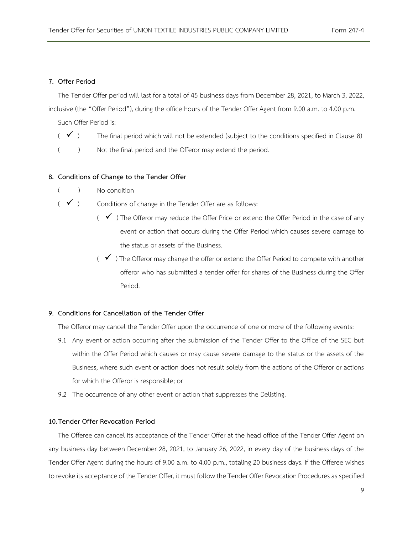#### **7. Offer Period**

The Tender Offer period will last for a total of 45 business days from December 28, 2021, to March 3, 2022,

inclusive (the "Offer Period"), during the office hours of the Tender Offer Agent from 9.00 a.m. to 4.00 p.m.

Such Offer Period is:

- $($   $\checkmark$ ) The final period which will not be extended (subject to the conditions specified in Clause 8)
- () Not the final period and the Offeror may extend the period.

#### **8. Conditions of Change to the Tender Offer**

( ) No condition

 $(\checkmark)$  Conditions of change in the Tender Offer are as follows:

- $($   $\checkmark$ ) The Offeror may reduce the Offer Price or extend the Offer Period in the case of any event or action that occurs during the Offer Period which causes severe damage to the status or assets of the Business.
- $( \checkmark )$  The Offeror may change the offer or extend the Offer Period to compete with another offeror who has submitted a tender offer for shares of the Business during the Offer Period.

#### **9. Conditions for Cancellation of the Tender Offer**

The Offeror may cancel the Tender Offer upon the occurrence of one or more of the following events:

- 9.1 Any event or action occurring after the submission of the Tender Offer to the Office of the SEC but within the Offer Period which causes or may cause severe damage to the status or the assets of the Business, where such event or action does not result solely from the actions of the Offeror or actions for which the Offeror is responsible; or
- 9.2 The occurrence of any other event or action that suppresses the Delisting.

#### **10.Tender Offer Revocation Period**

The Offeree can cancel its acceptance of the Tender Offer at the head office of the Tender Offer Agent on any business day between December 28, 2021, to January 26, 2022, in every day of the business days of the Tender Offer Agent during the hours of 9.00 a.m. to 4.00 p.m., totaling 20 business days. If the Offeree wishes to revoke its acceptance of the Tender Offer, it must follow the Tender Offer Revocation Procedures as specified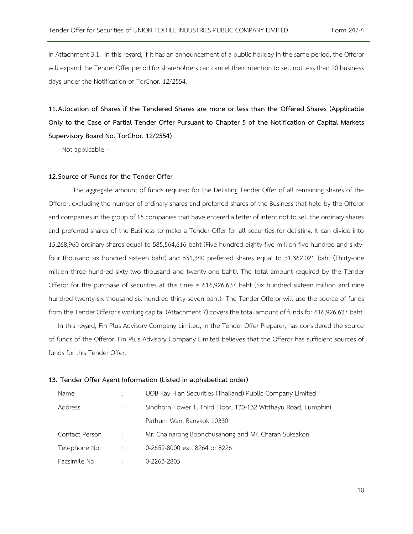in Attachment 3.1. In this regard, if it has an announcement of a public holiday in the same period, the Offeror will expand the Tender Offer period for shareholders can cancel their intention to sell not less than 20 business days under the Notification of TorChor. 12/2554.

**11.Allocation of Shares if the Tendered Shares are more or less than the Offered Shares (Applicable Only to the Case of Partial Tender Offer Pursuant to Chapter 5 of the Notification of Capital Markets Supervisory Board No. TorChor. 12/2554)**

- Not applicable –

#### **12.Source of Funds for the Tender Offer**

The aggregate amount of funds required for the Delisting Tender Offer of all remaining shares of the Offeror, excluding the number of ordinary shares and preferred shares of the Business that held by the Offeror and companies in the group of 15 companies that have entered a letter of intent not to sell the ordinary shares and preferred shares of the Business to make a Tender Offer for all securities for delisting. It can divide into 15,268,960 ordinary shares equal to 585,564,616 baht (Five hundred eighty-five million five hundred and sixtyfour thousand six hundred sixteen baht) and 651,340 preferred shares equal to 31,362,021 baht (Thirty-one million three hundred sixty-two thousand and twenty-one baht). The total amount required by the Tender Offeror for the purchase of securities at this time is 616,926,637 baht (Six hundred sixteen million and nine hundred twenty-six thousand six hundred thirty-seven baht). The Tender Offeror will use the source of funds from the Tender Offeror's working capital (Attachment 7) covers the total amount of funds for 616,926,637 baht.

In this regard, Fin Plus Advisory Company Limited, in the Tender Offer Preparer, has considered the source of funds of the Offeror. Fin Plus Advisory Company Limited believes that the Offeror has sufficient sources of funds for this Tender Offer.

#### **13. Tender Offer Agent Information (Listed in alphabetical order)**

| Name           |                      | UOB Kay Hian Securities (Thailand) Public Company Limited       |
|----------------|----------------------|-----------------------------------------------------------------|
| Address        |                      | Sindhorn Tower 1, Third Floor, 130-132 Witthayu Road, Lumphini, |
|                |                      | Pathum Wan, Bangkok 10330                                       |
| Contact Person | $\sim$ 100 $\sim$    | Mr. Chainarong Boonchusanong and Mr. Charan Suksakon            |
| Telephone No.  | $\ddot{\phantom{1}}$ | 0-2659-8000 ext. 8264 or 8226                                   |
| Facsimile No   |                      | 0-2263-2805                                                     |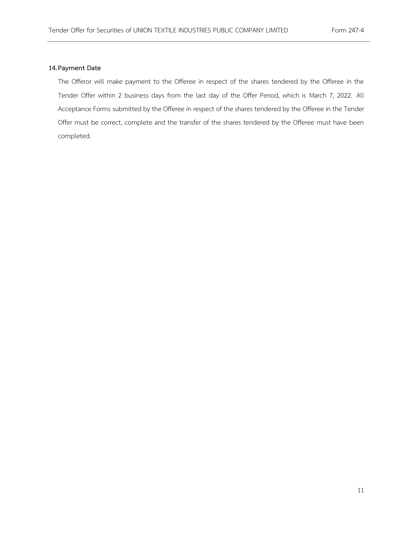#### **14.Payment Date**

The Offeror will make payment to the Offeree in respect of the shares tendered by the Offeree in the Tender Offer within 2 business days from the last day of the Offer Period, which is March 7, 2022. All Acceptance Forms submitted by the Offeree in respect of the shares tendered by the Offeree in the Tender Offer must be correct, complete and the transfer of the shares tendered by the Offeree must have been completed.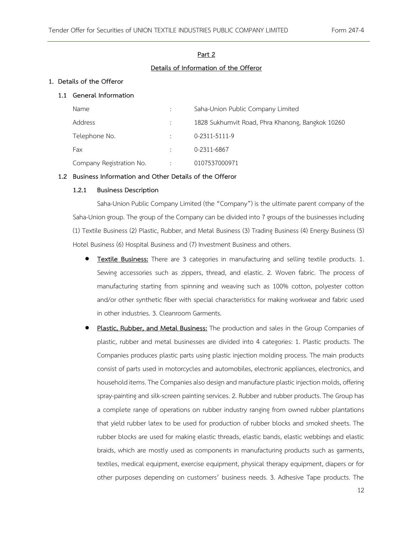#### **Part 2**

#### **Details of Information of the Offeror**

#### **1. Details of the Offeror**

#### **1.1 General Information**

| Name                     | Saha-Union Public Company Limited                |
|--------------------------|--------------------------------------------------|
| Address                  | 1828 Sukhumvit Road, Phra Khanong, Bangkok 10260 |
| Telephone No.            | 0-2311-5111-9                                    |
| Fax                      | 0-2311-6867                                      |
| Company Registration No. | 0107537000971                                    |

#### **1.2 Business Information and Other Details of the Offeror**

#### **1.2.1 Business Description**

Saha-Union Public Company Limited (the "Company") is the ultimate parent company of the Saha-Union group. The group of the Company can be divided into 7 groups of the businesses including (1) Textile Business (2) Plastic, Rubber, and Metal Business (3) Trading Business (4) Energy Business (5) Hotel Business (6) Hospital Business and (7) Investment Business and others.

- **Textile Business:** There are 3 categories in manufacturing and selling textile products. 1. Sewing accessories such as zippers, thread, and elastic. 2. Woven fabric. The process of manufacturing starting from spinning and weaving such as 100% cotton, polyester cotton and/or other synthetic fiber with special characteristics for making workwear and fabric used in other industries. 3. Cleanroom Garments.
- **Plastic, Rubber, and Metal Business:** The production and sales in the Group Companies of plastic, rubber and metal businesses are divided into 4 categories: 1. Plastic products. The Companies produces plastic parts using plastic injection molding process. The main products consist of parts used in motorcycles and automobiles, electronic appliances, electronics, and household items. The Companies also design and manufacture plastic injection molds, offering spray-painting and silk-screen painting services. 2. Rubber and rubber products. The Group has a complete range of operations on rubber industry ranging from owned rubber plantations that yield rubber latex to be used for production of rubber blocks and smoked sheets. The rubber blocks are used for making elastic threads, elastic bands, elastic webbings and elastic braids, which are mostly used as components in manufacturing products such as garments, textiles, medical equipment, exercise equipment, physical therapy equipment, diapers or for other purposes depending on customers' business needs. 3. Adhesive Tape products. The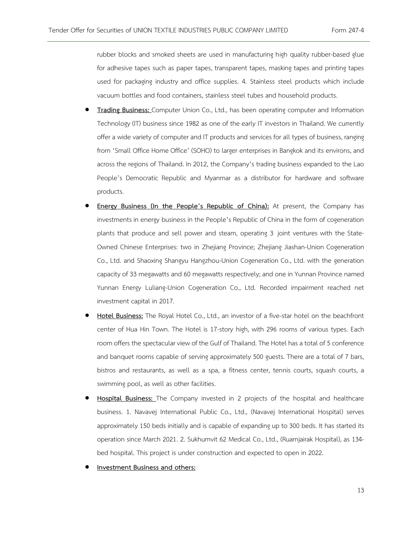rubber blocks and smoked sheets are used in manufacturing high quality rubber-based glue for adhesive tapes such as paper tapes, transparent tapes, masking tapes and printing tapes used for packaging industry and office supplies. 4. Stainless steel products which include vacuum bottles and food containers, stainless steel tubes and household products.

- **Trading Business:** Computer Union Co., Ltd., has been operating computer and Information Technology (IT) business since 1982 as one of the early IT investors in Thailand. We currently offer a wide variety of computer and IT products and services for all types of business, ranging from 'Small Office Home Office' (SOHO) to larger enterprises in Bangkok and its environs, and across the regions of Thailand. In 2012, the Company's trading business expanded to the Lao People's Democratic Republic and Myanmar as a distributor for hardware and software products.
- **Energy Business (In the People's Republic of China):** At present, the Company has investments in energy business in the People's Republic of China in the form of cogeneration plants that produce and sell power and steam, operating 3 joint ventures with the State-Owned Chinese Enterprises: two in Zhejiang Province; Zhejiang Jiashan-Union Cogeneration Co., Ltd. and Shaoxing Shangyu Hangzhou-Union Cogeneration Co., Ltd. with the generation capacity of 33 megawatts and 60 megawatts respectively; and one in Yunnan Province named Yunnan Energy Luliang-Union Cogeneration Co., Ltd. Recorded impairment reached net investment capital in 2017.
- **Hotel Business:** The Royal Hotel Co., Ltd., an investor of a five-star hotel on the beachfront center of Hua Hin Town. The Hotel is 17-story high, with 296 rooms of various types. Each room offers the spectacular view of the Gulf of Thailand. The Hotel has a total of 5 conference and banquet rooms capable of serving approximately 500 guests. There are a total of 7 bars, bistros and restaurants, as well as a spa, a fitness center, tennis courts, squash courts, a swimming pool, as well as other facilities.
- **Hospital Business:** The Company invested in 2 projects of the hospital and healthcare business. 1. Navavej International Public Co., Ltd., (Navavej International Hospital) serves approximately 150 beds initially and is capable of expanding up to 300 beds. It has started its operation since March 2021. 2. Sukhumvit 62 Medical Co., Ltd., (Ruamjairak Hospital), as 134 bed hospital. This project is under construction and expected to open in 2022.
- **Investment Business and others:**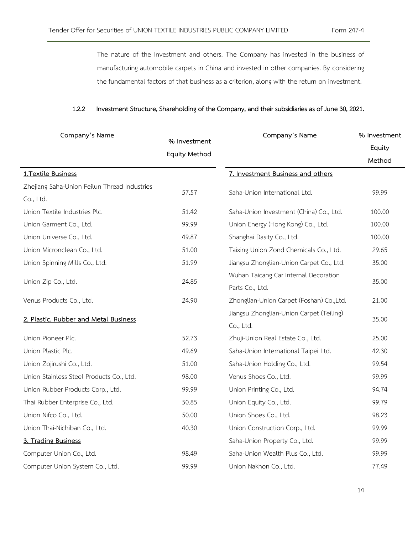The nature of the Investment and others. The Company has invested in the business of manufacturing automobile carpets in China and invested in other companies. By considering the fundamental factors of that business as a criterion, along with the return on investment.

#### **1.2.2 Investment Structure, Shareholding of the Company, and their subsidiaries as of June 30, 2021.**

| Company's Name                               | % Investment         | Company's Name                           | % Investment |  |
|----------------------------------------------|----------------------|------------------------------------------|--------------|--|
|                                              | <b>Equity Method</b> |                                          | Equity       |  |
|                                              |                      |                                          | Method       |  |
| 1.Textile Business                           |                      | 7. Investment Business and others        |              |  |
| Zhejiang Saha-Union Feilun Thread Industries |                      |                                          |              |  |
| Co., Ltd.                                    | 57.57                | Saha-Union International Ltd.            | 99.99        |  |
| Union Textile Industries Plc.                | 51.42                | Saha-Union Investment (China) Co., Ltd.  | 100.00       |  |
| Union Garment Co., Ltd.                      | 99.99                | Union Energy (Hong Kong) Co., Ltd.       | 100.00       |  |
| Union Universe Co., Ltd.                     | 49.87                | Shanghai Dasity Co., Ltd.                | 100.00       |  |
| Union Micronclean Co., Ltd.                  | 51.00                | Taixing Union Zond Chemicals Co., Ltd.   | 29.65        |  |
| Union Spinning Mills Co., Ltd.               | 51.99                | Jiangsu Zhonglian-Union Carpet Co., Ltd. | 35.00        |  |
|                                              | 24.85                | Wuhan Taicang Car Internal Decoration    | 35.00        |  |
| Union Zip Co., Ltd.                          |                      | Parts Co., Ltd.                          |              |  |
| Venus Products Co., Ltd.                     | 24.90                | Zhonglian-Union Carpet (Foshan) Co.,Ltd. | 21.00        |  |
| 2. Plastic, Rubber and Metal Business        |                      | Jiangsu Zhonglian-Union Carpet (Teiling) | 35.00        |  |
|                                              |                      | Co., Ltd.                                |              |  |
| Union Pioneer Plc.                           | 52.73                | Zhuji-Union Real Estate Co., Ltd.        | 25.00        |  |
| Union Plastic Plc.                           | 49.69                | Saha-Union International Taipei Ltd.     | 42.30        |  |
| Union Zojirushi Co., Ltd.                    | 51.00                | Saha-Union Holding Co., Ltd.             | 99.54        |  |
| Union Stainless Steel Products Co., Ltd.     | 98.00                | Venus Shoes Co., Ltd.                    | 99.99        |  |
| Union Rubber Products Corp., Ltd.            | 99.99                | Union Printing Co., Ltd.                 | 94.74        |  |
| Thai Rubber Enterprise Co., Ltd.             | 50.85                | Union Equity Co., Ltd.                   | 99.79        |  |
| Union Nifco Co., Ltd.                        | 50.00                | Union Shoes Co., Ltd.                    | 98.23        |  |
| Union Thai-Nichiban Co., Ltd.                | 40.30                | Union Construction Corp., Ltd.           | 99.99        |  |
| 3. Trading Business                          |                      | Saha-Union Property Co., Ltd.            | 99.99        |  |
| Computer Union Co., Ltd.                     | 98.49                | Saha-Union Wealth Plus Co., Ltd.         | 99.99        |  |
| Computer Union System Co., Ltd.              | 99.99                | Union Nakhon Co., Ltd.                   | 77.49        |  |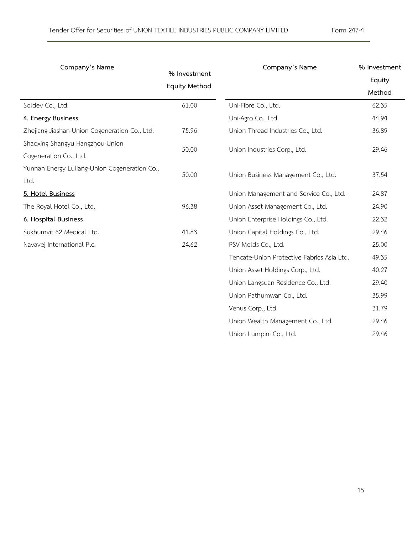| Company's Name                                | Company's Name       |                                            | % Investment |  |
|-----------------------------------------------|----------------------|--------------------------------------------|--------------|--|
|                                               | % Investment         |                                            | Equity       |  |
|                                               | <b>Equity Method</b> |                                            | Method       |  |
| Soldev Co., Ltd.                              | 61.00                | Uni-Fibre Co., Ltd.                        | 62.35        |  |
| 4. Energy Business                            |                      | Uni-Agro Co., Ltd.                         | 44.94        |  |
| Zhejiang Jiashan-Union Cogeneration Co., Ltd. | 75.96                | Union Thread Industries Co., Ltd.          | 36.89        |  |
| Shaoxing Shangyu Hangzhou-Union               |                      |                                            |              |  |
| Cogeneration Co., Ltd.                        | 50.00                | Union Industries Corp., Ltd.               | 29.46        |  |
| Yunnan Energy Luliang-Union Cogeneration Co., | 50.00                |                                            | 37.54        |  |
| Ltd.                                          |                      | Union Business Management Co., Ltd.        |              |  |
| 5. Hotel Business                             |                      | Union Management and Service Co., Ltd.     | 24.87        |  |
| The Royal Hotel Co., Ltd.                     | 96.38                | Union Asset Management Co., Ltd.           | 24.90        |  |
| 6. Hospital Business                          |                      | Union Enterprise Holdings Co., Ltd.        | 22.32        |  |
| Sukhumvit 62 Medical Ltd.                     | 41.83                | Union Capital Holdings Co., Ltd.           | 29.46        |  |
| Navavej International Plc.                    | 24.62                | PSV Molds Co., Ltd.                        | 25.00        |  |
|                                               |                      | Tencate-Union Protective Fabrics Asia Ltd. | 49.35        |  |
|                                               |                      | Union Asset Holdings Corp., Ltd.           | 40.27        |  |
|                                               |                      | Union Langsuan Residence Co., Ltd.         | 29.40        |  |
|                                               |                      | Union Pathumwan Co., Ltd.                  | 35.99        |  |
|                                               |                      | Venus Corp., Ltd.                          | 31.79        |  |
|                                               |                      | Union Wealth Management Co., Ltd.          | 29.46        |  |
|                                               |                      | Union Lumpini Co., Ltd.                    | 29.46        |  |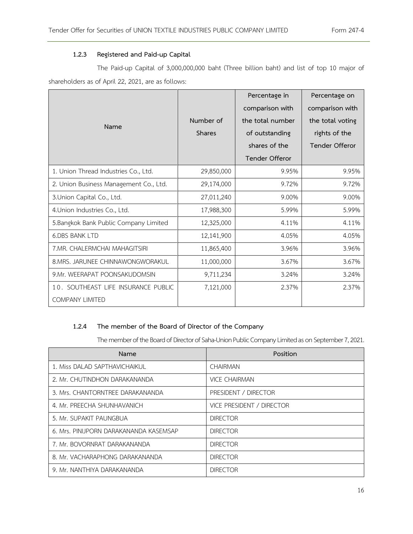#### **1.2.3 Registered and Paid-up Capital**

The Paid-up Capital of 3,000,000,000 baht (Three billion baht) and list of top 10 major of shareholders as of April 22, 2021, are as follows:

|                                        |               | Percentage in         | Percentage on         |  |
|----------------------------------------|---------------|-----------------------|-----------------------|--|
|                                        |               | comparison with       | comparison with       |  |
| Name                                   | Number of     | the total number      | the total voting      |  |
|                                        | <b>Shares</b> | of outstanding        | rights of the         |  |
|                                        |               | shares of the         | <b>Tender Offeror</b> |  |
|                                        |               | <b>Tender Offeror</b> |                       |  |
| 1. Union Thread Industries Co., Ltd.   | 29,850,000    | 9.95%                 | 9.95%                 |  |
| 2. Union Business Management Co., Ltd. | 29,174,000    | 9.72%                 | 9.72%                 |  |
| 3. Union Capital Co., Ltd.             | 27,011,240    | 9.00%                 | 9.00%                 |  |
| 4. Union Industries Co., Ltd.          | 17,988,300    | 5.99%                 | 5.99%                 |  |
| 5.Bangkok Bank Public Company Limited  | 12,325,000    | 4.11%                 | 4.11%                 |  |
| <b>6.DBS BANK LTD</b>                  | 12,141,900    | 4.05%                 | 4.05%                 |  |
| 7.MR. CHALERMCHAI MAHAGITSIRI          | 11,865,400    | 3.96%                 | 3.96%                 |  |
| 8.MRS. JARUNEE CHINNAWONGWORAKUL       | 11,000,000    | 3.67%                 | 3.67%                 |  |
| 9. Mr. WEERAPAT POONSAKUDOMSIN         | 9,711,234     | 3.24%                 | 3.24%                 |  |
| 10. SOUTHEAST LIFE INSURANCE PUBLIC    | 7,121,000     | 2.37%                 | 2.37%                 |  |
| <b>COMPANY LIMITED</b>                 |               |                       |                       |  |

#### **1.2.4 The member of the Board of Director of the Company**

The member of the Board of Director of Saha-Union Public Company Limited as on September 7, 2021.

| Name                                   | Position                  |
|----------------------------------------|---------------------------|
| 1. Miss DALAD SAPTHAVICHAIKUL          | <b>CHAIRMAN</b>           |
| 2. Mr. CHUTINDHON DARAKANANDA          | <b>VICE CHAIRMAN</b>      |
| 3. Mrs. CHANTORNTREE DARAKANANDA       | PRESIDENT / DIRECTOR      |
| 4. Mr. PREECHA SHUNHAVANICH            | VICE PRESIDENT / DIRECTOR |
| 5. Mr. SUPAKIT PAUNGBUA                | <b>DIRECTOR</b>           |
| 6. Mrs. PINIJPORN DARAKANANDA KASEMSAP | <b>DIRECTOR</b>           |
| 7. Mr. BOVORNRAT DARAKANANDA           | <b>DIRECTOR</b>           |
| 8. Mr. VACHARAPHONG DARAKANANDA        | <b>DIRECTOR</b>           |
| 9. Mr. NANTHIYA DARAKANANDA            | <b>DIRECTOR</b>           |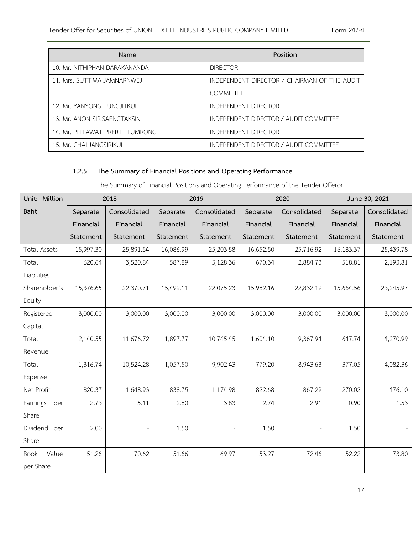| Name                            | Position                                     |
|---------------------------------|----------------------------------------------|
| 10. Mr. NITHIPHAN DARAKANANDA   | <b>DIRECTOR</b>                              |
| 11. Mrs. SUTTIMA JAMNARNWEJ     | INDEPENDENT DIRECTOR / CHAIRMAN OF THE AUDIT |
|                                 | <b>COMMITTEE</b>                             |
| 12. Mr. YANYONG TUNGJITKUL      | INDEPENDENT DIRECTOR                         |
| 13. Mr. ANON SIRISAENGTAKSIN    | INDEPENDENT DIRECTOR / AUDIT COMMITTEE       |
| 14. Mr. PITTAWAT PRERTTITUMRONG | INDEPENDENT DIRECTOR                         |
| 15. Mr. CHAI JANGSIRIKUL        | INDEPENDENT DIRECTOR / AUDIT COMMITTEE       |

# **1.2.5 The Summary of Financial Positions and Operating Performance**

The Summary of Financial Positions and Operating Performance of the Tender Offeror

| Unit: Million       |           | 2018         | 2019<br>2020<br>June 30, 2021 |              |           |              |           |              |
|---------------------|-----------|--------------|-------------------------------|--------------|-----------|--------------|-----------|--------------|
| Baht                | Separate  | Consolidated | Separate                      | Consolidated | Separate  | Consolidated | Separate  | Consolidated |
|                     | Financial | Financial    | Financial                     | Financial    | Financial | Financial    | Financial | Financial    |
|                     | Statement | Statement    | Statement                     | Statement    | Statement | Statement    | Statement | Statement    |
| <b>Total Assets</b> | 15,997.30 | 25,891.54    | 16,086.99                     | 25,203.58    | 16,652.50 | 25,716.92    | 16,183.37 | 25,439.78    |
| Total               | 620.64    | 3,520.84     | 587.89                        | 3,128.36     | 670.34    | 2,884.73     | 518.81    | 2,193.81     |
| Liabilities         |           |              |                               |              |           |              |           |              |
| Shareholder's       | 15,376.65 | 22,370.71    | 15,499.11                     | 22,075.23    | 15,982.16 | 22,832.19    | 15,664.56 | 23,245.97    |
| Equity              |           |              |                               |              |           |              |           |              |
| Registered          | 3,000.00  | 3,000.00     | 3,000.00                      | 3,000.00     | 3,000.00  | 3,000.00     | 3,000.00  | 3,000.00     |
| Capital             |           |              |                               |              |           |              |           |              |
| Total               | 2,140.55  | 11,676.72    | 1,897.77                      | 10,745.45    | 1,604.10  | 9,367.94     | 647.74    | 4,270.99     |
| Revenue             |           |              |                               |              |           |              |           |              |
| Total               | 1,316.74  | 10,524.28    | 1,057.50                      | 9,902.43     | 779.20    | 8,943.63     | 377.05    | 4,082.36     |
| Expense             |           |              |                               |              |           |              |           |              |
| Net Profit          | 820.37    | 1,648.93     | 838.75                        | 1,174.98     | 822.68    | 867.29       | 270.02    | 476.10       |
| Earnings<br>per     | 2.73      | 5.11         | 2.80                          | 3.83         | 2.74      | 2.91         | 0.90      | 1.53         |
| Share               |           |              |                               |              |           |              |           |              |
| Dividend<br>per     | 2.00      |              | 1.50                          |              | 1.50      |              | 1.50      |              |
| Share               |           |              |                               |              |           |              |           |              |
| Book<br>Value       | 51.26     | 70.62        | 51.66                         | 69.97        | 53.27     | 72.46        | 52.22     | 73.80        |
| per Share           |           |              |                               |              |           |              |           |              |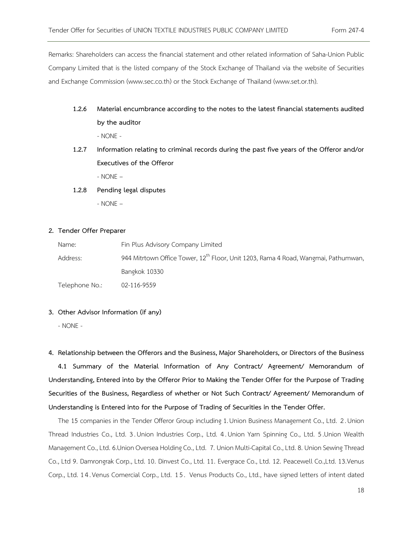Remarks: Shareholders can access the financial statement and other related information of Saha-Union Public Company Limited that is the listed company of the Stock Exchange of Thailand via the website of Securities and Exchange Commission [\(www.sec.co.th\)](http://www.sec.co.th/) or the Stock Exchange of Thailand ([www.set.or.th\)](http://www.set.or.th/).

- **1.2.6 Material encumbrance according to the notes to the latest financial statements audited by the auditor** - NONE -
- **1.2.7 Information relating to criminal records during the past five years of the Offeror and/or Executives of the Offeror**

- NONE –

#### **1.2.8 Pending legal disputes**

- NONE –

#### **2. Tender Offer Preparer**

| Name:          | Fin Plus Advisory Company Limited                                                              |
|----------------|------------------------------------------------------------------------------------------------|
| Address:       | 944 Mitrtown Office Tower, 12 <sup>th</sup> Floor, Unit 1203, Rama 4 Road, Wangmai, Pathumwan, |
|                | Bangkok 10330                                                                                  |
| Telephone No.: | 02-116-9559                                                                                    |

#### **3. Other Advisor Information (if any)**

- NONE -

**4. Relationship between the Offerors and the Business, Major Shareholders, or Directors of the Business 4.1 Summary of the Material Information of Any Contract/ Agreement/ Memorandum of Understanding, Entered into by the Offeror Prior to Making the Tender Offer for the Purpose of Trading Securities of the Business, Regardless of whether or Not Such Contract/ Agreement/ Memorandum of** 

**Understanding is Entered into for the Purpose of Trading of Securities in the Tender Offer.**

The 15 companies in the Tender Offeror Group including 1.Union Business Management Co., Ltd. 2 .Union Thread Industries Co., Ltd. 3 . Union Industries Corp., Ltd. 4 . Union Yarn Spinning Co., Ltd. 5.Union Wealth Management Co., Ltd. 6.Union Oversea Holding Co., Ltd. 7. Union Multi-Capital Co., Ltd. 8. Union Sewing Thread Co., Ltd 9. Damrongrak Corp., Ltd. 10. Dinvest Co., Ltd. 11. Evergrace Co., Ltd. 12. Peacewell Co.,Ltd. 13.Venus Corp., Ltd. 14.Venus Comercial Corp., Ltd. 15. Venus Products Co., Ltd., have signed letters of intent dated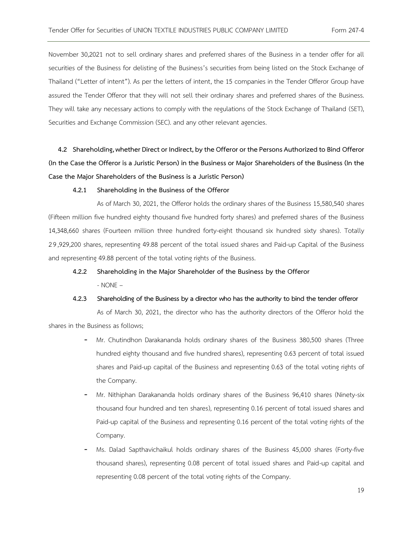November 30,2021 not to sell ordinary shares and preferred shares of the Business in a tender offer for all securities of the Business for delisting of the Business's securities from being listed on the Stock Exchange of Thailand ("Letter of intent"). As per the letters of intent, the 15 companies in the Tender Offeror Group have assured the Tender Offeror that they will not sell their ordinary shares and preferred shares of the Business. They will take any necessary actions to comply with the regulations of the Stock Exchange of Thailand (SET), Securities and Exchange Commission (SEC). and any other relevant agencies.

**4.2 Shareholding, whether Direct or Indirect, by the Offeror or the Persons Authorized to Bind Offeror (In the Case the Offeror is a Juristic Person) in the Business or Major Shareholders of the Business (In the Case the Major Shareholders of the Business is a Juristic Person)**

#### **4.2.1 Shareholding in the Business of the Offeror**

As of March 30, 2021, the Offeror holds the ordinary shares of the Business 15,580,540 shares (Fifteen million five hundred eighty thousand five hundred forty shares) and preferred shares of the Business 14,348,660 shares (Fourteen million three hundred forty-eight thousand six hundred sixty shares). Totally 2 9,929,200 shares, representing 49.88 percent of the total issued shares and Paid-up Capital of the Business and representing 49.88 percent of the total voting rights of the Business.

# **4.2.2 Shareholding in the Major Shareholder of the Business by the Offeror** - NONE –

**4.2.3 Shareholding of the Business by a director who has the authority to bind the tender offeror**

As of March 30, 2021, the director who has the authority directors of the Offeror hold the shares in the Business as follows;

- Mr. Chutindhon Darakananda holds ordinary shares of the Business 380,500 shares (Three hundred eighty thousand and five hundred shares), representing 0.63 percent of total issued shares and Paid-up capital of the Business and representing 0.63 of the total voting rights of the Company.
- Mr. Nithiphan Darakananda holds ordinary shares of the Business 96,410 shares (Ninety-six thousand four hundred and ten shares), representing 0.16 percent of total issued shares and Paid-up capital of the Business and representing 0.16 percent of the total voting rights of the Company.
- Ms. Dalad Sapthavichaikul holds ordinary shares of the Business 45,000 shares (Forty-five thousand shares), representing 0.08 percent of total issued shares and Paid-up capital and representing 0.08 percent of the total voting rights of the Company.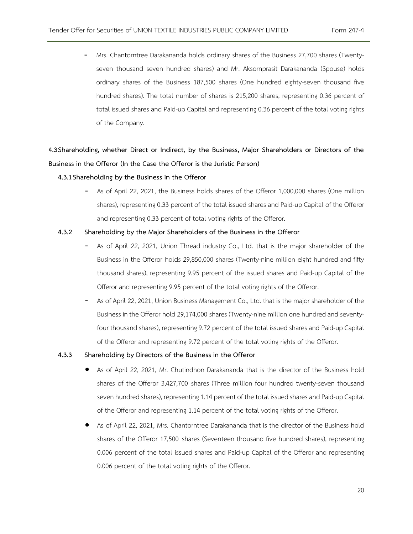- Mrs. Chantorntree Darakananda holds ordinary shares of the Business 27,700 shares (Twentyseven thousand seven hundred shares) and Mr. Aksornprasit Darakananda (Spouse) holds ordinary shares of the Business 187,500 shares (One hundred eighty-seven thousand five hundred shares). The total number of shares is 215,200 shares, representing 0.36 percent of total issued shares and Paid-up Capital and representing 0.36 percent of the total voting rights of the Company.

# **4.3Shareholding, whether Direct or Indirect, by the Business, Major Shareholders or Directors of the Business in the Offeror (In the Case the Offeror is the Juristic Person)**

#### **4.3.1Shareholding by the Business in the Offeror**

- As of April 22, 2021, the Business holds shares of the Offeror 1,000,000 shares (One million shares), representing 0.33 percent of the total issued shares and Paid-up Capital of the Offeror and representing 0.33 percent of total voting rights of the Offeror.

#### **4.3.2 Shareholding by the Major Shareholders of the Business in the Offeror**

- As of April 22, 2021, Union Thread industry Co., Ltd. that is the major shareholder of the Business in the Offeror holds 29,850,000 shares (Twenty-nine million eight hundred and fifty thousand shares), representing 9.95 percent of the issued shares and Paid-up Capital of the Offeror and representing 9.95 percent of the total voting rights of the Offeror.
- As of April 22, 2021, Union Business Management Co., Ltd. that is the major shareholder of the Business in the Offeror hold 29,174,000 shares (Twenty-nine million one hundred and seventyfour thousand shares), representing 9.72 percent of the total issued shares and Paid-up Capital of the Offeror and representing 9.72 percent of the total voting rights of the Offeror.

#### **4.3.3 Shareholding by Directors of the Business in the Offeror**

- As of April 22, 2021, Mr. Chutindhon Darakananda that is the director of the Business hold shares of the Offeror 3,427,700 shares (Three million four hundred twenty-seven thousand seven hundred shares), representing 1.14 percent of the total issued shares and Paid-up Capital of the Offeror and representing 1.14 percent of the total voting rights of the Offeror.
- As of April 22, 2021, Mrs. Chantorntree Darakananda that is the director of the Business hold shares of the Offeror 17,500 shares (Seventeen thousand five hundred shares), representing 0.006 percent of the total issued shares and Paid-up Capital of the Offeror and representing 0.006 percent of the total voting rights of the Offeror.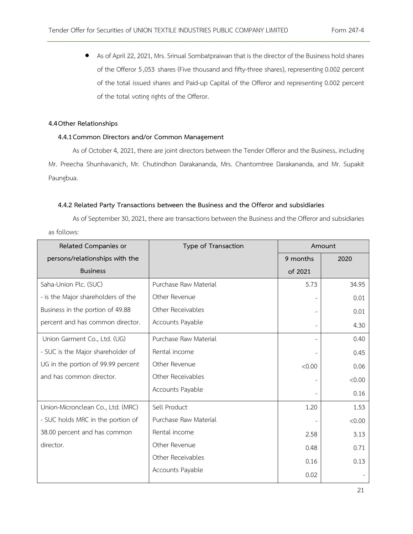• As of April 22, 2021, Mrs. Srinual Sombatpraiwan that is the director of the Business hold shares of the Offeror 5,053 shares (Five thousand and fifty-three shares), representing 0.002 percent of the total issued shares and Paid-up Capital of the Offeror and representing 0.002 percent of the total voting rights of the Offeror.

#### **4.4Other Relationships**

#### **4.4.1Common Directors and/or Common Management**

As of October 4, 2021, there are joint directors between the Tender Offeror and the Business, including Mr. Preecha Shunhavanich, Mr. Chutindhon Darakananda, Mrs. Chantorntree Darakananda, and Mr. Supakit Paungbua.

#### **4.4.2 Related Party Transactions between the Business and the Offeror and subsidiaries**

As of September 30, 2021, there are transactions between the Business and the Offeror and subsidiaries as follows:

| Related Companies or               | Type of Transaction   | Amount   |        |
|------------------------------------|-----------------------|----------|--------|
| persons/relationships with the     |                       | 9 months | 2020   |
| <b>Business</b>                    |                       | of 2021  |        |
| Saha-Union Plc. (SUC)              | Purchase Raw Material | 5.73     | 34.95  |
| - is the Major shareholders of the | Other Revenue         |          | 0.01   |
| Business in the portion of 49.88   | Other Receivables     |          | 0.01   |
| percent and has common director.   | Accounts Payable      |          | 4.30   |
| Union Garment Co., Ltd. (UG)       | Purchase Raw Material |          | 0.40   |
| - SUC is the Major shareholder of  | Rental income         |          | 0.45   |
| UG in the portion of 99.99 percent | Other Revenue         | < 0.00   | 0.06   |
| and has common director.           | Other Receivables     |          | &0.00  |
|                                    | Accounts Payable      |          | 0.16   |
| Union-Micronclean Co., Ltd. (MRC)  | Sell Product          | 1.20     | 1.53   |
| - SUC holds MRC in the portion of  | Purchase Raw Material |          | < 0.00 |
| 38.00 percent and has common       | Rental income         | 2.58     | 3.13   |
| director.                          | Other Revenue         | 0.48     | 0.71   |
|                                    | Other Receivables     | 0.16     | 0.13   |
|                                    | Accounts Payable      | 0.02     |        |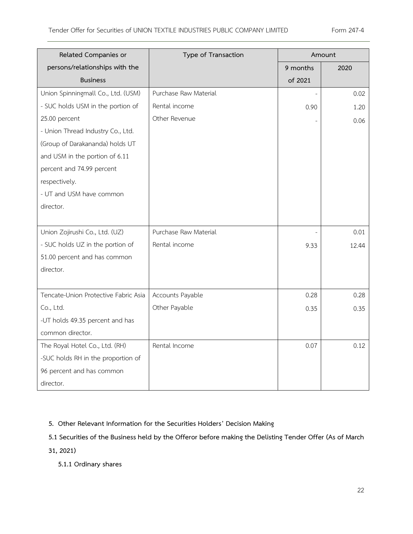| Related Companies or                 | Type of Transaction   |          | Amount |  |  |
|--------------------------------------|-----------------------|----------|--------|--|--|
| persons/relationships with the       |                       | 9 months | 2020   |  |  |
| <b>Business</b>                      |                       | of 2021  |        |  |  |
| Union Spinningmall Co., Ltd. (USM)   | Purchase Raw Material |          | 0.02   |  |  |
| - SUC holds USM in the portion of    | Rental income         | 0.90     | 1.20   |  |  |
| 25.00 percent                        | Other Revenue         |          | 0.06   |  |  |
| - Union Thread Industry Co., Ltd.    |                       |          |        |  |  |
| (Group of Darakananda) holds UT      |                       |          |        |  |  |
| and USM in the portion of 6.11       |                       |          |        |  |  |
| percent and 74.99 percent            |                       |          |        |  |  |
| respectively.                        |                       |          |        |  |  |
| - UT and USM have common             |                       |          |        |  |  |
| director.                            |                       |          |        |  |  |
|                                      |                       |          |        |  |  |
| Union Zojirushi Co., Ltd. (UZ)       | Purchase Raw Material |          | 0.01   |  |  |
| - SUC holds UZ in the portion of     | Rental income         | 9.33     | 12.44  |  |  |
| 51.00 percent and has common         |                       |          |        |  |  |
| director.                            |                       |          |        |  |  |
|                                      |                       |          |        |  |  |
| Tencate-Union Protective Fabric Asia | Accounts Payable      | 0.28     | 0.28   |  |  |
| Co., Ltd.                            | Other Payable         | 0.35     | 0.35   |  |  |
| -UT holds 49.35 percent and has      |                       |          |        |  |  |
| common director.                     |                       |          |        |  |  |
| The Royal Hotel Co., Ltd. (RH)       | Rental Income         | 0.07     | 0.12   |  |  |
| -SUC holds RH in the proportion of   |                       |          |        |  |  |
| 96 percent and has common            |                       |          |        |  |  |
| director.                            |                       |          |        |  |  |

**5. Other Relevant Information for the Securities Holders' Decision Making** 

**5.1 Securities of the Business held by the Offeror before making the Delisting Tender Offer (As of March** 

**31, 2021)** 

**5.1.1 Ordinary shares**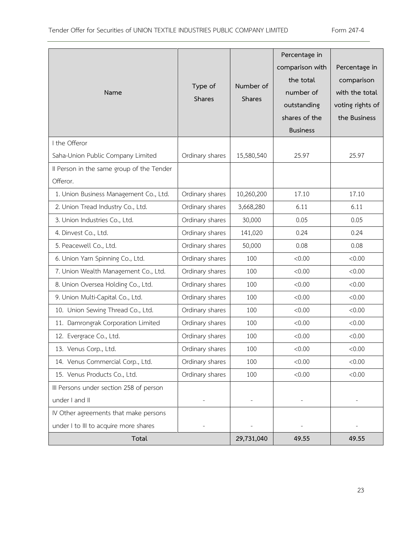| Name                                      | Type of<br>Shares | Number of<br>Shares | Percentage in<br>comparison with<br>the total<br>number of<br>outstanding<br>shares of the<br><b>Business</b> | Percentage in<br>comparison<br>with the total<br>voting rights of<br>the Business |
|-------------------------------------------|-------------------|---------------------|---------------------------------------------------------------------------------------------------------------|-----------------------------------------------------------------------------------|
| I the Offeror                             |                   |                     |                                                                                                               |                                                                                   |
| Saha-Union Public Company Limited         | Ordinary shares   | 15,580,540          | 25.97                                                                                                         | 25.97                                                                             |
| Il Person in the same group of the Tender |                   |                     |                                                                                                               |                                                                                   |
| Offeror.                                  |                   |                     |                                                                                                               |                                                                                   |
| 1. Union Business Management Co., Ltd.    | Ordinary shares   | 10,260,200          | 17.10                                                                                                         | 17.10                                                                             |
| 2. Union Tread Industry Co., Ltd.         | Ordinary shares   | 3,668,280           | 6.11                                                                                                          | 6.11                                                                              |
| 3. Union Industries Co., Ltd.             | Ordinary shares   | 30,000              | 0.05                                                                                                          | 0.05                                                                              |
| 4. Dinvest Co., Ltd.                      | Ordinary shares   | 141,020             | 0.24                                                                                                          | 0.24                                                                              |
| 5. Peacewell Co., Ltd.                    | Ordinary shares   | 50,000              | 0.08                                                                                                          | 0.08                                                                              |
| 6. Union Yarn Spinning Co., Ltd.          | Ordinary shares   | 100                 | < 0.00                                                                                                        | < 0.00                                                                            |
| 7. Union Wealth Management Co., Ltd.      | Ordinary shares   | 100                 | < 0.00                                                                                                        | < 0.00                                                                            |
| 8. Union Oversea Holding Co., Ltd.        | Ordinary shares   | 100                 | < 0.00                                                                                                        | &0.00                                                                             |
| 9. Union Multi-Capital Co., Ltd.          | Ordinary shares   | 100                 | < 0.00                                                                                                        | < 0.00                                                                            |
| 10. Union Sewing Thread Co., Ltd.         | Ordinary shares   | 100                 | < 0.00                                                                                                        | < 0.00                                                                            |
| 11. Damrongrak Corporation Limited        | Ordinary shares   | 100                 | &0.00                                                                                                         | < 0.00                                                                            |
| 12. Evergrace Co., Ltd.                   | Ordinary shares   | 100                 | < 0.00                                                                                                        | < 0.00                                                                            |
| 13. Venus Corp., Ltd.                     | Ordinary shares   | 100                 | < 0.00                                                                                                        | < 0.00                                                                            |
| 14. Venus Commercial Corp., Ltd.          | Ordinary shares   | 100                 | < 0.00                                                                                                        | < 0.00                                                                            |
| 15. Venus Products Co., Ltd.              | Ordinary shares   | 100                 | &0.00                                                                                                         | 0.00<                                                                             |
| III Persons under section 258 of person   |                   |                     |                                                                                                               |                                                                                   |
| under I and II                            |                   |                     |                                                                                                               |                                                                                   |
| IV Other agreements that make persons     |                   |                     |                                                                                                               |                                                                                   |
| under I to III to acquire more shares     |                   |                     |                                                                                                               |                                                                                   |
| Total                                     |                   | 29,731,040          | 49.55                                                                                                         | 49.55                                                                             |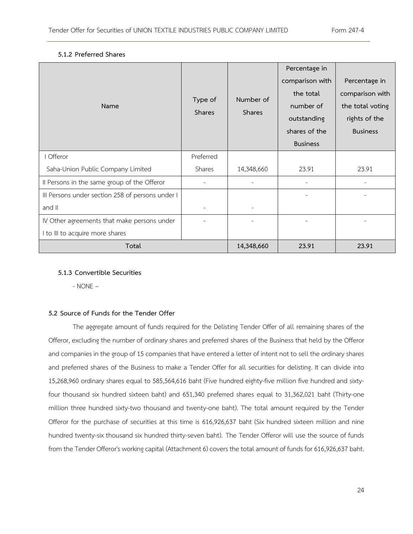| Name                                             | Type of<br><b>Shares</b> | Number of<br><b>Shares</b> | Percentage in<br>comparison with<br>the total<br>number of<br>outstanding<br>shares of the<br><b>Business</b> | Percentage in<br>comparison with<br>the total voting<br>rights of the<br><b>Business</b> |
|--------------------------------------------------|--------------------------|----------------------------|---------------------------------------------------------------------------------------------------------------|------------------------------------------------------------------------------------------|
| I Offeror                                        | Preferred                |                            |                                                                                                               |                                                                                          |
| Saha-Union Public Company Limited                | Shares                   | 14,348,660                 | 23.91                                                                                                         | 23.91                                                                                    |
| Il Persons in the same group of the Offeror      |                          |                            |                                                                                                               |                                                                                          |
| III Persons under section 258 of persons under I |                          |                            |                                                                                                               |                                                                                          |
| and II                                           |                          |                            |                                                                                                               |                                                                                          |
| IV Other agreements that make persons under      |                          |                            |                                                                                                               |                                                                                          |
| I to III to acquire more shares                  |                          |                            |                                                                                                               |                                                                                          |
| Total                                            |                          | 14,348,660                 | 23.91                                                                                                         | 23.91                                                                                    |

#### **5.1.2 Preferred Shares**

#### **5.1.3 Convertible Securities**

- NONE –

#### **5.2 Source of Funds for the Tender Offer**

The aggregate amount of funds required for the Delisting Tender Offer of all remaining shares of the Offeror, excluding the number of ordinary shares and preferred shares of the Business that held by the Offeror and companies in the group of 15 companies that have entered a letter of intent not to sell the ordinary shares and preferred shares of the Business to make a Tender Offer for all securities for delisting. It can divide into 15,268,960 ordinary shares equal to 585,564,616 baht (Five hundred eighty-five million five hundred and sixtyfour thousand six hundred sixteen baht) and 651,340 preferred shares equal to 31,362,021 baht (Thirty-one million three hundred sixty-two thousand and twenty-one baht). The total amount required by the Tender Offeror for the purchase of securities at this time is 616,926,637 baht (Six hundred sixteen million and nine hundred twenty-six thousand six hundred thirty-seven baht). The Tender Offeror will use the source of funds from the Tender Offeror's working capital (Attachment 6) covers the total amount of funds for 616,926,637 baht.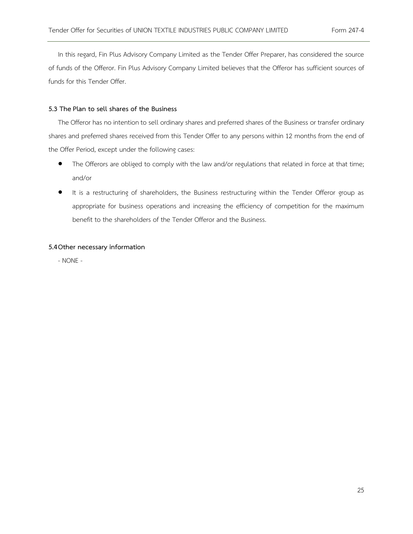In this regard, Fin Plus Advisory Company Limited as the Tender Offer Preparer, has considered the source of funds of the Offeror. Fin Plus Advisory Company Limited believes that the Offeror has sufficient sources of funds for this Tender Offer.

#### **5.3 ThePlan to sell shares of the Business**

The Offeror has no intention to sell ordinary shares and preferred shares of the Business or transfer ordinary shares and preferred shares received from this Tender Offer to any persons within 12 months from the end of the Offer Period, except under the following cases:

- The Offerors are obliged to comply with the law and/or regulations that related in force at that time; and/or
- It is a restructuring of shareholders, the Business restructuring within the Tender Offeror group as appropriate for business operations and increasing the efficiency of competition for the maximum benefit to the shareholders of the Tender Offeror and the Business.

#### **5.4Other necessary information**

- NONE -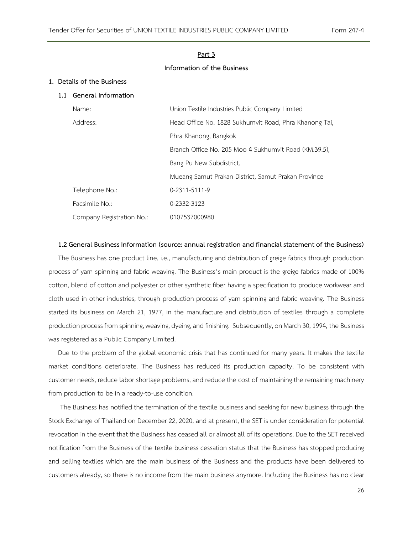#### **Part 3**

#### **Information of the Business**

#### **1. Details of the Business**

#### **1.1 General Information**

| Name:                     | Union Textile Industries Public Company Limited        |
|---------------------------|--------------------------------------------------------|
| Address:                  | Head Office No. 1828 Sukhumvit Road, Phra Khanong Tai, |
|                           | Phra Khanong, Bangkok                                  |
|                           | Branch Office No. 205 Moo 4 Sukhumvit Road (KM.39.5).  |
|                           | Bang Pu New Subdistrict,                               |
|                           | Mueang Samut Prakan District, Samut Prakan Province    |
| Telephone No.:            | 0-2311-5111-9                                          |
| Facsimile No.:            | 0-2332-3123                                            |
| Company Registration No.: | 0107537000980                                          |

#### **1.2 General Business Information (source: annual registration and financial statement of the Business)**

The Business has one product line, i.e., manufacturing and distribution of greige fabrics through production process of yarn spinning and fabric weaving. The Business's main product is the greige fabrics made of 100% cotton, blend of cotton and polyester or other synthetic fiber having a specification to produce workwear and cloth used in other industries, through production process of yarn spinning and fabric weaving. The Business started its business on March 21, 1977, in the manufacture and distribution of textiles through a complete production process from spinning, weaving, dyeing, and finishing. Subsequently, on March 30, 1994, the Business was registered as a Public Company Limited.

Due to the problem of the global economic crisis that has continued for many years. It makes the textile market conditions deteriorate. The Business has reduced its production capacity. To be consistent with customer needs, reduce labor shortage problems, and reduce the cost of maintaining the remaining machinery from production to be in a ready-to-use condition.

The Business has notified the termination of the textile business and seeking for new business through the Stock Exchange of Thailand on December 22, 2020, and at present, the SET is under consideration for potential revocation in the event that the Business has ceased all or almost all of its operations. Due to the SET received notification from the Business of the textile business cessation status that the Business has stopped producing and selling textiles which are the main business of the Business and the products have been delivered to customers already, so there is no income from the main business anymore. Including the Business has no clear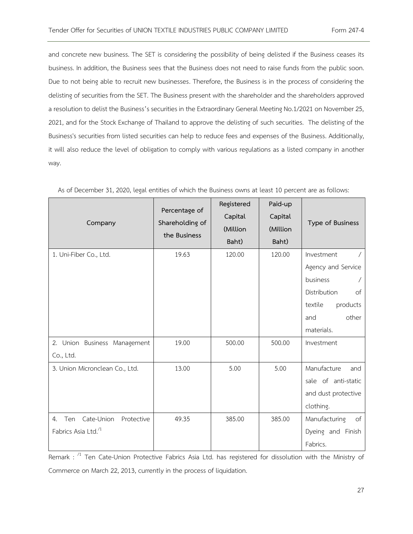and concrete new business. The SET is considering the possibility of being delisted if the Business ceases its business. In addition, the Business sees that the Business does not need to raise funds from the public soon. Due to not being able to recruit new businesses. Therefore, the Business is in the process of considering the delisting of securities from the SET. The Business present with the shareholder and the shareholders approved a resolution to delist the Business's securities in the Extraordinary General Meeting No.1/2021 on November 25, 2021, and for the Stock Exchange of Thailand to approve the delisting of such securities. The delisting of the Business's securities from listed securities can help to reduce fees and expenses of the Business. Additionally, it will also reduce the level of obligation to comply with various regulations as a listed company in another way.

| Company                                                                 | Percentage of<br>Shareholding of<br>the Business | Registered<br>Capital<br>(Million<br>Baht) | Paid-up<br>Capital<br>(Million<br>Baht) | Type of Business                                                                                                        |
|-------------------------------------------------------------------------|--------------------------------------------------|--------------------------------------------|-----------------------------------------|-------------------------------------------------------------------------------------------------------------------------|
| 1. Uni-Fiber Co., Ltd.                                                  | 19.63                                            | 120.00                                     | 120.00                                  | Investment<br>Agency and Service<br>business<br>Distribution<br>of<br>textile<br>products<br>other<br>and<br>materials. |
| 2. Union Business Management<br>Co., Ltd.                               | 19.00                                            | 500.00                                     | 500.00                                  | Investment                                                                                                              |
| 3. Union Micronclean Co., Ltd.                                          | 13.00                                            | 5.00                                       | 5.00                                    | Manufacture<br>and<br>sale of anti-static<br>and dust protective<br>clothing.                                           |
| Cate-Union<br>Protective<br>Ten<br>4.<br>Fabrics Asia Ltd. <sup>1</sup> | 49.35                                            | 385.00                                     | 385.00                                  | Manufacturing<br>of<br>Dyeing and Finish<br>Fabrics.                                                                    |

As of December 31, 2020, legal entities of which the Business owns at least 10 percent are as follows:

Remark : <sup>/1</sup> Ten Cate-Union Protective Fabrics Asia Ltd. has registered for dissolution with the Ministry of Commerce on March 22, 2013, currently in the process of liquidation.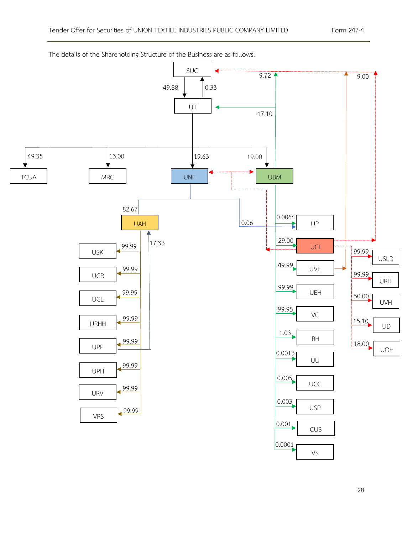

The details of the Shareholding Structure of the Business are as follows: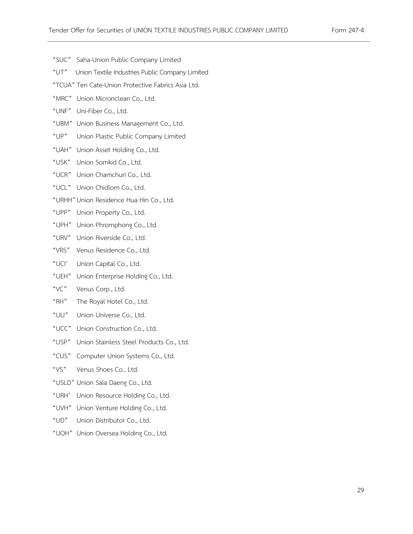- "SUC" Saha-Union Public Company Limited
- "UT" Union Textile Industries Public Company Limited
- "TCUA"Ten Cate-Union Protective Fabrics Asia Ltd.
- "MRC" Union Micronclean Co., Ltd.
- "UNF" Uni-Fiber Co., Ltd.
- "UBM" Union Business Management Co., Ltd.
- "UP" Union Plastic Public Company Limited
- "UAH" Union Asset Holding Co., Ltd.
- "USK" Union Somkid Co., Ltd.
- "UCR" Union Chamchuri Co., Ltd.
- "UCL" Union Chidlom Co., Ltd.
- "URHH"Union Residence Hua Hin Co., Ltd.
- "UPP" Union Property Co., Ltd.
- "UPH" Union Phromphong Co., Ltd.
- "URV" Union Riverside Co., Ltd.
- "VRS" Venus Residence Co., Ltd.
- "UCI' Union Capital Co., Ltd.
- "UEH" Union Enterprise Holding Co., Ltd.
- "VC" Venus Corp., Ltd.
- "RH" The Royal Hotel Co., Ltd.
- "UU" Union Universe Co., Ltd.
- "UCC" Union Construction Co., Ltd.
- "USP" Union Stainless Steel Products Co., Ltd.
- "CUS" Computer Union Systems Co., Ltd.
- "VS" Venus Shoes Co., Ltd.
- "USLD" Union Sala Daeng Co., Ltd.
- "URH' Union Resource Holding Co., Ltd.
- "UVH" Union Venture Holding Co., Ltd.
- "UD" Union Distributor Co., Ltd.
- "UOH" Union Oversea Holding Co., Ltd.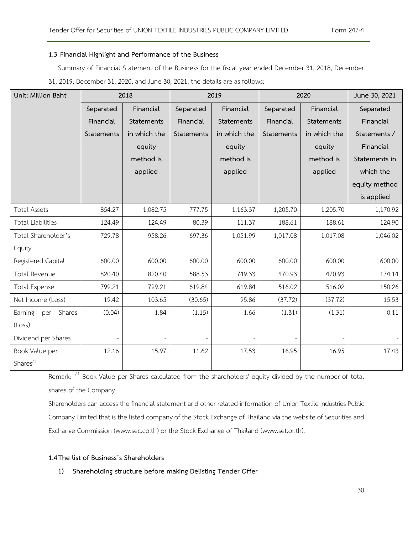#### **1.3 Financial Highlight and Performance of the Business**

Summary of Financial Statement of the Business for the fiscal year ended December 31, 2018, December 31, 2019, December 31, 2020, and June 30, 2021, the details are as follows:

| Unit: Million Baht       |            | 2018         |            | 2019         |            | 2020         | June 30, 2021 |
|--------------------------|------------|--------------|------------|--------------|------------|--------------|---------------|
|                          | Separated  | Financial    | Separated  | Financial    | Separated  | Financial    | Separated     |
|                          | Financial  | Statements   | Financial  | Statements   | Financial  | Statements   | Financial     |
|                          | Statements | in which the | Statements | in which the | Statements | in which the | Statements /  |
|                          |            | equity       |            | equity       |            | equity       | Financial     |
|                          |            | method is    |            | method is    |            | method is    | Statements in |
|                          |            | applied      |            | applied      |            | applied      | which the     |
|                          |            |              |            |              |            |              | equity method |
|                          |            |              |            |              |            |              | is applied    |
| <b>Total Assets</b>      | 854.27     | 1,082.75     | 777.75     | 1,163.37     | 1,205.70   | 1,205.70     | 1,170.92      |
| <b>Total Liabilities</b> | 124.49     | 124.49       | 80.39      | 111.37       | 188.61     | 188.61       | 124.90        |
| Total Shareholder's      | 729.78     | 958.26       | 697.36     | 1,051.99     | 1,017.08   | 1,017.08     | 1,046.02      |
| Equity                   |            |              |            |              |            |              |               |
| Registered Capital       | 600.00     | 600.00       | 600.00     | 600.00       | 600.00     | 600.00       | 600.00        |
| Total Revenue            | 820.40     | 820.40       | 588.53     | 749.33       | 470.93     | 470.93       | 174.14        |
| <b>Total Expense</b>     | 799.21     | 799.21       | 619.84     | 619.84       | 516.02     | 516.02       | 150.26        |
| Net Income (Loss)        | 19.42      | 103.65       | (30.65)    | 95.86        | (37.72)    | (37.72)      | 15.53         |
| Earning per<br>Shares    | (0.04)     | 1.84         | (1.15)     | 1.66         | (1.31)     | (1.31)       | 0.11          |
| (Loss)                   |            |              |            |              |            |              |               |
| Dividend per Shares      |            |              |            |              |            |              |               |
| Book Value per           | 12.16      | 15.97        | 11.62      | 17.53        | 16.95      | 16.95        | 17.43         |
| Shares $1$               |            |              |            |              |            |              |               |

Remark:  $\frac{1}{1}$  Book Value per Shares calculated from the shareholders' equity divided by the number of total shares of the Company.

Shareholders can access the financial statement and other related information of Union Textile Industries Public Company Limited that is the listed company of the Stock Exchange of Thailand via the website of Securities and Exchange Commission [\(www.sec.co.th\)](http://www.sec.co.th/) or the Stock Exchange of Thailand ([www.set.or.th\)](http://www.set.or.th/).

#### **1.4The list of Business's Shareholders**

**1) Shareholding structure before making Delisting Tender Offer**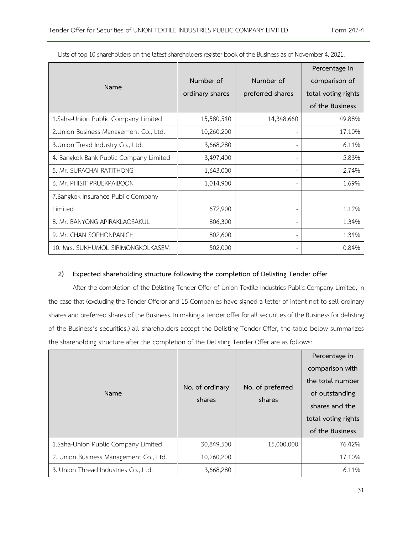|                                        |                 |                  | Percentage in       |
|----------------------------------------|-----------------|------------------|---------------------|
| Name                                   | Number of       | Number of        | comparison of       |
|                                        | ordinary shares | preferred shares | total voting rights |
|                                        |                 |                  | of the Business     |
| 1.Saha-Union Public Company Limited    | 15,580,540      | 14,348,660       | 49.88%              |
| 2. Union Business Management Co., Ltd. | 10,260,200      |                  | 17.10%              |
| 3. Union Tread Industry Co., Ltd.      | 3,668,280       |                  | 6.11%               |
| 4. Bangkok Bank Public Company Limited | 3,497,400       |                  | 5.83%               |
| 5. Mr. SURACHAI RATITHONG              | 1,643,000       |                  | 2.74%               |
| 6. Mr. PHISIT PRUEKPAIBOON             | 1,014,900       |                  | 1.69%               |
| 7. Bangkok Insurance Public Company    |                 |                  |                     |
| Limited                                | 672,900         |                  | 1.12%               |
| 8. Mr. BANYONG APIRAKLAOSAKUL          | 806,300         |                  | 1.34%               |
| 9. Mr. CHAN SOPHONPANICH               | 802,600         |                  | 1.34%               |
| 10. Mrs. SUKHUMOL SIRIMONGKOLKASEM     | 502,000         |                  | 0.84%               |

Lists of top 10 shareholders on the latest shareholders register book of the Business as of November 4, 2021.

### **2) Expected shareholding structure following the completion of Delisting Tender offer**

After the completion of the Delisting Tender Offer of Union Textile Industries Public Company Limited, in the case that (excluding the Tender Offeror and 15 Companies have signed a letter of intent not to sell ordinary shares and preferred shares of the Business. In making a tender offer for all securities of the Business for delisting of the Business's securities.) all shareholders accept the Delisting Tender Offer, the table below summarizes the shareholding structure after the completion of the Delisting Tender Offer are as follows:

| Name                                   | No. of ordinary<br>shares | No. of preferred<br>shares | Percentage in<br>comparison with<br>the total number<br>of outstanding<br>shares and the<br>total voting rights<br>of the Business |
|----------------------------------------|---------------------------|----------------------------|------------------------------------------------------------------------------------------------------------------------------------|
| 1. Saha-Union Public Company Limited   | 30,849,500                | 15,000,000                 | 76.42%                                                                                                                             |
| 2. Union Business Management Co., Ltd. | 10,260,200                |                            | 17.10%                                                                                                                             |
| 3. Union Thread Industries Co., Ltd.   | 3,668,280                 |                            | 6.11%                                                                                                                              |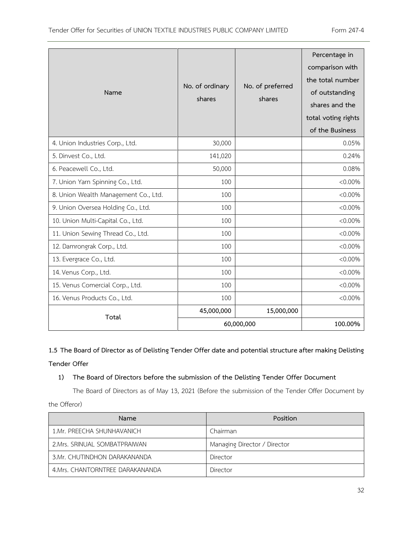| Name                                 | No. of ordinary<br>shares | No. of preferred<br>shares | Percentage in<br>comparison with<br>the total number<br>of outstanding<br>shares and the<br>total voting rights<br>of the Business |
|--------------------------------------|---------------------------|----------------------------|------------------------------------------------------------------------------------------------------------------------------------|
| 4. Union Industries Corp., Ltd.      | 30,000                    |                            | 0.05%                                                                                                                              |
| 5. Dinvest Co., Ltd.                 | 141,020                   |                            | 0.24%                                                                                                                              |
| 6. Peacewell Co., Ltd.               | 50,000                    |                            | 0.08%                                                                                                                              |
| 7. Union Yarn Spinning Co., Ltd.     | 100                       |                            | $< 0.00\%$                                                                                                                         |
| 8. Union Wealth Management Co., Ltd. | 100                       |                            | $< 0.00\%$                                                                                                                         |
| 9. Union Oversea Holding Co., Ltd.   | 100                       |                            | $< 0.00\%$                                                                                                                         |
| 10. Union Multi-Capital Co., Ltd.    | 100                       |                            | $< 0.00\%$                                                                                                                         |
| 11. Union Sewing Thread Co., Ltd.    | 100                       |                            | $< 0.00\%$                                                                                                                         |
| 12. Damrongrak Corp., Ltd.           | 100                       |                            | $< 0.00\%$                                                                                                                         |
| 13. Evergrace Co., Ltd.              | 100                       |                            | $< 0.00\%$                                                                                                                         |
| 14. Venus Corp., Ltd.                | 100                       |                            | $< 0.00\%$                                                                                                                         |
| 15. Venus Comercial Corp., Ltd.      | 100                       |                            | $< 0.00\%$                                                                                                                         |
| 16. Venus Products Co., Ltd.         | 100                       |                            | $< 0.00\%$                                                                                                                         |
| Total                                | 45,000,000                | 15,000,000                 |                                                                                                                                    |
|                                      |                           | 60,000,000                 | 100.00%                                                                                                                            |

**1.5 The Board of Director as of Delisting Tender Offer date and potential structure after making Delisting** 

# **Tender Offer**

# **1) The Board of Directors before the submission of the Delisting Tender Offer Document**

The Board of Directors as of May 13, 2021 (Before the submission of the Tender Offer Document by the Offeror)

| Name                             | Position                     |
|----------------------------------|------------------------------|
| 1.Mr. PREECHA SHUNHAVANICH       | Chairman                     |
| 2. Mrs. SRINUAL SOMBATPRAIWAN    | Managing Director / Director |
| 3.Mr. CHUTINDHON DARAKANANDA     | Director                     |
| 4. Mrs. CHANTORNTREE DARAKANANDA | Director                     |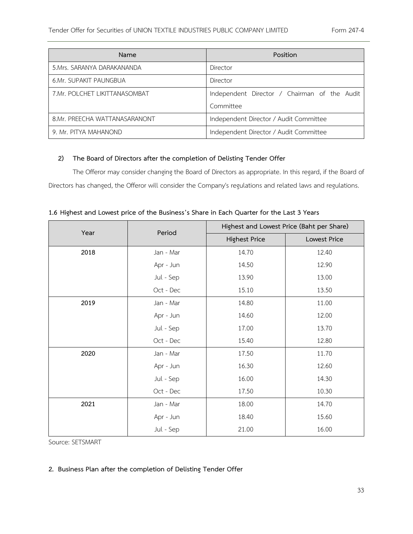| Name                           | Position                                     |  |
|--------------------------------|----------------------------------------------|--|
| 5. Mrs. SARANYA DARAKANANDA    | Director                                     |  |
| 6.Mr. SUPAKIT PAUNGBUA         | Director                                     |  |
| 7. Mr. POLCHET LIKITTANASOMBAT | Independent Director / Chairman of the Audit |  |
|                                | Committee                                    |  |
| 8.Mr. PREECHA WATTANASARANONT  | Independent Director / Audit Committee       |  |
| 9. Mr. PITYA MAHANOND          | Independent Director / Audit Committee       |  |

# **2) The Board of Directors after the completion of Delisting Tender Offer**

The Offeror may consider changing the Board of Directors as appropriate. In this regard, if the Board of Directors has changed, the Offeror will consider the Company's regulations and related laws and regulations.

| Year | Period    | Highest and Lowest Price (Baht per Share) |              |  |
|------|-----------|-------------------------------------------|--------------|--|
|      |           | <b>Highest Price</b>                      | Lowest Price |  |
| 2018 | Jan - Mar | 14.70                                     | 12.40        |  |
|      | Apr - Jun | 14.50                                     | 12.90        |  |
|      | Jul - Sep | 13.90                                     | 13.00        |  |
|      | Oct - Dec | 15.10                                     | 13.50        |  |
| 2019 | Jan - Mar | 14.80                                     | 11.00        |  |
|      | Apr - Jun | 14.60                                     | 12.00        |  |
|      | Jul - Sep | 17.00                                     | 13.70        |  |
|      | Oct - Dec | 15.40                                     | 12.80        |  |
| 2020 | Jan - Mar | 17.50                                     | 11.70        |  |
|      | Apr - Jun | 16.30                                     | 12.60        |  |
|      | Jul - Sep | 16.00                                     | 14.30        |  |
|      | Oct - Dec | 17.50                                     | 10.30        |  |
| 2021 | Jan - Mar | 18.00                                     | 14.70        |  |
|      | Apr - Jun | 18.40                                     | 15.60        |  |
|      | Jul - Sep | 21.00                                     | 16.00        |  |

Source: SETSMART

# **2. Business Plan after the completion of Delisting Tender Offer**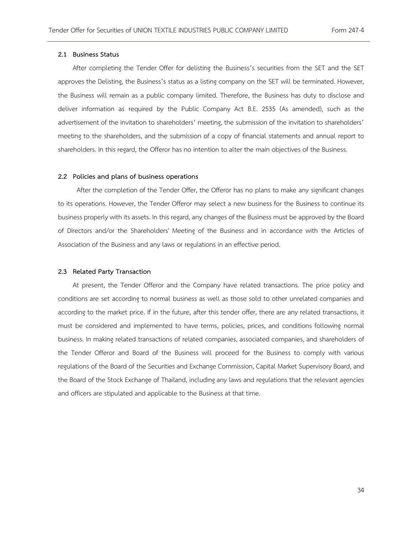#### **2.1 Business Status**

After completing the Tender Offer for delisting the Business's securities from the SET and the SET approves the Delisting, the Business's status as a listing company on the SET will be terminated. However, the Business will remain as a public company limited. Therefore, the Business has duty to disclose and deliver information as required by the Public Company Act B.E. 2535 (As amended), such as the advertisement of the invitation to shareholders' meeting, the submission of the invitation to shareholders' meeting to the shareholders, and the submission of a copy of financial statements and annual report to shareholders. In this regard, the Offeror has no intention to alter the main objectives of the Business.

#### **2.2 Policies and plans of business operations**

 After the completion of the Tender Offer, the Offeror has no plans to make any significant changes to its operations. However, the Tender Offeror may select a new business for the Business to continue its business properly with its assets. In this regard, any changes of the Business must be approved by the Board of Directors and/or the Shareholders' Meeting of the Business and in accordance with the Articles of Association of the Business and any laws or regulations in an effective period.

#### **2.3 Related Party Transaction**

At present, the Tender Offeror and the Company have related transactions. The price policy and conditions are set according to normal business as well as those sold to other unrelated companies and according to the market price. If in the future, after this tender offer, there are any related transactions, it must be considered and implemented to have terms, policies, prices, and conditions following normal business. In making related transactions of related companies, associated companies, and shareholders of the Tender Offeror and Board of the Business will proceed for the Business to comply with various regulations of the Board of the Securities and Exchange Commission, Capital Market Supervisory Board, and the Board of the Stock Exchange of Thailand, including any laws and regulations that the relevant agencies and officers are stipulated and applicable to the Business at that time.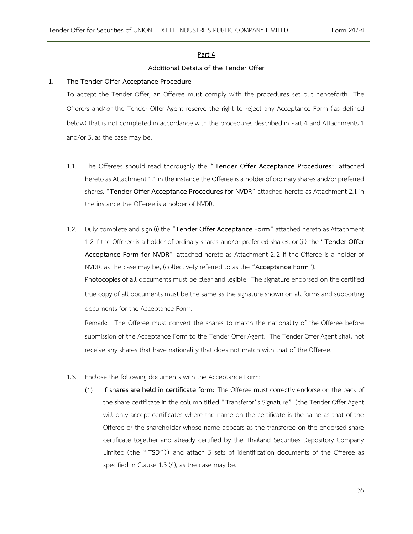#### **Part 4**

#### **Additional Details of the Tender Offer**

#### **1. The Tender Offer Acceptance Procedure**

To accept the Tender Offer, an Offeree must comply with the procedures set out henceforth. The Offerors and/or the Tender Offer Agent reserve the right to reject any Acceptance Form (as defined below) that is not completed in accordance with the procedures described in Part 4 and Attachments 1 and/or 3, as the case may be.

- 1.1. The Offerees should read thoroughly the " **Tender Offer Acceptance Procedures**" attached hereto as Attachment 1.1 in the instance the Offeree is a holder of ordinary shares and/or preferred shares. "**Tender Offer Acceptance Procedures for NVDR**" attached hereto as Attachment 2.1 in the instance the Offeree is a holder of NVDR.
- 1.2. Duly complete and sign (i) the "**Tender Offer Acceptance Form**" attached hereto as Attachment 1.2 if the Offeree is a holder of ordinary shares and/or preferred shares; or (ii) the "**Tender Offer Acceptance Form for NVDR**" attached hereto as Attachment 2.2 if the Offeree is a holder of NVDR, as the case may be, (collectively referred to as the "**Acceptance Form**"). Photocopies of all documents must be clear and legible. The signature endorsed on the certified

true copy of all documents must be the same as the signature shown on all forms and supporting documents for the Acceptance Form.

Remark: The Offeree must convert the shares to match the nationality of the Offeree before submission of the Acceptance Form to the Tender Offer Agent. The Tender Offer Agent shall not receive any shares that have nationality that does not match with that of the Offeree.

- 1.3. Enclose the following documents with the Acceptance Form:
	- (1) **If shares are held in certificate form:** The Offeree must correctly endorse on the back of the share certificate in the column titled "Transferor's Signature" (the Tender Offer Agent will only accept certificates where the name on the certificate is the same as that of the Offeree or the shareholder whose name appears as the transferee on the endorsed share certificate together and already certified by the Thailand Securities Depository Company Limited (the **" TSD"**)) and attach 3 sets of identification documents of the Offeree as specified in Clause 1.3 (4), as the case may be.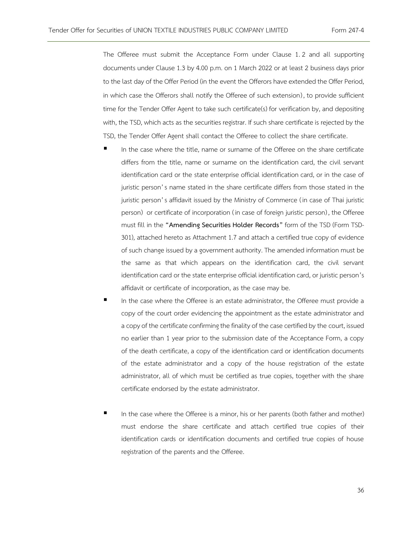The Offeree must submit the Acceptance Form under Clause 1.2 and all supporting documents under Clause 1.3 by 4.00 p.m. on 1 March 2022 or at least 2 business days prior to the last day of the Offer Period (in the event the Offerors have extended the Offer Period, in which case the Offerors shall notify the Offeree of such extension) , to provide sufficient time for the Tender Offer Agent to take such certificate(s) for verification by, and depositing with, the TSD, which acts as the securities registrar. If such share certificate is rejected by the TSD, the Tender Offer Agent shall contact the Offeree to collect the share certificate.

- In the case where the title, name or surname of the Offeree on the share certificate differs from the title, name or surname on the identification card, the civil servant identification card or the state enterprise official identification card, or in the case of juristic person's name stated in the share certificate differs from those stated in the juristic person's affidavit issued by the Ministry of Commerce ( in case of Thai juristic person) or certificate of incorporation ( in case of foreign juristic person) , the Offeree must fill in the **"[Amending Securities Holder Records](https://www.set.or.th/tsd/en/download/service_form/20180828_TSD_301_EN.pdf)"** form of the TSD (Form TSD-301), attached hereto as Attachment 1.7 and attach a certified true copy of evidence of such change issued by a government authority. The amended information must be the same as that which appears on the identification card, the civil servant identification card or the state enterprise official identification card, or juristic person's affidavit or certificate of incorporation, as the case may be.
- In the case where the Offeree is an estate administrator, the Offeree must provide a copy of the court order evidencing the appointment as the estate administrator and a copy of the certificate confirming the finality of the case certified by the court, issued no earlier than 1 year prior to the submission date of the Acceptance Form, a copy of the death certificate, a copy of the identification card or identification documents of the estate administrator and a copy of the house registration of the estate administrator, all of which must be certified as true copies, together with the share certificate endorsed by the estate administrator.
- In the case where the Offeree is a minor, his or her parents (both father and mother) must endorse the share certificate and attach certified true copies of their identification cards or identification documents and certified true copies of house registration of the parents and the Offeree.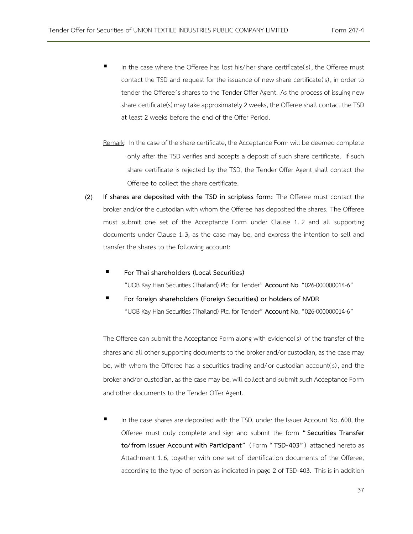- In the case where the Offeree has lost his/her share certificate(s), the Offeree must contact the TSD and request for the issuance of new share certificate(s) , in order to tender the Offeree's shares to the Tender Offer Agent. As the process of issuing new share certificate(s) may take approximately 2 weeks, the Offeree shall contact the TSD at least 2 weeks before the end of the Offer Period.
- Remark: In the case of the share certificate, the Acceptance Form will be deemed complete only after the TSD verifies and accepts a deposit of such share certificate. If such share certificate is rejected by the TSD, the Tender Offer Agent shall contact the Offeree to collect the share certificate.
- (2) **If shares are deposited with the TSD in scripless form:** The Offeree must contact the broker and/or the custodian with whom the Offeree has deposited the shares. The Offeree must submit one set of the Acceptance Form under Clause 1. 2 and all supporting documents under Clause 1.3, as the case may be, and express the intention to sell and transfer the shares to the following account:
	- **For Thai shareholders (Local Securities)** "UOB Kay Hian Securities (Thailand) Plc. for Tender" **Account No**. "026-000000014-6"
	- **For foreign shareholders (Foreign Securities) or holders of NVDR** "UOB Kay Hian Securities (Thailand) Plc. for Tender" **Account No**. "026-000000014-6"

The Offeree can submit the Acceptance Form along with evidence(s) of the transfer of the shares and all other supporting documents to the broker and/or custodian, as the case may be, with whom the Offeree has a securities trading and/or custodian account(s), and the broker and/or custodian, as the case may be, will collect and submit such Acceptance Form and other documents to the Tender Offer Agent.

In the case shares are deposited with the TSD, under the Issuer Account No. 600, the Offeree must duly complete and sign and submit the form **"Securities Transfer to/from Issuer Account with Participant"** (Form **" TSD-403"**) attached hereto as Attachment 1.6, together with one set of identification documents of the Offeree, according to the type of person as indicated in page 2 of TSD-403. This is in addition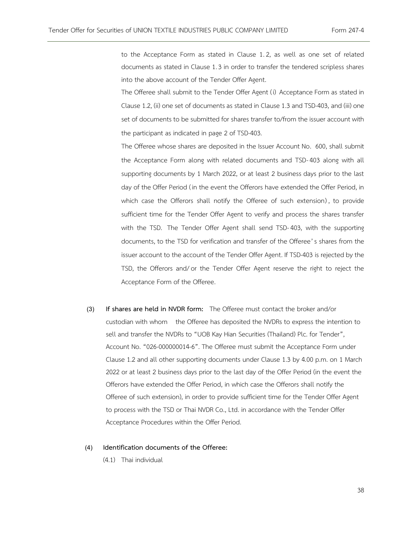to the Acceptance Form as stated in Clause 1.2, as well as one set of related documents as stated in Clause 1.3 in order to transfer the tendered scripless shares into the above account of the Tender Offer Agent.

The Offeree shall submit to the Tender Offer Agent (i) Acceptance Form as stated in Clause 1.2, (ii) one set of documents as stated in Clause 1.3 and TSD-403, and (iii) one set of documents to be submitted for shares transfer to/from the issuer account with the participant as indicated in page 2 of TSD-403.

The Offeree whose shares are deposited in the Issuer Account No. 600, shall submit the Acceptance Form along with related documents and TSD-403 along with all supporting documents by 1 March 2022, or at least 2 business days prior to the last day of the Offer Period ( in the event the Offerors have extended the Offer Period, in which case the Offerors shall notify the Offeree of such extension) , to provide sufficient time for the Tender Offer Agent to verify and process the shares transfer with the TSD. The Tender Offer Agent shall send TSD-403, with the supporting documents, to the TSD for verification and transfer of the Offeree's shares from the issuer account to the account of the Tender Offer Agent. If TSD-403 is rejected by the TSD, the Offerors and/or the Tender Offer Agent reserve the right to reject the Acceptance Form of the Offeree.

(3) **If shares are held in NVDR form:** The Offeree must contact the broker and/or custodian with whom the Offeree has deposited the NVDRs to express the intention to sell and transfer the NVDRs to "UOB Kay Hian Securities (Thailand) Plc. for Tender", Account No. "026-000000014-6". The Offeree must submit the Acceptance Form under Clause 1.2 and all other supporting documents under Clause 1.3 by 4.00 p.m. on 1 March 2022 or at least 2 business days prior to the last day of the Offer Period (in the event the Offerors have extended the Offer Period, in which case the Offerors shall notify the Offeree of such extension), in order to provide sufficient time for the Tender Offer Agent to process with the TSD or Thai NVDR Co., Ltd. in accordance with the Tender Offer Acceptance Procedures within the Offer Period.

## (4) **Identification documents of the Offeree:**

(4.1) Thai individual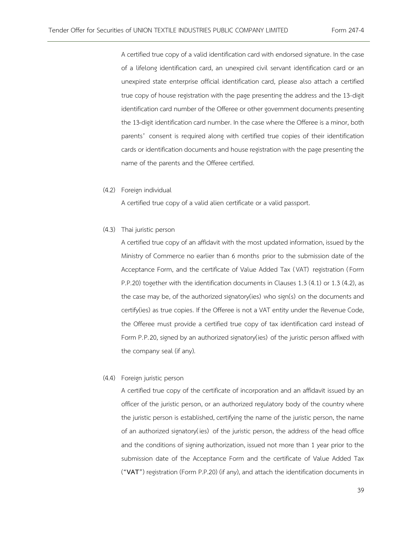A certified true copy of a valid identification card with endorsed signature. In the case of a lifelong identification card, an unexpired civil servant identification card or an unexpired state enterprise official identification card, please also attach a certified true copy of house registration with the page presenting the address and the 13-digit identification card number of the Offeree or other government documents presenting the 13-digit identification card number. In the case where the Offeree is a minor, both parents' consent is required along with certified true copies of their identification cards or identification documents and house registration with the page presenting the name of the parents and the Offeree certified.

(4.2) Foreign individual

A certified true copy of a valid alien certificate or a valid passport.

(4.3) Thai juristic person

A certified true copy of an affidavit with the most updated information, issued by the Ministry of Commerce no earlier than 6 months prior to the submission date of the Acceptance Form, and the certificate of Value Added Tax (VAT) registration (Form P.P.20) together with the identification documents in Clauses 1.3 (4.1) or 1.3 (4.2), as the case may be, of the authorized signatory(ies) who sign(s) on the documents and certify(ies) as true copies. If the Offeree is not a VAT entity under the Revenue Code, the Offeree must provide a certified true copy of tax identification card instead of Form P.P.20, signed by an authorized signatory(ies) of the juristic person affixed with the company seal (if any).

(4.4) Foreign juristic person

A certified true copy of the certificate of incorporation and an affidavit issued by an officer of the juristic person, or an authorized regulatory body of the country where the juristic person is established, certifying the name of the juristic person, the name of an authorized signatory( ies) of the juristic person, the address of the head office and the conditions of signing authorization, issued not more than 1 year prior to the submission date of the Acceptance Form and the certificate of Value Added Tax ("**VAT**") registration (Form P.P.20) (if any), and attach the identification documents in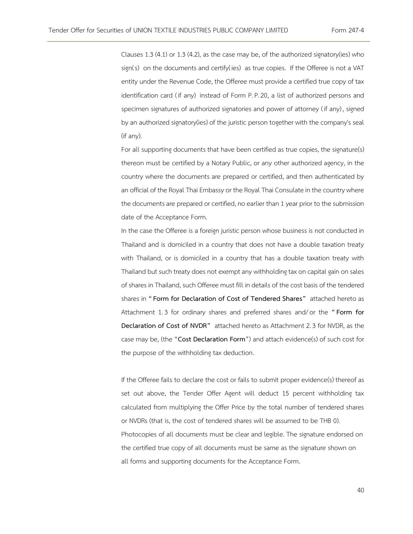Clauses 1.3 (4.1) or 1.3 (4.2), as the case may be, of the authorized signatory(ies) who sign(s) on the documents and certify(ies) as true copies. If the Offeree is not a VAT entity under the Revenue Code, the Offeree must provide a certified true copy of tax identification card ( if any) instead of Form P.P.20, a list of authorized persons and specimen signatures of authorized signatories and power of attorney ( if any) , signed by an authorized signatory(ies) of the juristic person together with the company's seal (if any).

For all supporting documents that have been certified as true copies, the signature(s) thereon must be certified by a Notary Public, or any other authorized agency, in the country where the documents are prepared or certified, and then authenticated by an official of the Royal Thai Embassy or the Royal Thai Consulate in the country where the documents are prepared or certified, no earlier than 1 year prior to the submission date of the Acceptance Form.

In the case the Offeree is a foreign juristic person whose business is not conducted in Thailand and is domiciled in a country that does not have a double taxation treaty with Thailand, or is domiciled in a country that has a double taxation treaty with Thailand but such treaty does not exempt any withholding tax on capital gain on sales of shares in Thailand, such Offeree must fill in details of the cost basis of the tendered shares in **"Form for Declaration of Cost of Tendered Shares"** attached hereto as Attachment 1.3 for ordinary shares and preferred shares and/or the **"Form for Declaration of Cost of NVDR"** attached hereto as Attachment 2.3 for NVDR, as the case may be, (the "**Cost Declaration Form**") and attach evidence(s) of such cost for the purpose of the withholding tax deduction.

If the Offeree fails to declare the cost or fails to submit proper evidence(s) thereof as set out above, the Tender Offer Agent will deduct 15 percent withholding tax calculated from multiplying the Offer Price by the total number of tendered shares or NVDRs (that is, the cost of tendered shares will be assumed to be THB 0). Photocopies of all documents must be clear and legible. The signature endorsed on the certified true copy of all documents must be same as the signature shown on all forms and supporting documents for the Acceptance Form.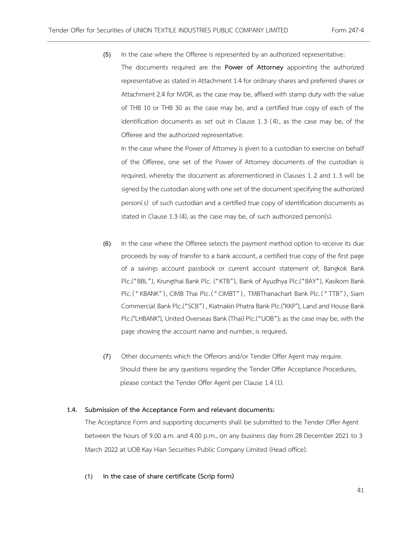- (5) In the case where the Offeree is represented by an authorized representative:
	- The documents required are the **Power of Attorney** appointing the authorized representative as stated in Attachment 1.4 for ordinary shares and preferred shares or Attachment 2.4 for NVDR, as the case may be, affixed with stamp duty with the value of THB 10 or THB 30 as the case may be, and a certified true copy of each of the identification documents as set out in Clause 1.3 (4), as the case may be, of the Offeree and the authorized representative.

In the case where the Power of Attorney is given to a custodian to exercise on behalf of the Offeree, one set of the Power of Attorney documents of the custodian is required, whereby the document as aforementioned in Clauses 1.2 and 1.3 will be signed by the custodian along with one set of the document specifying the authorized person(s) of such custodian and a certified true copy of identification documents as stated in Clause 1.3 (4), as the case may be, of such authorized person(s).

- (6) In the case where the Offeree selects the payment method option to receive its due proceeds by way of transfer to a bank account, a certified true copy of the first page of a savings account passbook or current account statement of; Bangkok Bank Plc.("BBL"), Krungthai Bank Plc. ("KTB"), Bank of Ayudhya Plc.("BAY"), Kasikorn Bank Plc. ("KBANK"), CIMB Thai Plc. ("CIMBT"), TMBThanachart Bank Plc. ("TTB"), Siam Commercial Bank Plc.("SCB") , Kiatnakin Phatra Bank Plc.("KKP"), Land and House Bank Plc.("LHBANK"), United Overseas Bank (Thai) Plc.("UOB"), as the case may be, with the page showing the account name and number, is required**.**
- (7) Other documents which the Offerors and/or Tender Offer Agent may require. Should there be any questions regarding the Tender Offer Acceptance Procedures, please contact the Tender Offer Agent per Clause 1.4 (1).

#### **1.4. Submission of the Acceptance Form and relevant documents:**

The Acceptance Form and supporting documents shall be submitted to the Tender Offer Agent between the hours of 9.00 a.m. and 4.00 p.m., on any business day from 28 December 2021 to 3 March 2022 at UOB Kay Hian Securities Public Company Limited (Head office).

## (1) **In the case of share certificate (Scrip form)**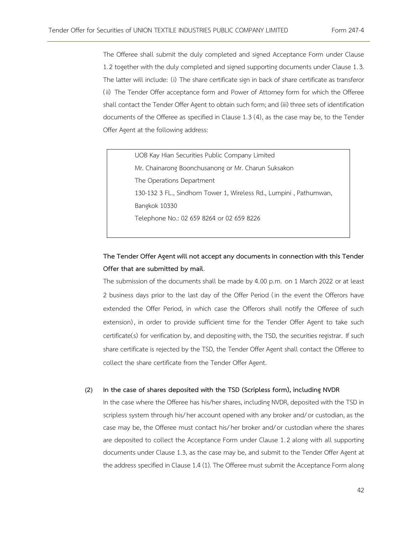The Offeree shall submit the duly completed and signed Acceptance Form under Clause 1.2 together with the duly completed and signed supporting documents under Clause 1.3. The latter will include: (i) The share certificate sign in back of share certificate as transferor ( ii) The Tender Offer acceptance form and Power of Attorney form for which the Offeree shall contact the Tender Offer Agent to obtain such form; and (iii) three sets of identification documents of the Offeree as specified in Clause 1.3 (4), as the case may be, to the Tender Offer Agent at the following address:

UOB Kay Hian Securities Public Company Limited Mr. Chainarong Boonchusanong or Mr. Charun Suksakon The Operations Department 130-132 3 FL., Sindhorn Tower 1, Wireless Rd., Lumpini , Pathumwan, Bangkok 10330 Telephone No.: 02 659 8264 or 02 659 8226

# **The Tender Offer Agent will not accept any documents in connection with this Tender Offer that are submitted by mail**.

The submission of the documents shall be made by 4.00 p.m. on 1 March 2022 or at least 2 business days prior to the last day of the Offer Period ( in the event the Offerors have extended the Offer Period, in which case the Offerors shall notify the Offeree of such extension), in order to provide sufficient time for the Tender Offer Agent to take such certificate(s) for verification by, and depositing with, the TSD, the securities registrar. If such share certificate is rejected by the TSD, the Tender Offer Agent shall contact the Offeree to collect the share certificate from the Tender Offer Agent.

## (2) **In the case of shares deposited with the TSD (Scripless form), including NVDR**

In the case where the Offeree has his/her shares, including NVDR, deposited with the TSD in scripless system through his/her account opened with any broker and/or custodian, as the case may be, the Offeree must contact his/her broker and/or custodian where the shares are deposited to collect the Acceptance Form under Clause 1.2 along with all supporting documents under Clause 1.3, as the case may be, and submit to the Tender Offer Agent at the address specified in Clause 1.4 (1). The Offeree must submit the Acceptance Form along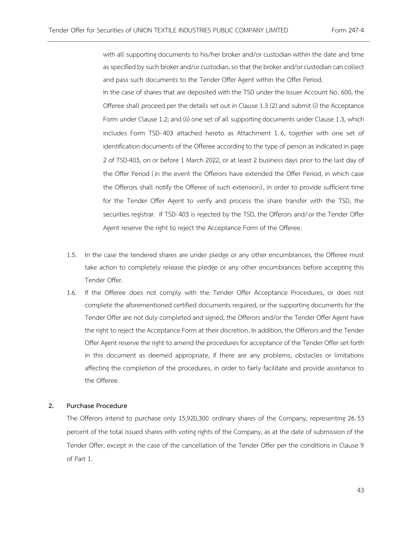with all supporting documents to his/her broker and/or custodian within the date and time as specified by such broker and/or custodian, so that the broker and/or custodian can collect and pass such documents to the Tender Offer Agent within the Offer Period.

In the case of shares that are deposited with the TSD under the Issuer Account No. 600, the Offeree shall proceed per the details set out in Clause 1.3 (2) and submit (i) the Acceptance Form under Clause 1.2; and (ii) one set of all supporting documents under Clause 1.3, which includes Form TSD-403 attached hereto as Attachment 1.6, together with one set of identification documents of the Offeree according to the type of person as indicated in page 2 of TSD-403, on or before 1 March 2022, or at least 2 business days prior to the last day of the Offer Period ( in the event the Offerors have extended the Offer Period, in which case the Offerors shall notify the Offeree of such extension) , in order to provide sufficient time for the Tender Offer Agent to verify and process the share transfer with the TSD, the securities registrar. If TSD-403 is rejected by the TSD, the Offerors and/or the Tender Offer Agent reserve the right to reject the Acceptance Form of the Offeree.

- 1.5. In the case the tendered shares are under pledge or any other encumbrances, the Offeree must take action to completely release the pledge or any other encumbrances before accepting this Tender Offer.
- 1.6. If the Offeree does not comply with the Tender Offer Acceptance Procedures, or does not complete the aforementioned certified documents required, or the supporting documents for the Tender Offer are not duly completed and signed, the Offerors and/or the Tender Offer Agent have the right to reject the Acceptance Form at their discretion. In addition, the Offerors and the Tender Offer Agent reserve the right to amend the procedures for acceptance of the Tender Offer set forth in this document as deemed appropriate, if there are any problems, obstacles or limitations affecting the completion of the procedures, in order to fairly facilitate and provide assistance to the Offeree.

#### **2. Purchase Procedure**

The Offerors intend to purchase only 15,920,300 ordinary shares of the Company, representing 26.53 percent of the total issued shares with voting rights of the Company, as at the date of submission of the Tender Offer, except in the case of the cancellation of the Tender Offer per the conditions in Clause 9 of Part 1.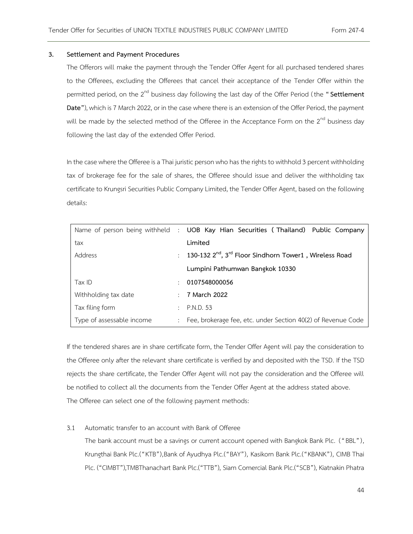## **3. Settlement and Payment Procedures**

The Offerors will make the payment through the Tender Offer Agent for all purchased tendered shares to the Offerees, excluding the Offerees that cancel their acceptance of the Tender Offer within the permitted period, on the 2<sup>nd</sup> business day following the last day of the Offer Period (the "Settlement **Date"**), which is 7 March 2022, or in the case where there is an extension of the Offer Period, the payment will be made by the selected method of the Offeree in the Acceptance Form on the 2<sup>nd</sup> business day following the last day of the extended Offer Period.

In the case where the Offeree is a Thai juristic person who has the rights to withhold 3 percent withholding tax of brokerage fee for the sale of shares, the Offeree should issue and deliver the withholding tax certificate to Krungsri Securities Public Company Limited, the Tender Offer Agent, based on the following details:

|                           |               | Name of person being withheld : UOB Kay Hian Securities (Thailand) Public Company |
|---------------------------|---------------|-----------------------------------------------------------------------------------|
| tax                       |               | Limited                                                                           |
| Address                   | ÷             | 130-132 2 <sup>nd</sup> , 3 <sup>rd</sup> Floor Sindhorn Tower1, Wireless Road    |
|                           |               | Lumpini Pathumwan Bangkok 10330                                                   |
| Tax ID                    |               | 0107548000056                                                                     |
| Withholding tax date      |               | $\div$ 7 March 2022                                                               |
| Tax filing form           | $\mathcal{L}$ | P.N.D. 53                                                                         |
| Type of assessable income |               | : Fee, brokerage fee, etc. under Section 40(2) of Revenue Code                    |

If the tendered shares are in share certificate form, the Tender Offer Agent will pay the consideration to the Offeree only after the relevant share certificate is verified by and deposited with the TSD. If the TSD rejects the share certificate, the Tender Offer Agent will not pay the consideration and the Offeree will be notified to collect all the documents from the Tender Offer Agent at the address stated above. The Offeree can select one of the following payment methods:

# 3.1 Automatic transfer to an account with Bank of Offeree

The bank account must be a savings or current account opened with Bangkok Bank Plc. ("BBL"), Krungthai Bank Plc.("KTB"),Bank of Ayudhya Plc.("BAY"), Kasikorn Bank Plc.("KBANK"), CIMB Thai Plc. ("CIMBT"),TMBThanachart Bank Plc.("TTB"), Siam Comercial Bank Plc.("SCB"), Kiatnakin Phatra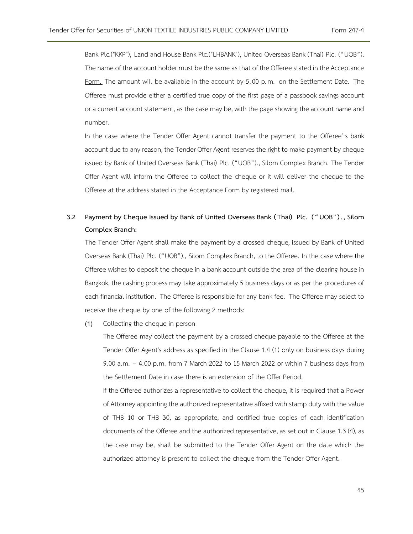Bank Plc.("KKP"), Land and House Bank Plc.("LHBANK"), United Overseas Bank (Thai) Plc. ("UOB"). The name of the account holder must be the same as that of the Offeree stated in the Acceptance Form. The amount will be available in the account by 5.00 p.m. on the Settlement Date. The Offeree must provide either a certified true copy of the first page of a passbook savings account or a current account statement, as the case may be, with the page showing the account name and number.

In the case where the Tender Offer Agent cannot transfer the payment to the Offeree's bank account due to any reason, the Tender Offer Agent reserves the right to make payment by cheque issued by Bank of United Overseas Bank (Thai) Plc. ("UOB")., Silom Complex Branch. The Tender Offer Agent will inform the Offeree to collect the cheque or it will deliver the cheque to the Offeree at the address stated in the Acceptance Form by registered mail.

# **3.2 Payment by Cheque issued by Bank of United Overseas Bank ( Thai) Plc. ( "UOB"). , Silom Complex Branch:**

The Tender Offer Agent shall make the payment by a crossed cheque, issued by Bank of United Overseas Bank (Thai) Plc. ("UOB")., Silom Complex Branch, to the Offeree. In the case where the Offeree wishes to deposit the cheque in a bank account outside the area of the clearing house in Bangkok, the cashing process may take approximately 5 business days or as per the procedures of each financial institution. The Offeree is responsible for any bank fee. The Offeree may select to receive the cheque by one of the following 2 methods:

(1) Collecting the cheque in person

The Offeree may collect the payment by a crossed cheque payable to the Offeree at the Tender Offer Agent's address as specified in the Clause 1.4 (1) only on business days during 9.00 a.m. – 4.00 p.m. from 7 March 2022 to 15 March 2022 or within 7 business days from the Settlement Date in case there is an extension of the Offer Period.

If the Offeree authorizes a representative to collect the cheque, it is required that a Power of Attorney appointing the authorized representative affixed with stamp duty with the value of THB 10 or THB 30, as appropriate, and certified true copies of each identification documents of the Offeree and the authorized representative, as set out in Clause 1.3 (4), as the case may be, shall be submitted to the Tender Offer Agent on the date which the authorized attorney is present to collect the cheque from the Tender Offer Agent.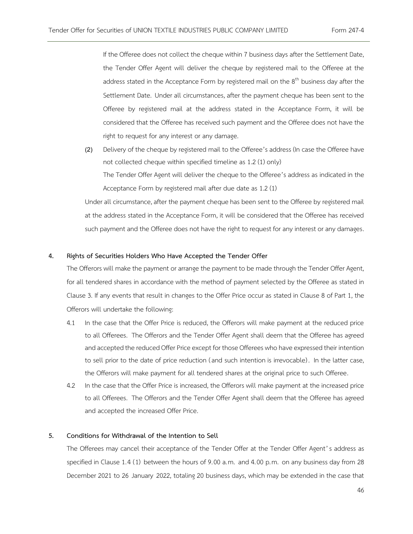If the Offeree does not collect the cheque within 7 business days after the Settlement Date, the Tender Offer Agent will deliver the cheque by registered mail to the Offeree at the address stated in the Acceptance Form by registered mail on the  $8<sup>th</sup>$  business day after the Settlement Date. Under all circumstances, after the payment cheque has been sent to the Offeree by registered mail at the address stated in the Acceptance Form, it will be considered that the Offeree has received such payment and the Offeree does not have the right to request for any interest or any damage.

(2) Delivery of the cheque by registered mail to the Offeree's address (In case the Offeree have not collected cheque within specified timeline as 1.2 (1) only) The Tender Offer Agent will deliver the cheque to the Offeree's address as indicated in the Acceptance Form by registered mail after due date as 1.2 (1)

Under all circumstance, after the payment cheque has been sent to the Offeree by registered mail at the address stated in the Acceptance Form, it will be considered that the Offeree has received such payment and the Offeree does not have the right to request for any interest or any damages.

## **4. Rights of Securities Holders Who Have Accepted the Tender Offer**

The Offerors will make the payment or arrange the payment to be made through the Tender Offer Agent, for all tendered shares in accordance with the method of payment selected by the Offeree as stated in Clause 3. If any events that result in changes to the Offer Price occur as stated in Clause 8 of Part 1, the Offerors will undertake the following:

- 4.1 In the case that the Offer Price is reduced, the Offerors will make payment at the reduced price to all Offerees. The Offerors and the Tender Offer Agent shall deem that the Offeree has agreed and accepted the reduced Offer Price except for those Offerees who have expressed their intention to sell prior to the date of price reduction (and such intention is irrevocable) . In the latter case, the Offerors will make payment for all tendered shares at the original price to such Offeree.
- 4.2 In the case that the Offer Price is increased, the Offerors will make payment at the increased price to all Offerees. The Offerors and the Tender Offer Agent shall deem that the Offeree has agreed and accepted the increased Offer Price.

# **5. Conditions for Withdrawal of the Intention to Sell**

The Offerees may cancel their acceptance of the Tender Offer at the Tender Offer Agent's address as specified in Clause 1.4 (1) between the hours of 9.00 a.m. and 4.00 p.m. on any business day from 28 December 2021 to 26 January 2022, totaling 20 business days, which may be extended in the case that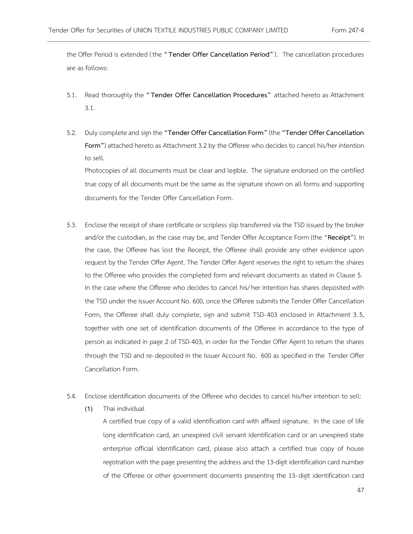the Offer Period is extended (the **" Tender Offer Cancellation Period"**). The cancellation procedures are as follows:

- 5.1. Read thoroughly the **" Tender Offer Cancellation Procedures"** attached hereto as Attachment 3.1.
- 5.2. Duly complete and sign the **"Tender Offer Cancellation Form"**(the **"Tender Offer Cancellation Form"**) attached hereto as Attachment 3.2 by the Offeree who decides to cancel his/her intention to sell.

Photocopies of all documents must be clear and legible. The signature endorsed on the certified true copy of all documents must be the same as the signature shown on all forms and supporting documents for the Tender Offer Cancellation Form.

- 5.3. Enclose the receipt of share certificate or scripless slip transferred via the TSD issued by the broker and/or the custodian, as the case may be, and Tender Offer Acceptance Form (the "**Receipt**"). In the case, the Offeree has lost the Receipt, the Offeree shall provide any other evidence upon request by the Tender Offer Agent. The Tender Offer Agent reserves the right to return the shares to the Offeree who provides the completed form and relevant documents as stated in Clause 5. In the case where the Offeree who decides to cancel his/her intention has shares deposited with the TSD under the Issuer Account No. 600, once the Offeree submits the Tender Offer Cancellation Form, the Offeree shall duly complete, sign and submit TSD-403 enclosed in Attachment 3.5, together with one set of identification documents of the Offeree in accordance to the type of person as indicated in page 2 of TSD-403, in order for the Tender Offer Agent to return the shares through the TSD and re- deposited in the Issuer Account No. 600 as specified in the Tender Offer Cancellation Form.
- 5.4. Enclose identification documents of the Offeree who decides to cancel his/her intention to sell:
	- (1) Thai individual

A certified true copy of a valid identification card with affixed signature. In the case of life long identification card, an unexpired civil servant identification card or an unexpired state enterprise official identification card, please also attach a certified true copy of house registration with the page presenting the address and the 13-digit identification card number of the Offeree or other government documents presenting the 13- digit identification card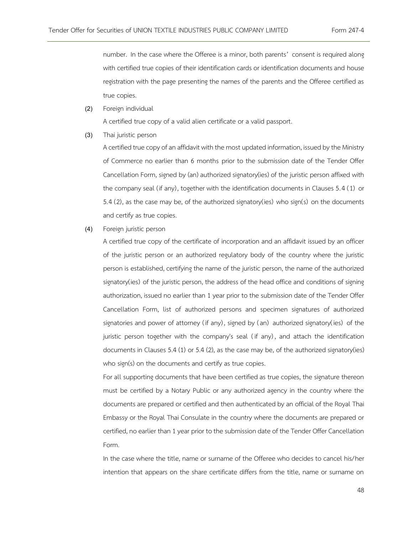number. In the case where the Offeree is a minor, both parents' consent is required along with certified true copies of their identification cards or identification documents and house registration with the page presenting the names of the parents and the Offeree certified as true copies.

(2) Foreign individual

A certified true copy of a valid alien certificate or a valid passport.

(3) Thai juristic person

A certified true copy of an affidavit with the most updated information, issued by the Ministry of Commerce no earlier than 6 months prior to the submission date of the Tender Offer Cancellation Form, signed by (an) authorized signatory(ies) of the juristic person affixed with the company seal (if any), together with the identification documents in Clauses 5.4 (1) or 5.4 (2), as the case may be, of the authorized signatory(ies) who sign(s) on the documents and certify as true copies.

(4) Foreign juristic person

A certified true copy of the certificate of incorporation and an affidavit issued by an officer of the juristic person or an authorized regulatory body of the country where the juristic person is established, certifying the name of the juristic person, the name of the authorized signatory(ies) of the juristic person, the address of the head office and conditions of signing authorization, issued no earlier than 1 year prior to the submission date of the Tender Offer Cancellation Form, list of authorized persons and specimen signatures of authorized signatories and power of attorney (if any), signed by (an) authorized signatory(ies) of the juristic person together with the company's seal (if any), and attach the identification documents in Clauses 5.4 (1) or 5.4 (2), as the case may be, of the authorized signatory(ies) who sign(s) on the documents and certify as true copies.

For all supporting documents that have been certified as true copies, the signature thereon must be certified by a Notary Public or any authorized agency in the country where the documents are prepared or certified and then authenticated by an official of the Royal Thai Embassy or the Royal Thai Consulate in the country where the documents are prepared or certified, no earlier than 1 year prior to the submission date of the Tender Offer Cancellation Form.

In the case where the title, name or surname of the Offeree who decides to cancel his/her intention that appears on the share certificate differs from the title, name or surname on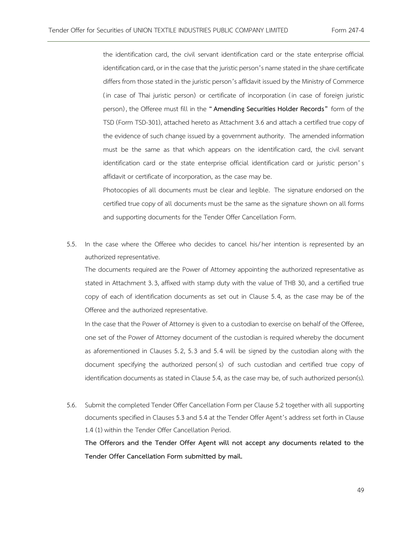the identification card, the civil servant identification card or the state enterprise official identification card, or in the case that the juristic person's name stated in the share certificate differs from those stated in the juristic person's affidavit issued by the Ministry of Commerce ( in case of Thai juristic person) or certificate of incorporation ( in case of foreign juristic person) , the Offeree must fill in the **"[Amending Securities Holder Records](https://www.set.or.th/tsd/en/download/service_form/20180828_TSD_301_EN.pdf)"** form of the TSD (Form TSD-301), attached hereto as Attachment 3.6 and attach a certified true copy of the evidence of such change issued by a government authority. The amended information must be the same as that which appears on the identification card, the civil servant identification card or the state enterprise official identification card or juristic person's affidavit or certificate of incorporation, as the case may be.

Photocopies of all documents must be clear and legible. The signature endorsed on the certified true copy of all documents must be the same as the signature shown on all forms and supporting documents for the Tender Offer Cancellation Form.

5.5. In the case where the Offeree who decides to cancel his/her intention is represented by an authorized representative.

The documents required are the Power of Attorney appointing the authorized representative as stated in Attachment 3.3, affixed with stamp duty with the value of THB 30, and a certified true copy of each of identification documents as set out in Clause 5.4, as the case may be of the Offeree and the authorized representative.

In the case that the Power of Attorney is given to a custodian to exercise on behalf of the Offeree, one set of the Power of Attorney document of the custodian is required whereby the document as aforementioned in Clauses 5.2, 5.3 and 5.4 will be signed by the custodian along with the document specifying the authorized person( s) of such custodian and certified true copy of identification documents as stated in Clause 5.4, as the case may be, of such authorized person(s).

5.6. Submit the completed Tender Offer Cancellation Form per Clause 5.2 together with all supporting documents specified in Clauses 5.3 and 5.4 at the Tender Offer Agent's address set forth in Clause 1.4 (1) within the Tender Offer Cancellation Period.

**The Offerors and the Tender Offer Agent will not accept any documents related to the Tender Offer Cancellation Form submitted by mail.**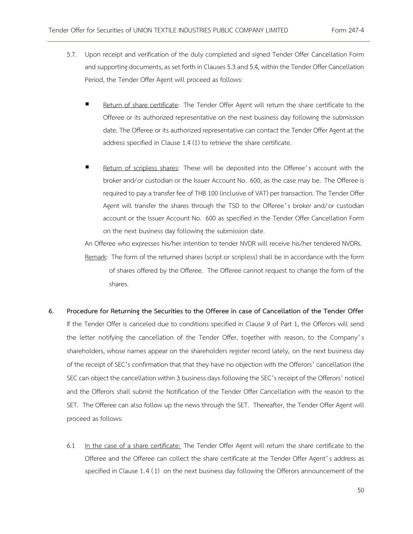- 5.7. Upon receipt and verification of the duly completed and signed Tender Offer Cancellation Form and supporting documents, as set forth in Clauses 5.3 and 5.4, within the Tender Offer Cancellation Period, the Tender Offer Agent will proceed as follows:
	- Return of share certificate: The Tender Offer Agent will return the share certificate to the Offeree or its authorized representative on the next business day following the submission date. The Offeree or its authorized representative can contact the Tender Offer Agent at the address specified in Clause 1.4 (1) to retrieve the share certificate.
	- Return of scripless shares: These will be deposited into the Offeree's account with the broker and/or custodian or the Issuer Account No. 600, as the case may be. The Offeree is required to pay a transfer fee of THB 100 (inclusive of VAT) per transaction. The Tender Offer Agent will transfer the shares through the TSD to the Offeree's broker and/or custodian account or the Issuer Account No. 600 as specified in the Tender Offer Cancellation Form on the next business day following the submission date.

An Offeree who expresses his/her intention to tender NVDR will receive his/her tendered NVDRs.

Remark: The form of the returned shares (script or scripless) shall be in accordance with the form of shares offered by the Offeree. The Offeree cannot request to change the form of the shares.

- **6. Procedure for Returning the Securities to the Offeree in case of Cancellation of the Tender Offer** If the Tender Offer is canceled due to conditions specified in Clause 9 of Part 1, the Offerors will send the letter notifying the cancellation of the Tender Offer, together with reason, to the Company's shareholders, whose names appear on the shareholders register record lately, on the next business day of the receipt of SEC's confirmation that that they have no objection with the Offerors' cancellation (the SEC can object the cancellation within 3 business days following the SEC's receipt of the Offerors' notice) and the Offerors shall submit the Notification of the Tender Offer Cancellation with the reason to the SET. The Offeree can also follow up the news through the SET. Thereafter, the Tender Offer Agent will proceed as follows:
	- 6.1 In the case of a share certificate: The Tender Offer Agent will return the share certificate to the Offeree and the Offeree can collect the share certificate at the Tender Offer Agent's address as specified in Clause 1.4 (1) on the next business day following the Offerors announcement of the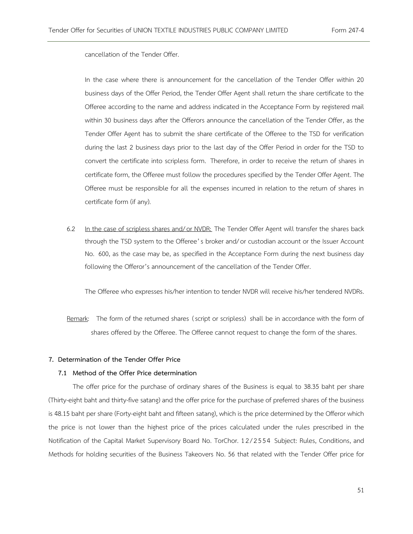cancellation of the Tender Offer.

In the case where there is announcement for the cancellation of the Tender Offer within 20 business days of the Offer Period, the Tender Offer Agent shall return the share certificate to the Offeree according to the name and address indicated in the Acceptance Form by registered mail within 30 business days after the Offerors announce the cancellation of the Tender Offer, as the Tender Offer Agent has to submit the share certificate of the Offeree to the TSD for verification during the last 2 business days prior to the last day of the Offer Period in order for the TSD to convert the certificate into scripless form. Therefore, in order to receive the return of shares in certificate form, the Offeree must follow the procedures specified by the Tender Offer Agent. The Offeree must be responsible for all the expenses incurred in relation to the return of shares in certificate form (if any).

6.2 In the case of scripless shares and/or NVDR: The Tender Offer Agent will transfer the shares back through the TSD system to the Offeree's broker and/or custodian account or the Issuer Account No. 600, as the case may be, as specified in the Acceptance Form during the next business day following the Offeror's announcement of the cancellation of the Tender Offer.

The Offeree who expresses his/her intention to tender NVDR will receive his/her tendered NVDRs.

Remark: The form of the returned shares (script or scripless) shall be in accordance with the form of shares offered by the Offeree. The Offeree cannot request to change the form of the shares.

## **7. Determination of the Tender Offer Price**

## **7.1 Method of the Offer Price determination**

The offer price for the purchase of ordinary shares of the Business is equal to 38.35 baht per share (Thirty-eight baht and thirty-five satang) and the offer price for the purchase of preferred shares of the business is 48.15 baht per share (Forty-eight baht and fifteen satang), which is the price determined by the Offeror which the price is not lower than the highest price of the prices calculated under the rules prescribed in the Notification of the Capital Market Supervisory Board No. TorChor. 12/ 2554 Subject: Rules, Conditions, and Methods for holding securities of the Business Takeovers No. 56 that related with the Tender Offer price for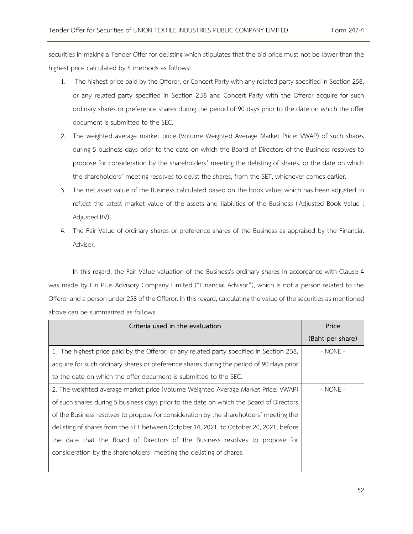securities in making a Tender Offer for delisting which stipulates that the bid price must not be lower than the highest price calculated by 4 methods as follows:

- 1. The highest price paid by the Offeror, or Concert Party with any related party specified in Section 258, or any related party specified in Section 258 and Concert Party with the Offeror acquire for such ordinary shares or preference shares during the period of 90 days prior to the date on which the offer document is submitted to the SEC.
- 2. The weighted average market price (Volume Weighted Average Market Price: VWAP) of such shares during 5 business days prior to the date on which the Board of Directors of the Business resolves to propose for consideration by the shareholders' meeting the delisting of shares, or the date on which the shareholders' meeting resolves to delist the shares, from the SET, whichever comes earlier.
- 3. The net asset value of the Business calculated based on the book value, which has been adjusted to reflect the latest market value of the assets and liabilities of the Business ( Adjusted Book Value : Adjusted BV)
- 4. The Fair Value of ordinary shares or preference shares of the Business as appraised by the Financial Advisor.

In this regard, the Fair Value valuation of the Business's ordinary shares in accordance with Clause 4 was made by Fin Plus Advisory Company Limited ("Financial Advisor"), which is not a person related to the Offeror and a person under 258 of the Offeror. In this regard, calculating the value of the securities as mentioned above can be summarized as follows.

| Criteria used in the evaluation                                                          | Price            |
|------------------------------------------------------------------------------------------|------------------|
|                                                                                          | (Baht per share) |
| 1. The highest price paid by the Offeror, or any related party specified in Section 258, | $-$ NONE $-$     |
| acquire for such ordinary shares or preference shares during the period of 90 days prior |                  |
| to the date on which the offer document is submitted to the SEC.                         |                  |
| 2. The weighted average market price (Volume Weighted Average Market Price: VWAP)        | $-$ NONE $-$     |
| of such shares during 5 business days prior to the date on which the Board of Directors  |                  |
| of the Business resolves to propose for consideration by the shareholders' meeting the   |                  |
| delisting of shares from the SET between October 14, 2021, to October 20, 2021, before   |                  |
| the date that the Board of Directors of the Business resolves to propose for             |                  |
| consideration by the shareholders' meeting the delisting of shares.                      |                  |
|                                                                                          |                  |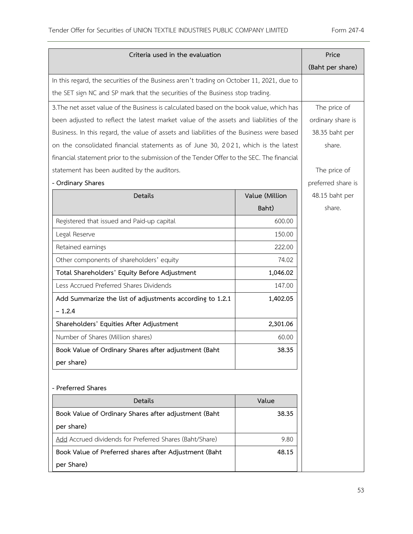| Criteria used in the evaluation                                                           |                | Price              |
|-------------------------------------------------------------------------------------------|----------------|--------------------|
|                                                                                           |                | (Baht per share)   |
| In this regard, the securities of the Business aren't trading on October 11, 2021, due to |                |                    |
| the SET sign NC and SP mark that the securities of the Business stop trading.             |                |                    |
| 3. The net asset value of the Business is calculated based on the book value, which has   |                | The price of       |
| been adjusted to reflect the latest market value of the assets and liabilities of the     |                | ordinary share is  |
| Business. In this regard, the value of assets and liabilities of the Business were based  |                | 38.35 baht per     |
| on the consolidated financial statements as of June 30, 2021, which is the latest         |                | share.             |
| financial statement prior to the submission of the Tender Offer to the SEC. The financial |                |                    |
| statement has been audited by the auditors.                                               |                | The price of       |
| - Ordinary Shares                                                                         |                | preferred share is |
| Details                                                                                   | Value (Million | 48.15 baht per     |
|                                                                                           | Baht)          | share.             |
| Registered that issued and Paid-up capital                                                | 600.00         |                    |
| Legal Reserve                                                                             | 150.00         |                    |
| Retained earnings                                                                         | 222.00         |                    |
| Other components of shareholders' equity                                                  | 74.02          |                    |
| Total Shareholders' Equity Before Adjustment                                              | 1,046.02       |                    |
| Less Accrued Preferred Shares Dividends                                                   | 147.00         |                    |
| Add Summarize the list of adjustments according to 1.2.1                                  | 1,402.05       |                    |
| $-1.2.4$                                                                                  |                |                    |
| Shareholders' Equities After Adjustment                                                   | 2,301.06       |                    |
| Number of Shares (Million shares)                                                         | 60.00          |                    |
| Book Value of Ordinary Shares after adjustment (Baht                                      | 38.35          |                    |
| per share)                                                                                |                |                    |
|                                                                                           |                |                    |
| - Preferred Shares                                                                        |                |                    |
| Details                                                                                   | Value          |                    |
| Book Value of Ordinary Shares after adjustment (Baht                                      | 38.35          |                    |
| per share)                                                                                |                |                    |
| Add Accrued dividends for Preferred Shares (Baht/Share)                                   | 9.80           |                    |
| Book Value of Preferred shares after Adjustment (Baht                                     | 48.15          |                    |
| per Share)                                                                                |                |                    |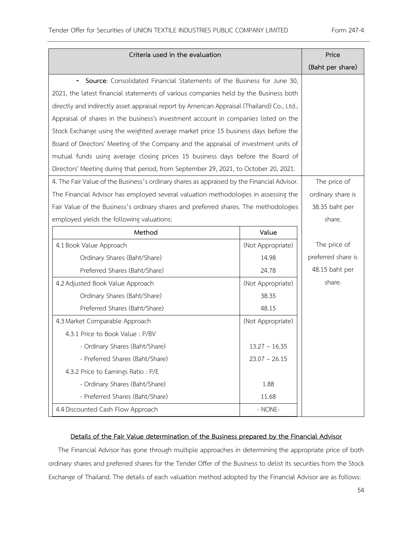| Criteria used in the evaluation                                                                    | Price             |                    |  |
|----------------------------------------------------------------------------------------------------|-------------------|--------------------|--|
|                                                                                                    | (Baht per share)  |                    |  |
| Source: Consolidated Financial Statements of the Business for June 30,<br>$\overline{\phantom{0}}$ |                   |                    |  |
| 2021, the latest financial statements of various companies held by the Business both               |                   |                    |  |
| directly and indirectly asset appraisal report by American Appraisal (Thailand) Co., Ltd.,         |                   |                    |  |
| Appraisal of shares in the business's investment account in companies listed on the                |                   |                    |  |
| Stock Exchange using the weighted average market price 15 business days before the                 |                   |                    |  |
| Board of Directors' Meeting of the Company and the appraisal of investment units of                |                   |                    |  |
| mutual funds using average closing prices 15 business days before the Board of                     |                   |                    |  |
| Directors' Meeting during that period, from September 29, 2021, to October 20, 2021.               |                   |                    |  |
| 4. The Fair Value of the Business's ordinary shares as appraised by the Financial Advisor.         |                   | The price of       |  |
| The Financial Advisor has employed several valuation methodologies in assessing the                |                   | ordinary share is  |  |
| Fair Value of the Business's ordinary shares and preferred shares. The methodologies               |                   | 38.35 baht per     |  |
| employed yields the following valuations:                                                          |                   | share.             |  |
| Method                                                                                             | Value             |                    |  |
| 4.1 Book Value Approach                                                                            | (Not Appropriate) | The price of       |  |
| Ordinary Shares (Baht/Share)                                                                       | 14.98             | preferred share is |  |
| Preferred Shares (Baht/Share)                                                                      | 24.78             | 48.15 baht per     |  |
| 4.2 Adjusted Book Value Approach                                                                   | (Not Appropriate) | share.             |  |
| Ordinary Shares (Baht/Share)                                                                       | 38.35             |                    |  |
| Preferred Shares (Baht/Share)                                                                      | 48.15             |                    |  |
| 4.3 Market Comparable Approach                                                                     | (Not Appropriate) |                    |  |
| 4.3.1 Price to Book Value: P/BV                                                                    |                   |                    |  |
| - Ordinary Shares (Baht/Share)                                                                     | $13.27 - 16.35$   |                    |  |
| - Preferred Shares (Baht/Share)                                                                    | $23.07 - 26.15$   |                    |  |
| 4.3.2 Price to Earnings Ratio: P/E                                                                 |                   |                    |  |
| - Ordinary Shares (Baht/Share)                                                                     | 1.88              |                    |  |
| - Preferred Shares (Baht/Share)                                                                    | 11.68             |                    |  |
| 4.4 Discounted Cash Flow Approach                                                                  | - NONE-           |                    |  |

# **Details of the Fair Value determination of the Business prepared by the Financial Advisor**

The Financial Advisor has gone through multiple approaches in determining the appropriate price of both ordinary shares and preferred shares for the Tender Offer of the Business to delist its securities from the Stock Exchange of Thailand. The details of each valuation method adopted by the Financial Advisor are as follows: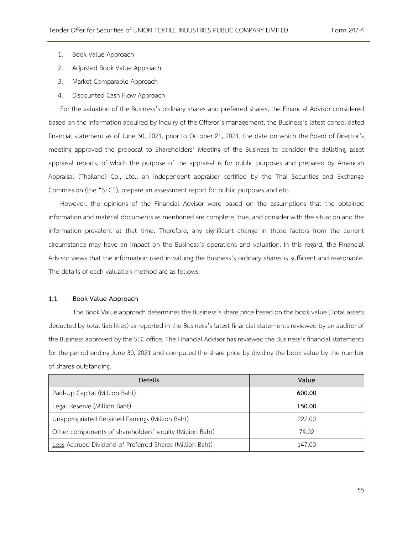- 1. Book Value Approach
- 2. Adjusted Book Value Approach
- 3. Market Comparable Approach
- 4. Discounted Cash Flow Approach

For the valuation of the Business's ordinary shares and preferred shares, the Financial Advisor considered based on the information acquired by inquiry of the Offeror's management, the Business's latest consolidated financial statement as of June 30, 2021, prior to October 21, 2021, the date on which the Board of Director's meeting approved the proposal to Shareholders' Meeting of the Business to consider the delisting, asset appraisal reports, of which the purpose of the appraisal is for public purposes and prepared by American Appraisal (Thailand) Co., Ltd., an independent appraiser certified by the Thai Securities and Exchange Commission (the "SEC"), prepare an assessment report for public purposes and etc.

However, the opinions of the Financial Advisor were based on the assumptions that the obtained information and material documents as mentioned are complete, true, and consider with the situation and the information prevalent at that time. Therefore, any significant change in those factors from the current circumstance may have an impact on the Business's operations and valuation. In this regard, the Financial Advisor views that the information used in valuing the Business's ordinary shares is sufficient and reasonable. The details of each valuation method are as follows:

## **1.1 Book Value Approach**

The Book Value approach determines the Business's share price based on the book value (Total assets deducted by total liabilities) as reported in the Business's latest financial statements reviewed by an auditor of the Business approved by the SEC office. The Financial Advisor has reviewed the Business's financial statements for the period ending June 30, 2021 and computed the share price by dividing the book value by the number of shares outstanding.

| Details                                                  | Value  |
|----------------------------------------------------------|--------|
| Paid-Up Capital (Million Baht)                           | 600.00 |
| Legal Reserve (Million Baht)                             | 150.00 |
| Unappropriated Retained Earnings (Million Baht)          | 222.00 |
| Other components of shareholders' equity (Million Baht)  | 74.02  |
| Less Accrued Dividend of Preferred Shares (Million Baht) | 147.00 |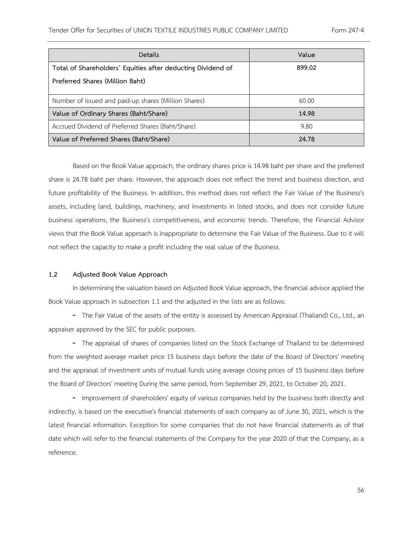| Details                                                     | Value  |
|-------------------------------------------------------------|--------|
| Total of Shareholders' Equities after deducting Dividend of | 899.02 |
| Preferred Shares (Million Baht)                             |        |
| Number of issued and paid-up shares (Million Shares)        | 60.00  |
| Value of Ordinary Shares (Baht/Share)                       | 14.98  |
| Accrued Dividend of Preferred Shares (Baht/Share)           | 9.80   |
| Value of Preferred Shares (Baht/Share)                      | 24.78  |

Based on the Book Value approach, the ordinary shares price is 14.98 baht per share and the preferred share is 24.78 baht per share. However, the approach does not reflect the trend and business direction, and future profitability of the Business. In addition, this method does not reflect the Fair Value of the Business's assets, including land, buildings, machinery, and investments in listed stocks, and does not consider future business operations, the Business's competitiveness, and economic trends. Therefore, the Financial Advisor views that the Book Value approach is inappropriate to determine the Fair Value of the Business. Due to it will not reflect the capacity to make a profit including the real value of the Business.

## **1.2 Adjusted Book Value Approach**

In determining the valuation based on Adjusted Book Value approach, the financial advisor applied the Book Value approach in subsection 1.1 and the adjusted in the lists are as follows:

- The Fair Value of the assets of the entity is assessed by American Appraisal (Thailand) Co., Ltd., an appraiser approved by the SEC for public purposes.

- The appraisal of shares of companies listed on the Stock Exchange of Thailand to be determined from the weighted average market price 15 business days before the date of the Board of Directors' meeting and the appraisal of investment units of mutual funds using average closing prices of 15 business days before the Board of Directors' meeting During the same period, from September 29, 2021, to October 20, 2021.

- Improvement of shareholders' equity of various companies held by the business both directly and indirectly, is based on the executive's financial statements of each company as of June 30, 2021, which is the latest financial information. Exception for some companies that do not have financial statements as of that date which will refer to the financial statements of the Company for the year 2020 of that the Company, as a reference.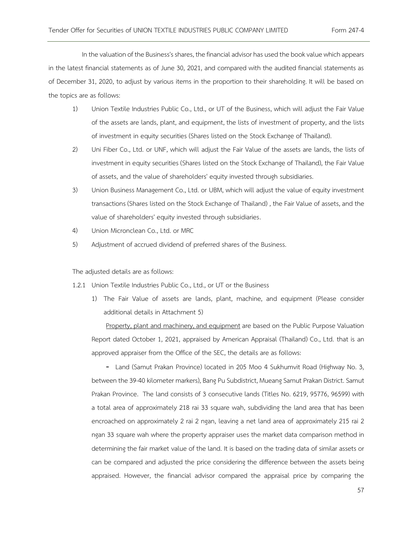In the valuation of the Business's shares, the financial advisor has used the book value which appears in the latest financial statements as of June 30, 2021, and compared with the audited financial statements as of December 31, 2020, to adjust by various items in the proportion to their shareholding. It will be based on the topics are as follows:

- 1) Union Textile Industries Public Co., Ltd., or UT of the Business, which will adjust the Fair Value of the assets are lands, plant, and equipment, the lists of investment of property, and the lists of investment in equity securities (Shares listed on the Stock Exchange of Thailand).
- 2) Uni Fiber Co., Ltd. or UNF, which will adjust the Fair Value of the assets are lands, the lists of investment in equity securities (Shares listed on the Stock Exchange of Thailand), the Fair Value of assets, and the value of shareholders' equity invested through subsidiaries.
- 3) Union Business Management Co., Ltd. or UBM, which will adjust the value of equity investment transactions (Shares listed on the Stock Exchange of Thailand) , the Fair Value of assets, and the value of shareholders' equity invested through subsidiaries.
- 4) Union Micronclean Co., Ltd. or MRC
- 5) Adjustment of accrued dividend of preferred shares of the Business.

The adjusted details are as follows:

- 1.2.1 Union Textile Industries Public Co., Ltd., or UT or the Business
	- 1) The Fair Value of assets are lands, plant, machine, and equipment (Please consider additional details in Attachment 5)

Property, plant and machinery, and equipment are based on the Public Purpose Valuation Report dated October 1, 2021, appraised by American Appraisal (Thailand) Co., Ltd. that is an approved appraiser from the Office of the SEC, the details are as follows:

- Land (Samut Prakan Province) located in 205 Moo 4 Sukhumvit Road (Highway No. 3, between the 39-40 kilometer markers), Bang Pu Subdistrict, Mueang Samut Prakan District. Samut Prakan Province. The land consists of 3 consecutive lands (Titles No. 6219, 95776, 96599) with a total area of approximately 218 rai 33 square wah, subdividing the land area that has been encroached on approximately 2 rai 2 ngan, leaving a net land area of approximately 215 rai 2 ngan 33 square wah where the property appraiser uses the market data comparison method in determining the fair market value of the land. It is based on the trading data of similar assets or can be compared and adjusted the price considering the difference between the assets being appraised. However, the financial advisor compared the appraisal price by comparing the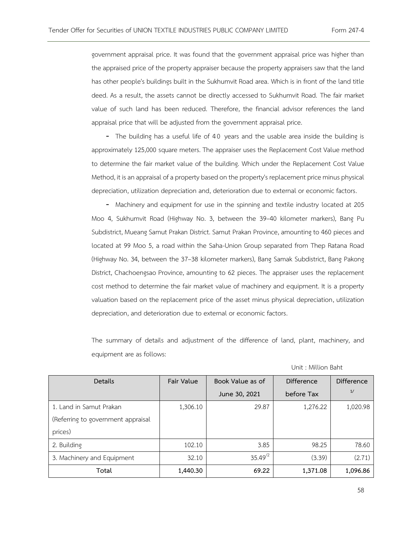government appraisal price. It was found that the government appraisal price was higher than the appraised price of the property appraiser because the property appraisers saw that the land has other people's buildings built in the Sukhumvit Road area. Which is in front of the land title deed. As a result, the assets cannot be directly accessed to Sukhumvit Road. The fair market value of such land has been reduced. Therefore, the financial advisor references the land appraisal price that will be adjusted from the government appraisal price.

- The building has a useful life of 40 years and the usable area inside the building is approximately 125,000 square meters. The appraiser uses the Replacement Cost Value method to determine the fair market value of the building. Which under the Replacement Cost Value Method, it is an appraisal of a property based onthe property's replacement price minus physical depreciation, utilization depreciation and, deterioration due to external or economic factors.

- Machinery and equipment for use in the spinning and textile industry located at 205 Moo 4, Sukhumvit Road (Highway No. 3, between the 39–40 kilometer markers), Bang Pu Subdistrict, Mueang Samut Prakan District. Samut Prakan Province, amounting to 460 pieces and located at 99 Moo 5, a road within the Saha-Union Group separated from Thep Ratana Road (Highway No. 34, between the 37–38 kilometer markers), Bang Samak Subdistrict, Bang Pakong District, Chachoengsao Province, amounting to 62 pieces. The appraiser uses the replacement cost method to determine the fair market value of machinery and equipment. It is a property valuation based on the replacement price of the asset minus physical depreciation, utilization depreciation, and deterioration due to external or economic factors.

The summary of details and adjustment of the difference of land, plant, machinery, and equipment are as follows:

|  | Unit: Million Baht |  |
|--|--------------------|--|
|  |                    |  |

| Details                            | Fair Value | Book Value as of | Difference | Difference |
|------------------------------------|------------|------------------|------------|------------|
|                                    |            | June 30, 2021    | before Tax | 1/         |
| 1. Land in Samut Prakan            | 1,306.10   | 29.87            | 1,276.22   | 1,020.98   |
| (Referring to government appraisal |            |                  |            |            |
| prices)                            |            |                  |            |            |
| 2. Building                        | 102.10     | 3.85             | 98.25      | 78.60      |
| 3. Machinery and Equipment         | 32.10      | $35.49^{2}$      | (3.39)     | (2.71)     |
| Total                              | 1,440.30   | 69.22            | 1,371.08   | 1,096.86   |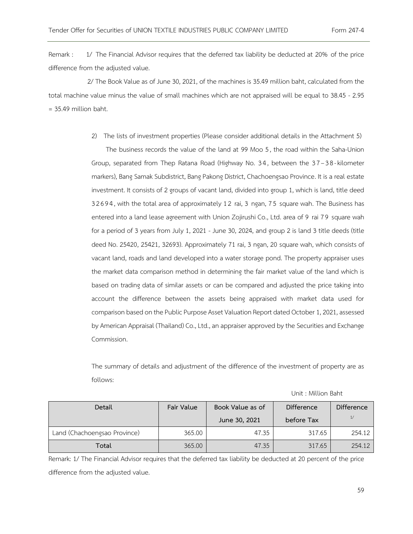Remark : 1/ The Financial Advisor requires that the deferred tax liability be deducted at 20% of the price difference from the adjusted value.

 2/ The Book Value as of June 30, 2021, of the machines is 35.49 million baht, calculated from the total machine value minus the value of small machines which are not appraised will be equal to 38.45 - 2.95 = 35.49 million baht.

2) The lists of investment properties (Please consider additional details in the Attachment 5)

The business records the value of the land at 99 Moo 5, the road within the Saha-Union Group, separated from Thep Ratana Road (Highway No. 34, between the 37-38-kilometer markers), Bang Samak Subdistrict, Bang Pakong District, Chachoengsao Province. It is a real estate investment. It consists of 2 groups of vacant land, divided into group 1, which is land, title deed 32694, with the total area of approximately 1 2 rai, 3 ngan, 7 5 square wah. The Business has entered into a land lease agreement with Union Zojirushi Co., Ltd. area of 9 rai 7 9 square wah for a period of 3 years from July 1, 2021 - June 30, 2024, and group 2 is land 3 title deeds (title deed No. 25420, 25421, 32693). Approximately 71 rai, 3 ngan, 20 square wah, which consists of vacant land, roads and land developed into a water storage pond. The property appraiser uses the market data comparison method in determining the fair market value of the land which is based on trading data of similar assets or can be compared and adjusted the price taking into account the difference between the assets being appraised with market data used for comparison based on the Public Purpose Asset Valuation Report dated October 1, 2021, assessed by American Appraisal (Thailand) Co., Ltd., an appraiser approved by the Securities and Exchange Commission.

The summary of details and adjustment of the difference of the investment of property are as follows:

| Detail                       | Fair Value | Book Value as of | <b>Difference</b> | <b>Difference</b> |
|------------------------------|------------|------------------|-------------------|-------------------|
|                              |            | June 30, 2021    | before Tax        | 1/                |
| Land (Chachoengsao Province) | 365.00     | 47.35            | 317.65            | 254.12            |
| Total                        | 365.00     | 47.35            | 317.65            | 254.12            |

Unit : Million Baht

Remark: 1/ The Financial Advisor requires that the deferred tax liability be deducted at 20 percent of the price difference from the adjusted value.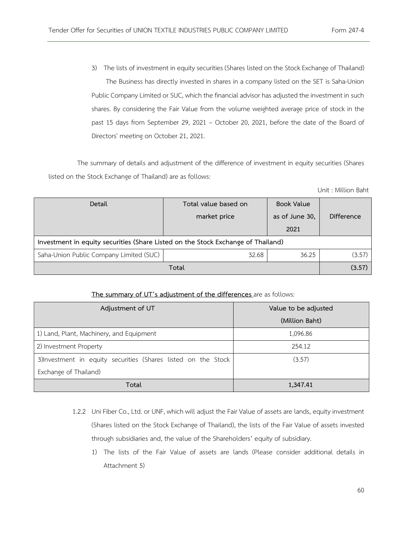3) The lists of investment in equity securities (Shares listed on the Stock Exchange of Thailand) The Business has directly invested in shares in a company listed on the SET is Saha-Union Public Company Limited or SUC, which the financial advisor has adjusted the investment in such shares. By considering the Fair Value from the volume weighted average price of stock in the past 15 days from September 29, 2021 – October 20, 2021, before the date of the Board of Directors' meeting on October 21, 2021.

The summary of details and adjustment of the difference of investment in equity securities (Shares listed on the Stock Exchange of Thailand) are as follows:

Unit : Million Baht

| Detail                                                                           | Total value based on | <b>Book Value</b>      |            |  |  |
|----------------------------------------------------------------------------------|----------------------|------------------------|------------|--|--|
|                                                                                  | market price         | as of June 30,<br>2021 | Difference |  |  |
| Investment in equity securities (Share Listed on the Stock Exchange of Thailand) |                      |                        |            |  |  |
| Saha-Union Public Company Limited (SUC)                                          | 32.68                | 36.25                  | (3.57)     |  |  |
| Total                                                                            |                      |                        |            |  |  |

## **The summary of UT's adjustment of the differences** are as follows:

| Adjustment of UT                                               | Value to be adjusted |
|----------------------------------------------------------------|----------------------|
|                                                                | (Million Baht)       |
| 1) Land, Plant, Machinery, and Equipment                       | 1,096.86             |
| 2) Investment Property                                         | 254.12               |
| 3) Investment in equity securities (Shares listed on the Stock | (3.57)               |
| Exchange of Thailand)                                          |                      |
| Total                                                          | 1,347.41             |

- 1.2.2 Uni Fiber Co., Ltd. or UNF, which will adjust the Fair Value of assets are lands, equity investment (Shares listed on the Stock Exchange of Thailand), the lists of the Fair Value of assets invested through subsidiaries and, the value of the Shareholders' equity of subsidiary.
	- 1) The lists of the Fair Value of assets are lands (Please consider additional details in Attachment 5)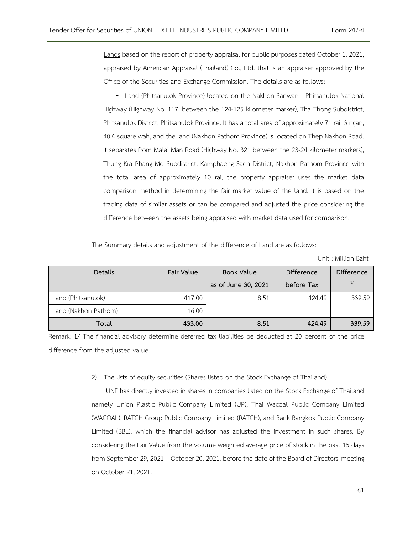Lands based on the report of property appraisal for public purposes dated October 1, 2021, appraised by American Appraisal (Thailand) Co., Ltd. that is an appraiser approved by the Office of the Securities and Exchange Commission. The details are as follows:

- Land (Phitsanulok Province) located on the Nakhon Sanwan - Phitsanulok National Highway (Highway No. 117, between the 124-125 kilometer marker), Tha Thong Subdistrict, Phitsanulok District, Phitsanulok Province. It has a total area of approximately 71 rai, 3 ngan, 40.4 square wah, and the land (Nakhon Pathom Province) is located on Thep Nakhon Road. It separates from Malai Man Road (Highway No. 321 between the 23-24 kilometer markers), Thung Kra Phang Mo Subdistrict, Kamphaeng Saen District, Nakhon Pathom Province with the total area of approximately 10 rai, the property appraiser uses the market data comparison method in determining the fair market value of the land. It is based on the trading data of similar assets or can be compared and adjusted the price considering the difference between the assets being appraised with market data used for comparison.

The Summary details and adjustment of the difference of Land are as follows:

Unit : Million Baht

| <b>Details</b>       | Fair Value | <b>Book Value</b>   | <b>Difference</b> | <b>Difference</b> |
|----------------------|------------|---------------------|-------------------|-------------------|
|                      |            | as of June 30, 2021 | before Tax        | 1/                |
| Land (Phitsanulok)   | 417.00     | 8.51                | 424.49            | 339.59            |
| Land (Nakhon Pathom) | 16.00      |                     |                   |                   |
| Total                | 433.00     | 8.51                | 424.49            | 339.59            |

Remark: 1/ The financial advisory determine deferred tax liabilities be deducted at 20 percent of the price difference from the adjusted value.

#### 2) The lists of equity securities (Shares listed on the Stock Exchange of Thailand)

UNF has directly invested in shares in companies listed on the Stock Exchange of Thailand namely Union Plastic Public Company Limited (UP), Thai Wacoal Public Company Limited (WACOAL), RATCH Group Public Company Limited (RATCH), and Bank Bangkok Public Company Limited (BBL), which the financial advisor has adjusted the investment in such shares. By considering the Fair Value from the volume weighted average price of stock in the past 15 days from September 29, 2021 – October 20, 2021, before the date of the Board of Directors' meeting on October 21, 2021.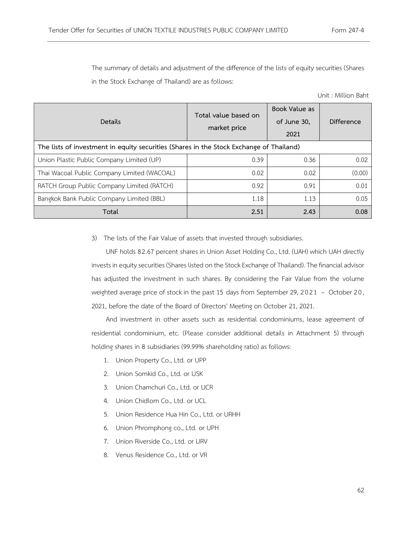The summary of details and adjustment of the difference of the lists of equity securities (Shares in the Stock Exchange of Thailand) are as follows:

Unit : Million Baht

| Details                                                                                 | Total value based on<br>market price | Book Value as<br>of June 30,<br>2021 | Difference |
|-----------------------------------------------------------------------------------------|--------------------------------------|--------------------------------------|------------|
| The lists of investment in equity securities (Shares in the Stock Exchange of Thailand) |                                      |                                      |            |
| Union Plastic Public Company Limited (UP)                                               | 0.39                                 | 0.36                                 | 0.02       |
| Thai Wacoal Public Company Limited (WACOAL)                                             | 0.02                                 | 0.02                                 | (0.00)     |
| RATCH Group Public Company Limited (RATCH)                                              | 0.92                                 | 0.91                                 | 0.01       |
| Bangkok Bank Public Company Limited (BBL)                                               | 1.18                                 | 1.13                                 | 0.05       |
| Total                                                                                   | 2.51                                 | 2.43                                 | 0.08       |

3) The lists of the Fair Value of assets that invested through subsidiaries.

UNF holds 82.67 percent shares in Union Asset Holding Co., Ltd. (UAH) which UAH directly invests in equity securities (Shares listed on the Stock Exchange of Thailand). The financial advisor has adjusted the investment in such shares. By considering the Fair Value from the volume weighted average price of stock in the past 15 days from September 29, 2021 – October 20, 2021, before the date of the Board of Directors' Meeting on October 21, 2021.

And investment in other assets such as residential condominiums, lease agreement of residential condominium, etc. (Please consider additional details in Attachment 5) through holding shares in 8 subsidiaries (99.99% shareholding ratio) as follows:

- 1. Union Property Co., Ltd. or UPP
- 2. Union Somkid Co., Ltd. or USK
- 3. Union Chamchuri Co., Ltd. or UCR
- 4. Union Chidlom Co., Ltd. or UCL
- 5. Union Residence Hua Hin Co., Ltd. or URHH
- 6. Union Phromphong co., Ltd. or UPH
- 7. Union Riverside Co., Ltd. or URV
- 8. Venus Residence Co., Ltd. or VR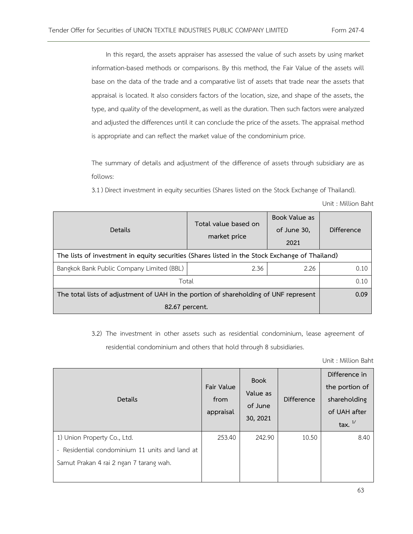In this regard, the assets appraiser has assessed the value of such assets by using market information-based methods or comparisons. By this method, the Fair Value of the assets will base on the data of the trade and a comparative list of assets that trade near the assets that appraisal is located. It also considers factors of the location, size, and shape of the assets, the type, and quality of the development, as well as the duration. Then such factors were analyzed and adjusted the differences until it can conclude the price of the assets. The appraisal method is appropriate and can reflect the market value of the condominium price.

The summary of details and adjustment of the difference of assets through subsidiary are as follows:

3.1) Direct investment in equity securities (Shares listed on the Stock Exchange of Thailand).

|  | Unit: Million Baht |  |
|--|--------------------|--|
|  |                    |  |

| Details                                                                                        | Total value based on<br>market price | Book Value as<br>of June 30,<br>2021 | Difference |
|------------------------------------------------------------------------------------------------|--------------------------------------|--------------------------------------|------------|
| The lists of investment in equity securities (Shares listed in the Stock Exchange of Thailand) |                                      |                                      |            |
| Bangkok Bank Public Company Limited (BBL)                                                      | 2.36                                 | 2.26                                 | 0.10       |
| Total                                                                                          | 0.10                                 |                                      |            |
| The total lists of adjustment of UAH in the portion of shareholding of UNF represent           | 0.09                                 |                                      |            |
| 82.67 percent.                                                                                 |                                      |                                      |            |

3.2) The investment in other assets such as residential condominium, lease agreement of residential condominium and others that hold through 8 subsidiaries.

Unit : Million Baht

| Details                                        | Fair Value<br>from<br>appraisal | <b>Book</b><br>Value as<br>of June<br>30, 2021 | <b>Difference</b> | Difference in<br>the portion of<br>shareholding<br>of UAH after<br>tax. $\frac{1}{2}$ |
|------------------------------------------------|---------------------------------|------------------------------------------------|-------------------|---------------------------------------------------------------------------------------|
| 1) Union Property Co., Ltd.                    | 253.40                          | 242.90                                         | 10.50             | 8.40                                                                                  |
| - Residential condominium 11 units and land at |                                 |                                                |                   |                                                                                       |
| Samut Prakan 4 rai 2 ngan 7 tarang wah.        |                                 |                                                |                   |                                                                                       |
|                                                |                                 |                                                |                   |                                                                                       |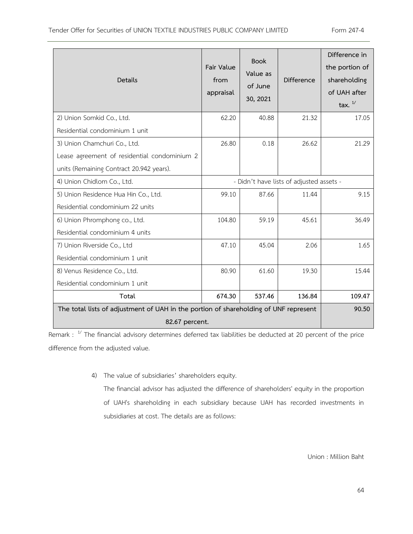| <b>Details</b>                                                                       | Fair Value<br>from<br>appraisal          | <b>Book</b><br>Value as<br>of June<br>30, 2021 | <b>Difference</b> | Difference in<br>the portion of<br>shareholding<br>of UAH after<br>tax. $\frac{1}{1}$ |
|--------------------------------------------------------------------------------------|------------------------------------------|------------------------------------------------|-------------------|---------------------------------------------------------------------------------------|
| 2) Union Somkid Co., Ltd.                                                            | 62.20                                    | 40.88                                          | 21.32             | 17.05                                                                                 |
| Residential condominium 1 unit                                                       |                                          |                                                |                   |                                                                                       |
| 3) Union Chamchuri Co., Ltd.                                                         | 26.80                                    | 0.18                                           | 26.62             | 21.29                                                                                 |
| Lease agreement of residential condominium 2                                         |                                          |                                                |                   |                                                                                       |
| units (Remaining Contract 20.942 years).                                             |                                          |                                                |                   |                                                                                       |
| 4) Union Chidlom Co., Ltd.                                                           | - Didn't have lists of adjusted assets - |                                                |                   |                                                                                       |
| 5) Union Residence Hua Hin Co., Ltd.                                                 | 99.10                                    | 87.66                                          | 11.44             | 9.15                                                                                  |
| Residential condominium 22 units                                                     |                                          |                                                |                   |                                                                                       |
| 6) Union Phromphong co., Ltd.                                                        | 104.80                                   | 59.19                                          | 45.61             | 36.49                                                                                 |
| Residential condominium 4 units                                                      |                                          |                                                |                   |                                                                                       |
| 7) Union Riverside Co., Ltd                                                          | 47.10                                    | 45.04                                          | 2.06              | 1.65                                                                                  |
| Residential condominium 1 unit                                                       |                                          |                                                |                   |                                                                                       |
| 8) Venus Residence Co., Ltd.                                                         | 80.90                                    | 61.60                                          | 19.30             | 15.44                                                                                 |
| Residential condominium 1 unit                                                       |                                          |                                                |                   |                                                                                       |
| Total                                                                                | 674.30                                   | 537.46                                         | 136.84            | 109.47                                                                                |
| The total lists of adjustment of UAH in the portion of shareholding of UNF represent |                                          |                                                |                   | 90.50                                                                                 |
| 82.67 percent.                                                                       |                                          |                                                |                   |                                                                                       |

Remark :  $1/$  The financial advisory determines deferred tax liabilities be deducted at 20 percent of the price difference from the adjusted value.

4) The value of subsidiaries' shareholders equity.

The financial advisor has adjusted the difference of shareholders' equity in the proportion of UAH's shareholding in each subsidiary because UAH has recorded investments in subsidiaries at cost. The details are as follows:

Union : Million Baht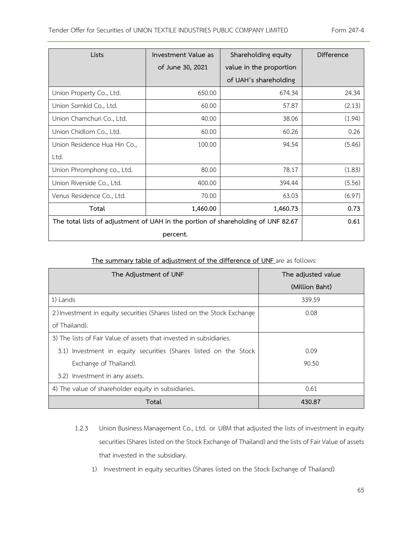| Lists                                                                            | Investment Value as | Shareholding equity     | Difference |
|----------------------------------------------------------------------------------|---------------------|-------------------------|------------|
|                                                                                  | of June 30, 2021    | value in the proportion |            |
|                                                                                  |                     | of UAH's shareholding   |            |
| Union Property Co., Ltd.                                                         | 650.00              | 674.34                  | 24.34      |
| Union Somkid Co., Ltd.                                                           | 60.00               | 57.87                   | (2.13)     |
| Union Chamchuri Co., Ltd.                                                        | 40.00               | 38.06                   | (1.94)     |
| Union Chidlom Co., Ltd.                                                          | 60.00               | 60.26                   | 0.26       |
| Union Residence Hua Hin Co.,                                                     | 100.00              | 94.54                   | (5.46)     |
| Ltd.                                                                             |                     |                         |            |
| Union Phromphong co., Ltd.                                                       | 80.00               | 78.17                   | (1.83)     |
| Union Riverside Co., Ltd.                                                        | 400.00              | 394.44                  | (5.56)     |
| Venus Residence Co., Ltd.                                                        | 70.00               | 63.03                   | (6.97)     |
| Total                                                                            | 1,460.00            | 1,460.73                | 0.73       |
| The total lists of adjustment of UAH in the portion of shareholding of UNF 82.67 |                     |                         | 0.61       |
|                                                                                  | percent.            |                         |            |

# **The summary table of adjustment of the difference of UNF** are as follows:

| The Adjustment of UNF                                                   | The adjusted value |
|-------------------------------------------------------------------------|--------------------|
|                                                                         | (Million Baht)     |
| 1) Lands                                                                | 339.59             |
| 2) Investment in equity securities (Shares listed on the Stock Exchange | 0.08               |
| of Thailand).                                                           |                    |
| 3) The lists of Fair Value of assets that invested in subsidiaries.     |                    |
| 3.1) Investment in equity securities (Shares listed on the Stock        | 0.09               |
| Exchange of Thailand).                                                  | 90.50              |
| 3.2) Investment in any assets.                                          |                    |
| 4) The value of shareholder equity in subsidiaries.                     | 0.61               |
| Total                                                                   | 430.87             |

- 1.2.3 Union Business Management Co., Ltd. or UBM that adjusted the lists of investment in equity securities (Shares listed on the Stock Exchange of Thailand) and the lists of Fair Value of assets that invested in the subsidiary.
	- 1) Investment in equity securities (Shares listed on the Stock Exchange of Thailand)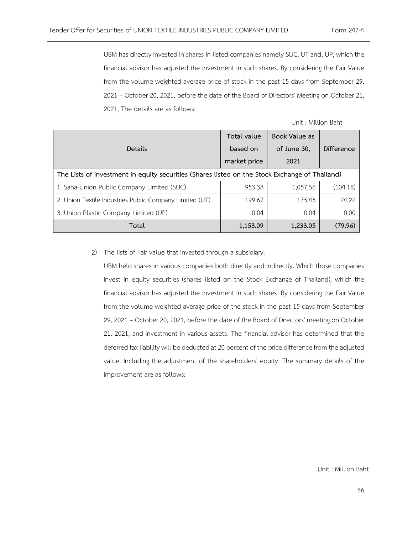UBM has directly invested in shares in listed companies namely SUC, UT and, UP, which the financial advisor has adjusted the investment in such shares. By considering the Fair Value from the volume weighted average price of stock in the past 15 days from September 29, 2021 – October 20, 2021, before the date of the Board of Directors' Meeting on October 21, 2021, The details are as follows:

| Unit: Million Baht |  |
|--------------------|--|
|--------------------|--|

| Details                                                                                        | Total value<br>based on<br>market price | Book Value as<br>of June 30,<br>2021 | Difference |
|------------------------------------------------------------------------------------------------|-----------------------------------------|--------------------------------------|------------|
| The Lists of investment in equity securities (Shares listed on the Stock Exchange of Thailand) |                                         |                                      |            |
| 1. Saha-Union Public Company Limited (SUC)                                                     | 953.38                                  | 1,057.56                             | (104.18)   |
| 2. Union Textile Industries Public Company Limited (UT)                                        | 199.67                                  | 175.45                               | 24.22      |
| 3. Union Plastic Company Limited (UP)                                                          | 0.04                                    | 0.04                                 | 0.00       |
| Total                                                                                          | 1,153.09                                | 1,233.05                             | (79.96)    |

2) The lists of Fair value that invested through a subsidiary.

UBM held shares in various companies both directly and indirectly. Which those companies invest in equity securities (shares listed on the Stock Exchange of Thailand), which the financial advisor has adjusted the investment in such shares. By considering the Fair Value from the volume weighted average price of the stock in the past 15 days from September 29, 2021 – October 20, 2021, before the date of the Board of Directors' meeting on October 21, 2021, and investment in various assets. The financial advisor has determined that the deferred tax liability will be deducted at 20 percent of the price differencefrom the adjusted value. Including the adjustment of the shareholders' equity. The summary details of the improvement are as follows: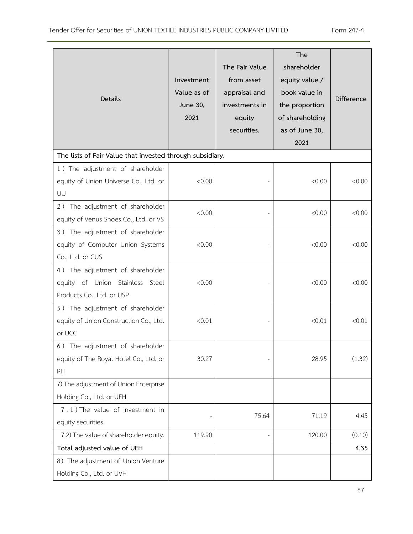| Details                                                                                          | Investment<br>Value as of<br>June 30,<br>2021 | The Fair Value<br>from asset<br>appraisal and<br>investments in<br>equity<br>securities. | The<br>shareholder<br>equity value /<br>book value in<br>the proportion<br>of shareholding<br>as of June 30,<br>2021 | <b>Difference</b> |
|--------------------------------------------------------------------------------------------------|-----------------------------------------------|------------------------------------------------------------------------------------------|----------------------------------------------------------------------------------------------------------------------|-------------------|
| The lists of Fair Value that invested through subsidiary.                                        |                                               |                                                                                          |                                                                                                                      |                   |
| 1) The adjustment of shareholder<br>equity of Union Universe Co., Ltd. or<br>UU                  | < 0.00                                        |                                                                                          | <0.00                                                                                                                | < 0.00            |
| 2) The adjustment of shareholder<br>equity of Venus Shoes Co., Ltd. or VS                        | < 0.00                                        |                                                                                          | &0.00                                                                                                                | < 0.00            |
| 3) The adjustment of shareholder<br>equity of Computer Union Systems<br>Co., Ltd. or CUS         | < 0.00                                        |                                                                                          | < 0.00                                                                                                               | < 0.00            |
| 4) The adjustment of shareholder<br>equity of Union Stainless Steel<br>Products Co., Ltd. or USP | < 0.00                                        |                                                                                          | <0.00                                                                                                                | < 0.00            |
| 5) The adjustment of shareholder<br>equity of Union Construction Co., Ltd.<br>or UCC             | < 0.01                                        |                                                                                          | < 0.01                                                                                                               | < 0.01            |
| 6) The adjustment of shareholder<br>equity of The Royal Hotel Co., Ltd. or<br><b>RH</b>          | 30.27                                         |                                                                                          | 28.95                                                                                                                | (1.32)            |
| 7) The adjustment of Union Enterprise<br>Holding Co., Ltd. or UEH                                |                                               |                                                                                          |                                                                                                                      |                   |
| 7.1) The value of investment in<br>equity securities.                                            |                                               | 75.64                                                                                    | 71.19                                                                                                                | 4.45              |
| 7.2) The value of shareholder equity.                                                            | 119.90                                        |                                                                                          | 120.00                                                                                                               | (0.10)            |
| Total adjusted value of UEH                                                                      |                                               |                                                                                          |                                                                                                                      | 4.35              |
| 8) The adjustment of Union Venture<br>Holding Co., Ltd. or UVH                                   |                                               |                                                                                          |                                                                                                                      |                   |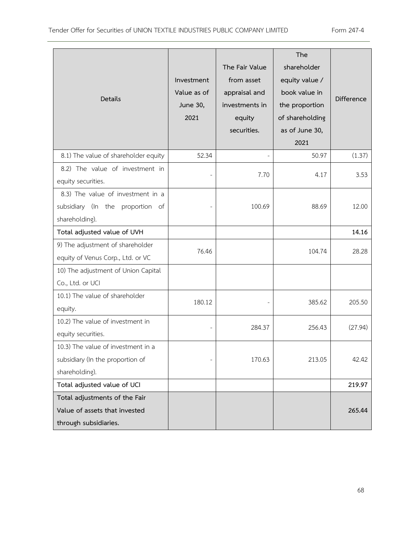| Details                                                                                  | Investment<br>Value as of<br>June 30,<br>2021 | The Fair Value<br>from asset<br>appraisal and<br>investments in<br>equity<br>securities. | The<br>shareholder<br>equity value /<br>book value in<br>the proportion<br>of shareholding<br>as of June 30,<br>2021 | <b>Difference</b> |
|------------------------------------------------------------------------------------------|-----------------------------------------------|------------------------------------------------------------------------------------------|----------------------------------------------------------------------------------------------------------------------|-------------------|
| 8.1) The value of shareholder equity                                                     | 52.34                                         |                                                                                          | 50.97                                                                                                                | (1.37)            |
| 8.2) The value of investment in<br>equity securities.                                    |                                               | 7.70                                                                                     | 4.17                                                                                                                 | 3.53              |
| 8.3) The value of investment in a<br>subsidiary (In the proportion of<br>shareholding).  |                                               | 100.69                                                                                   | 88.69                                                                                                                | 12.00             |
| Total adjusted value of UVH                                                              |                                               |                                                                                          |                                                                                                                      | 14.16             |
| 9) The adjustment of shareholder<br>equity of Venus Corp., Ltd. or VC                    | 76.46                                         |                                                                                          | 104.74                                                                                                               | 28.28             |
| 10) The adjustment of Union Capital<br>Co., Ltd. or UCI                                  |                                               |                                                                                          |                                                                                                                      |                   |
| 10.1) The value of shareholder<br>equity.                                                | 180.12                                        |                                                                                          | 385.62                                                                                                               | 205.50            |
| 10.2) The value of investment in<br>equity securities.                                   |                                               | 284.37                                                                                   | 256.43                                                                                                               | (27.94)           |
| 10.3) The value of investment in a<br>subsidiary (In the proportion of<br>shareholding). |                                               | 170.63                                                                                   | 213.05                                                                                                               | 42.42             |
| Total adjusted value of UCI                                                              |                                               |                                                                                          |                                                                                                                      | 219.97            |
| Total adjustments of the Fair<br>Value of assets that invested<br>through subsidiaries.  |                                               |                                                                                          |                                                                                                                      | 265.44            |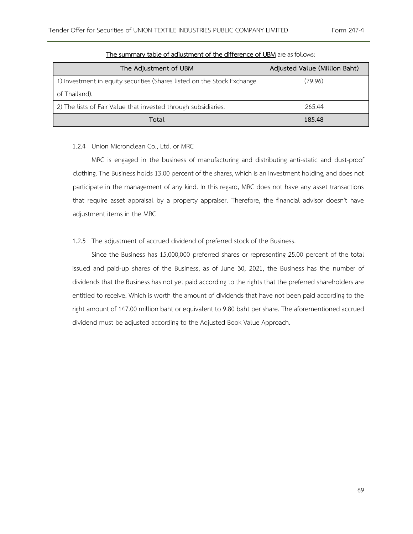| The Adjustment of UBM                                                   | Adjusted Value (Million Baht) |
|-------------------------------------------------------------------------|-------------------------------|
| 1) Investment in equity securities (Shares listed on the Stock Exchange | (79.96)                       |
| of Thailand).                                                           |                               |
| 2) The lists of Fair Value that invested through subsidiaries.          | 265.44                        |
| Total                                                                   | 185.48                        |

#### **The summary table of adjustment of the difference of UBM** are as follows:

# 1.2.4 Union Micronclean Co., Ltd. or MRC

MRC is engaged in the business of manufacturing and distributing anti-static and dust-proof clothing. The Business holds 13.00 percent of the shares, which is an investment holding, and does not participate in the management of any kind. In this regard, MRC does not have any asset transactions that require asset appraisal by a property appraiser. Therefore, the financial advisor doesn't have adjustment items in the MRC

# 1.2.5 The adjustment of accrued dividend of preferred stock of the Business.

Since the Business has 15,000,000 preferred shares or representing 25.00 percent of the total issued and paid-up shares of the Business, as of June 30, 2021, the Business has the number of dividends that the Business has not yet paid according to the rights that the preferred shareholders are entitled to receive. Which is worth the amount of dividends that have not been paid according to the right amount of 147.00 million baht or equivalent to 9.80 baht per share. The aforementioned accrued dividend must be adjusted according to the Adjusted Book Value Approach.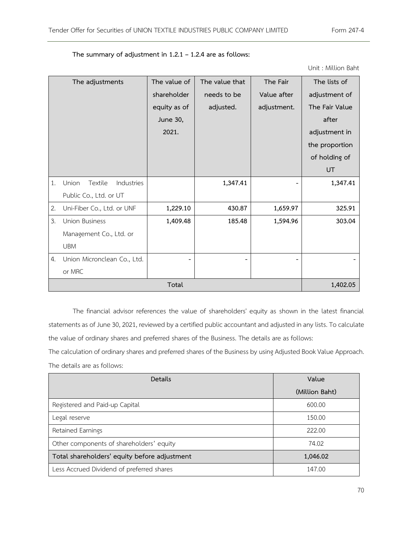|    | The adjustments                | The value of | The value that | The Fair    | The lists of   |
|----|--------------------------------|--------------|----------------|-------------|----------------|
|    |                                | shareholder  | needs to be    | Value after | adjustment of  |
|    |                                | equity as of | adjusted.      | adjustment. | The Fair Value |
|    |                                | June 30,     |                |             | after          |
|    |                                | 2021.        |                |             | adjustment in  |
|    |                                |              |                |             | the proportion |
|    |                                |              |                |             | of holding of  |
|    |                                |              |                |             | UT             |
| 1. | Union<br>Textile<br>Industries |              | 1,347.41       |             | 1,347.41       |
|    | Public Co., Ltd. or UT         |              |                |             |                |
| 2. | Uni-Fiber Co., Ltd. or UNF     | 1,229.10     | 430.87         | 1,659.97    | 325.91         |
| 3. | <b>Union Business</b>          | 1,409.48     | 185.48         | 1,594.96    | 303.04         |
|    | Management Co., Ltd. or        |              |                |             |                |
|    | <b>UBM</b>                     |              |                |             |                |
| 4. | Union Micronclean Co., Ltd.    |              |                |             |                |
|    | or MRC                         |              |                |             |                |
|    |                                | 1,402.05     |                |             |                |

**The summary of adjustment in 1.2.1 – 1.2.4 are as follows:** 

The financial advisor references the value of shareholders' equity as shown in the latest financial statements as of June 30, 2021, reviewed by a certified public accountant and adjusted in any lists. To calculate the value of ordinary shares and preferred shares of the Business. The details are as follows:

The calculation of ordinary shares and preferred shares of the Business by using Adjusted Book Value Approach. The details are as follows:

| Details                                      | Value          |  |
|----------------------------------------------|----------------|--|
|                                              | (Million Baht) |  |
| Registered and Paid-up Capital               | 600.00         |  |
| Legal reserve                                | 150.00         |  |
| Retained Earnings                            | 222.00         |  |
| Other components of shareholders' equity     | 74.02          |  |
| Total shareholders' equity before adjustment | 1,046.02       |  |
| Less Accrued Dividend of preferred shares    | 147.00         |  |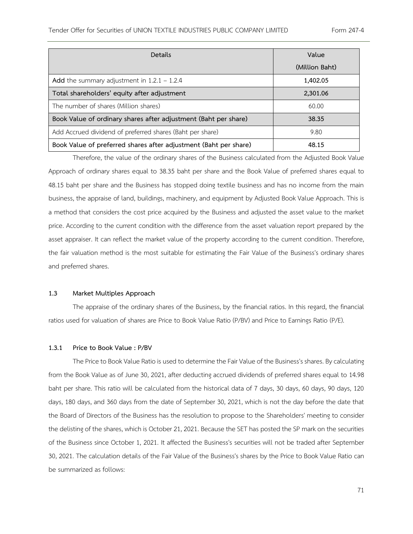| Details                                                          | Value          |  |
|------------------------------------------------------------------|----------------|--|
|                                                                  | (Million Baht) |  |
| Add the summary adjustment in $1.2.1 - 1.2.4$                    | 1,402.05       |  |
| Total shareholders' equity after adjustment                      | 2,301.06       |  |
| The number of shares (Million shares)                            | 60.00          |  |
| Book Value of ordinary shares after adjustment (Baht per share)  | 38.35          |  |
| Add Accrued dividend of preferred shares (Baht per share)        | 9.80           |  |
| Book Value of preferred shares after adjustment (Baht per share) | 48.15          |  |

Therefore, the value of the ordinary shares of the Business calculated from the Adjusted Book Value Approach of ordinary shares equal to 38.35 baht per share and the Book Value of preferred shares equal to 48.15 baht per share and the Business has stopped doing textile business and has no income from the main business, the appraise of land, buildings, machinery, and equipment by Adjusted Book Value Approach. This is a method that considers the cost price acquired by the Business and adjusted the asset value to the market price. According to the current condition with the difference from the asset valuation report prepared by the asset appraiser. It can reflect the market value of the property according to the current condition. Therefore, the fair valuation method is the most suitable for estimating the Fair Value of the Business's ordinary shares and preferred shares.

#### **1.3 Market Multiples Approach**

The appraise of the ordinary shares of the Business, by the financial ratios. In this regard, the financial ratios used for valuation of shares are Price to Book Value Ratio (P/BV) and Price to Earnings Ratio (P/E).

#### **1.3.1 Price to Book Value : P/BV**

The Price to Book Value Ratio is used to determine the Fair Value of the Business's shares. By calculating from the Book Value as of June 30, 2021, after deducting accrued dividends of preferred shares equal to 14.98 baht per share. This ratio will be calculated from the historical data of 7 days, 30 days, 60 days, 90 days, 120 days, 180 days, and 360 days from the date of September 30, 2021, which is not the day before the date that the Board of Directors of the Business has the resolution to propose to the Shareholders' meeting to consider the delisting of the shares, which is October 21, 2021. Because the SET has posted the SP mark on the securities of the Business since October 1, 2021. It affected the Business's securities will not be traded after September 30, 2021. The calculation details of the Fair Value of the Business's shares by the Price to Book Value Ratio can be summarized as follows: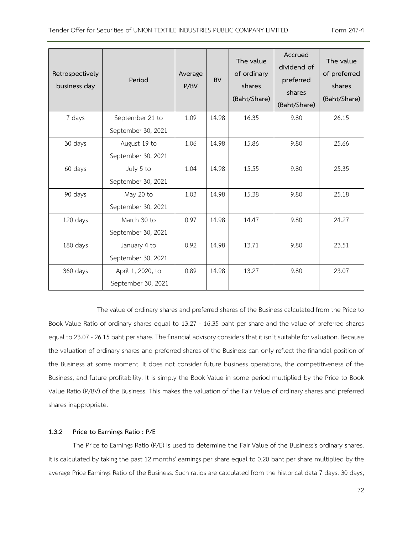| Retrospectively<br>business day | Period             | Average<br>P/BV | <b>BV</b> | The value<br>of ordinary<br>shares<br>(Baht/Share) | Accrued<br>dividend of<br>preferred<br>shares<br>(Baht/Share) | The value<br>of preferred<br>shares<br>(Baht/Share) |
|---------------------------------|--------------------|-----------------|-----------|----------------------------------------------------|---------------------------------------------------------------|-----------------------------------------------------|
| 7 days                          | September 21 to    | 1.09            | 14.98     | 16.35                                              | 9.80                                                          | 26.15                                               |
|                                 | September 30, 2021 |                 |           |                                                    |                                                               |                                                     |
| 30 days                         | August 19 to       | 1.06            | 14.98     | 15.86                                              | 9.80                                                          | 25.66                                               |
|                                 | September 30, 2021 |                 |           |                                                    |                                                               |                                                     |
| 60 days                         | July 5 to          | 1.04            | 14.98     | 15.55                                              | 9.80                                                          | 25.35                                               |
|                                 | September 30, 2021 |                 |           |                                                    |                                                               |                                                     |
| 90 days                         | May 20 to          | 1.03            | 14.98     | 15.38                                              | 9.80                                                          | 25.18                                               |
|                                 | September 30, 2021 |                 |           |                                                    |                                                               |                                                     |
| 120 days                        | March 30 to        | 0.97            | 14.98     | 14.47                                              | 9.80                                                          | 24.27                                               |
|                                 | September 30, 2021 |                 |           |                                                    |                                                               |                                                     |
| 180 days                        | January 4 to       | 0.92            | 14.98     | 13.71                                              | 9.80                                                          | 23.51                                               |
|                                 | September 30, 2021 |                 |           |                                                    |                                                               |                                                     |
| 360 days                        | April 1, 2020, to  | 0.89            | 14.98     | 13.27                                              | 9.80                                                          | 23.07                                               |
|                                 | September 30, 2021 |                 |           |                                                    |                                                               |                                                     |

The value of ordinary shares and preferred shares of the Business calculated from the Price to Book Value Ratio of ordinary shares equal to 13.27 - 16.35 baht per share and the value of preferred shares equal to 23.07 -26.15 baht per share. The financial advisory considers that it isn't suitable for valuation. Because the valuation of ordinary shares and preferred shares of the Business can only reflect the financial position of the Business at some moment. It does not consider future business operations, the competitiveness of the Business, and future profitability. It is simply the Book Value in some period multiplied by the Price to Book Value Ratio (P/BV) of the Business. This makes the valuation of the Fair Value of ordinary shares and preferred shares inappropriate.

## **1.3.2 Price to Earnings Ratio : P/E**

The Price to Earnings Ratio (P/E) is used to determine the Fair Value of the Business's ordinary shares. It is calculated by taking the past 12 months' earnings per share equal to 0.20 baht per share multiplied by the average Price Earnings Ratio of the Business. Such ratios are calculated from the historical data 7 days, 30 days,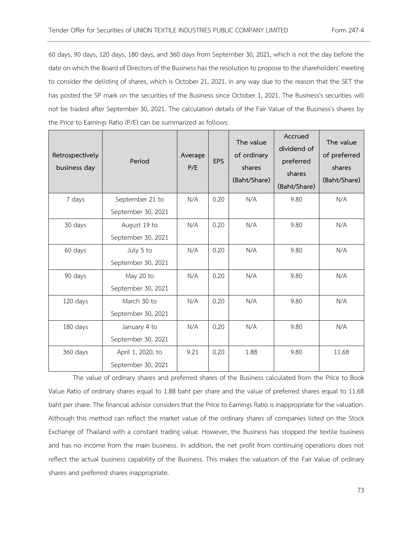60 days, 90 days, 120 days, 180 days, and 360 days from September 30, 2021, which is not the day before the date on which the Board of Directors of the Business has the resolutionto propose to the shareholders' meeting to consider the delisting of shares, which is October 21, 2021, in any way due to the reason that the SET the has posted the SP mark on the securities of the Business since October 1, 2021. The Business's securities will not be traded after September 30, 2021. The calculation details of the Fair Value of the Business's shares by the Price to Earnings Ratio (P/E) can be summarized as follows:

| Retrospectively<br>business day | Period             | Average<br>P/E | <b>EPS</b> | The value<br>of ordinary<br>shares<br>(Baht/Share) | Accrued<br>dividend of<br>preferred<br>shares<br>(Baht/Share) | The value<br>of preferred<br>shares<br>(Baht/Share) |
|---------------------------------|--------------------|----------------|------------|----------------------------------------------------|---------------------------------------------------------------|-----------------------------------------------------|
| 7 days                          | September 21 to    | N/A            | 0.20       | N/A                                                | 9.80                                                          | N/A                                                 |
|                                 | September 30, 2021 |                |            |                                                    |                                                               |                                                     |
| 30 days                         | August 19 to       | N/A            | 0.20       | N/A                                                | 9.80                                                          | N/A                                                 |
|                                 | September 30, 2021 |                |            |                                                    |                                                               |                                                     |
| 60 days                         | July 5 to          | N/A            | 0.20       | N/A                                                | 9.80                                                          | N/A                                                 |
|                                 | September 30, 2021 |                |            |                                                    |                                                               |                                                     |
| 90 days                         | May 20 to          | N/A            | 0.20       | N/A                                                | 9.80                                                          | N/A                                                 |
|                                 | September 30, 2021 |                |            |                                                    |                                                               |                                                     |
| 120 days                        | March 30 to        | N/A            | 0.20       | N/A                                                | 9.80                                                          | N/A                                                 |
|                                 | September 30, 2021 |                |            |                                                    |                                                               |                                                     |
| 180 days                        | January 4 to       | N/A            | 0.20       | N/A                                                | 9.80                                                          | N/A                                                 |
|                                 | September 30, 2021 |                |            |                                                    |                                                               |                                                     |
| 360 days                        | April 1, 2020, to  | 9.21           | 0.20       | 1.88                                               | 9.80                                                          | 11.68                                               |
|                                 | September 30, 2021 |                |            |                                                    |                                                               |                                                     |

The value of ordinary shares and preferred shares of the Business calculated from the Price to Book Value Ratio of ordinary shares equal to 1.88 baht per share and the value of preferred shares equal to 11.68 baht per share. The financial advisor considers that the Price to Earnings Ratio is inappropriate for the valuation. Although this method can reflect the market value of the ordinary shares of companies listed on the Stock Exchange of Thailand with a constant trading value. However, the Business has stopped the textile business and has no income from the main business. In addition, the net profit from continuing operations does not reflect the actual business capability of the Business. This makes the valuation of the Fair Value of ordinary shares and preferred shares inappropriate.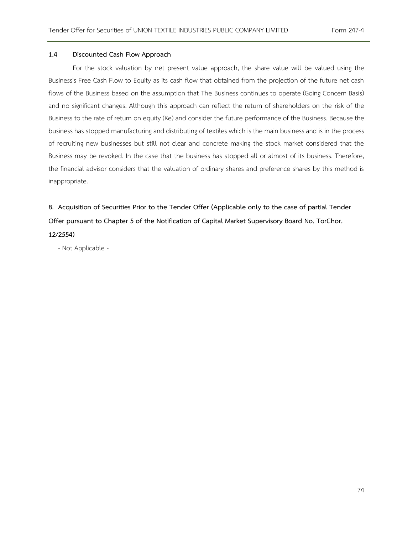## **1.4 Discounted Cash Flow Approach**

For the stock valuation by net present value approach, the share value will be valued using the Business's Free Cash Flow to Equity as its cash flow that obtained from the projection of the future net cash flows of the Business based on the assumption that The Business continues to operate (Going Concern Basis) and no significant changes. Although this approach can reflect the return of shareholders on the risk of the Business to the rate of return on equity (Ke) and consider the future performance of the Business. Because the business has stopped manufacturing and distributing of textiles which is the main business and is in the process of recruiting new businesses but still not clear and concrete making the stock market considered that the Business may be revoked. In the case that the business has stopped all or almost of its business. Therefore, the financial advisor considers that the valuation of ordinary shares and preference shares by this method is inappropriate.

**8. Acquisition of Securities Prior to the Tender Offer (Applicable only to the case of partial Tender Offer pursuant to Chapter 5 of the Notification of Capital Market Supervisory Board No. TorChor. 12/2554)**

- Not Applicable -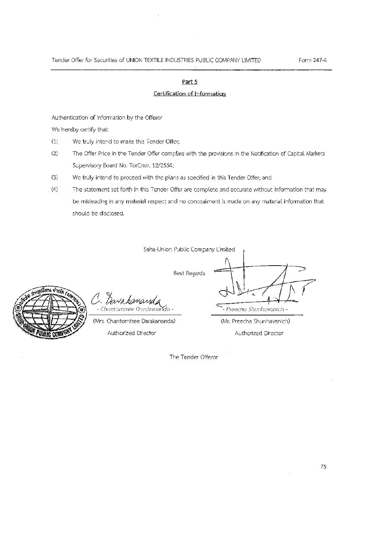## Part 5

# Certification of Information

Authentication of information by the Offeror

We hereby certify that:

- $(1)$ We truly intend to make this Tender Offer;
- $(2)$ The Offer Price in the Tender Offer complies with the provisions in the Notification of Capital Markets Supervisory Board No. TorChor. 12/2554;
- $(3)$ We truly intend to proceed with the plans as specified in this Tender Offer; and
- The statement set forth in this Tender Offer are complete and accurate without information that may  $(4)$ be misleading in any material respect and no concealment is made on any material information that should be disclosed.

Saha-Union Public Company Limited

**Best Regards** 



- Chantomiree Darakanai

(Mrs. Chantorntree Darakananda)

Authorized Director

- Preecha Shunhavanich -

(Mr. Preecha Shunhavanich) Authorized Director

The Tender Offeror